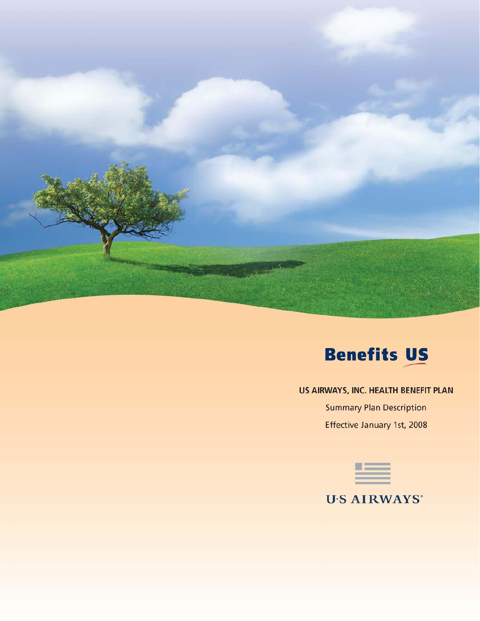



# US AIRWAYS, INC. HEALTH BENEFIT PLAN

**Summary Plan Description** Effective January 1st, 2008



**U'S AIRWAYS\***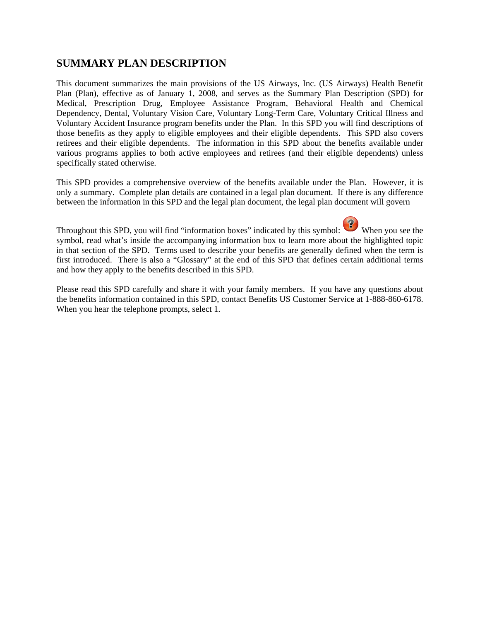# **SUMMARY PLAN DESCRIPTION**

This document summarizes the main provisions of the US Airways, Inc. (US Airways) Health Benefit Plan (Plan), effective as of January 1, 2008, and serves as the Summary Plan Description (SPD) for Medical, Prescription Drug, Employee Assistance Program, Behavioral Health and Chemical Dependency, Dental, Voluntary Vision Care, Voluntary Long-Term Care, Voluntary Critical Illness and Voluntary Accident Insurance program benefits under the Plan. In this SPD you will find descriptions of those benefits as they apply to eligible employees and their eligible dependents. This SPD also covers retirees and their eligible dependents. The information in this SPD about the benefits available under various programs applies to both active employees and retirees (and their eligible dependents) unless specifically stated otherwise.

This SPD provides a comprehensive overview of the benefits available under the Plan. However, it is only a summary. Complete plan details are contained in a legal plan document. If there is any difference between the information in this SPD and the legal plan document, the legal plan document will govern

Throughout this SPD, you will find "information boxes" indicated by this symbol: When you see the symbol, read what's inside the accompanying information box to learn more about the highlighted topic in that section of the SPD. Terms used to describe your benefits are generally defined when the term is first introduced. There is also a "Glossary" at the end of this SPD that defines certain additional terms and how they apply to the benefits described in this SPD.

Please read this SPD carefully and share it with your family members. If you have any questions about the benefits information contained in this SPD, contact Benefits US Customer Service at 1-888-860-6178. When you hear the telephone prompts, select 1.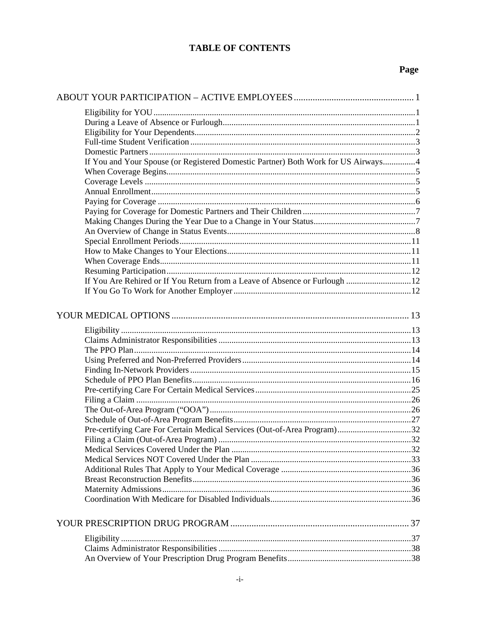# **TABLE OF CONTENTS**

| If You and Your Spouse (or Registered Domestic Partner) Both Work for US Airways4 |  |
|-----------------------------------------------------------------------------------|--|
|                                                                                   |  |
|                                                                                   |  |
|                                                                                   |  |
|                                                                                   |  |
|                                                                                   |  |
|                                                                                   |  |
|                                                                                   |  |
|                                                                                   |  |
|                                                                                   |  |
|                                                                                   |  |
|                                                                                   |  |
| If You Are Rehired or If You Return from a Leave of Absence or Furlough  12       |  |
|                                                                                   |  |
|                                                                                   |  |
|                                                                                   |  |
|                                                                                   |  |
|                                                                                   |  |
|                                                                                   |  |
|                                                                                   |  |
|                                                                                   |  |
|                                                                                   |  |
|                                                                                   |  |
|                                                                                   |  |
|                                                                                   |  |
|                                                                                   |  |
| Pre-certifying Care For Certain Medical Services (Out-of-Area Program)32          |  |
|                                                                                   |  |
|                                                                                   |  |
|                                                                                   |  |
|                                                                                   |  |
|                                                                                   |  |
|                                                                                   |  |
|                                                                                   |  |
|                                                                                   |  |
|                                                                                   |  |
|                                                                                   |  |
|                                                                                   |  |
|                                                                                   |  |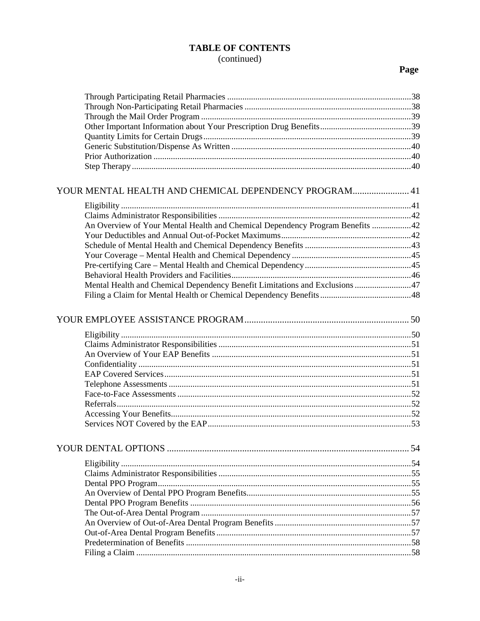# **TABLE OF CONTENTS** (continued)

| YOUR MENTAL HEALTH AND CHEMICAL DEPENDENCY PROGRAM 41                         |  |
|-------------------------------------------------------------------------------|--|
|                                                                               |  |
|                                                                               |  |
|                                                                               |  |
| An Overview of Your Mental Health and Chemical Dependency Program Benefits 42 |  |
|                                                                               |  |
|                                                                               |  |
|                                                                               |  |
|                                                                               |  |
|                                                                               |  |
| Mental Health and Chemical Dependency Benefit Limitations and Exclusions 47   |  |
|                                                                               |  |
|                                                                               |  |
|                                                                               |  |
|                                                                               |  |
|                                                                               |  |
|                                                                               |  |
|                                                                               |  |
|                                                                               |  |
|                                                                               |  |
|                                                                               |  |
|                                                                               |  |
|                                                                               |  |
|                                                                               |  |
|                                                                               |  |
|                                                                               |  |
|                                                                               |  |
|                                                                               |  |
|                                                                               |  |
|                                                                               |  |
|                                                                               |  |
|                                                                               |  |
|                                                                               |  |
|                                                                               |  |
|                                                                               |  |
|                                                                               |  |
|                                                                               |  |
|                                                                               |  |
|                                                                               |  |
|                                                                               |  |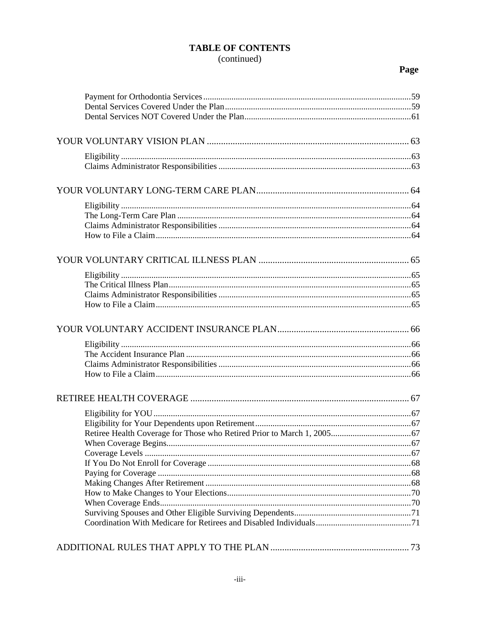# **TABLE OF CONTENTS** (continued)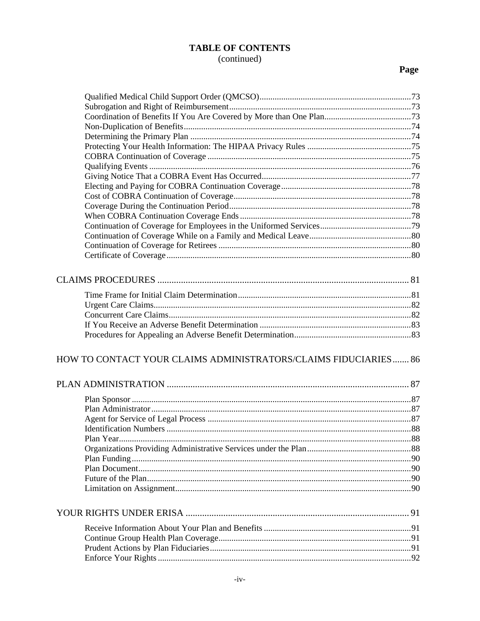# **TABLE OF CONTENTS** (continued)

| <b>HOW TO CONTACT YOUR CLAIMS ADMINISTRATORS/CLAIMS FIDUCIARIES 86</b> |  |
|------------------------------------------------------------------------|--|
|                                                                        |  |
|                                                                        |  |
|                                                                        |  |
|                                                                        |  |
|                                                                        |  |
|                                                                        |  |
|                                                                        |  |
|                                                                        |  |
|                                                                        |  |
|                                                                        |  |
|                                                                        |  |
|                                                                        |  |
|                                                                        |  |
|                                                                        |  |
|                                                                        |  |
|                                                                        |  |
|                                                                        |  |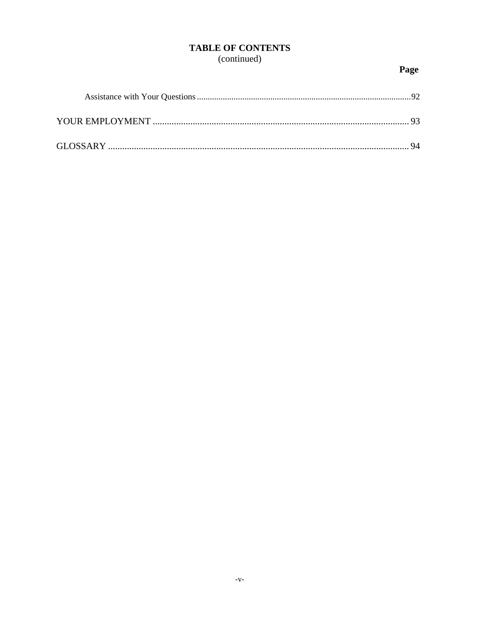# **TABLE OF CONTENTS**

# (continued)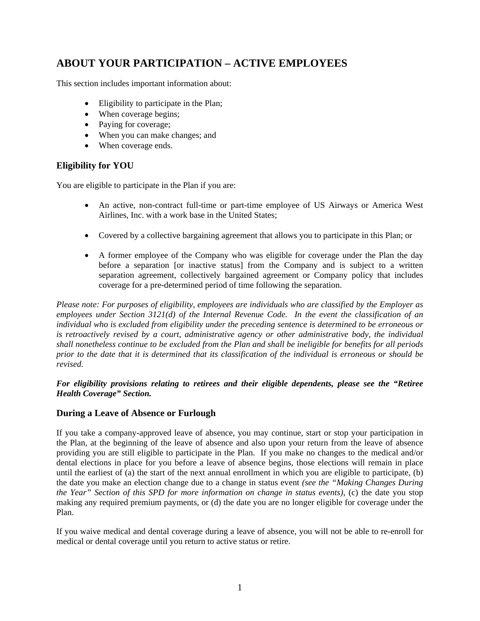# **ABOUT YOUR PARTICIPATION – ACTIVE EMPLOYEES**

This section includes important information about:

- Eligibility to participate in the Plan;
- When coverage begins;
- Paying for coverage;
- When you can make changes; and
- When coverage ends.

# **Eligibility for YOU**

You are eligible to participate in the Plan if you are:

- An active, non-contract full-time or part-time employee of US Airways or America West Airlines, Inc. with a work base in the United States;
- Covered by a collective bargaining agreement that allows you to participate in this Plan; or
- A former employee of the Company who was eligible for coverage under the Plan the day before a separation [or inactive status] from the Company and is subject to a written separation agreement, collectively bargained agreement or Company policy that includes coverage for a pre-determined period of time following the separation.

*Please note: For purposes of eligibility, employees are individuals who are classified by the Employer as employees under Section 3121(d) of the Internal Revenue Code. In the event the classification of an individual who is excluded from eligibility under the preceding sentence is determined to be erroneous or is retroactively revised by a court, administrative agency or other administrative body, the individual shall nonetheless continue to be excluded from the Plan and shall be ineligible for benefits for all periods prior to the date that it is determined that its classification of the individual is erroneous or should be revised.* 

#### *For eligibility provisions relating to retirees and their eligible dependents, please see the "Retiree Health Coverage" Section.*

### **During a Leave of Absence or Furlough**

If you take a company-approved leave of absence, you may continue, start or stop your participation in the Plan, at the beginning of the leave of absence and also upon your return from the leave of absence providing you are still eligible to participate in the Plan. If you make no changes to the medical and/or dental elections in place for you before a leave of absence begins, those elections will remain in place until the earliest of (a) the start of the next annual enrollment in which you are eligible to participate, (b) the date you make an election change due to a change in status event *(see the "Making Changes During the Year" Section of this SPD for more information on change in status events)*, (c) the date you stop making any required premium payments, or (d) the date you are no longer eligible for coverage under the Plan.

If you waive medical and dental coverage during a leave of absence, you will not be able to re-enroll for medical or dental coverage until you return to active status or retire.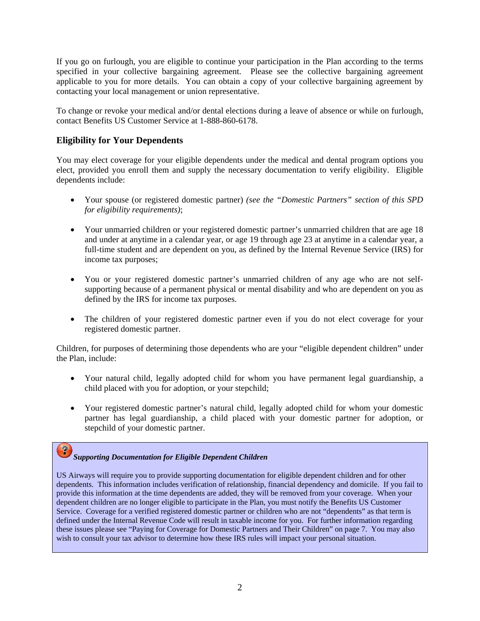If you go on furlough, you are eligible to continue your participation in the Plan according to the terms specified in your collective bargaining agreement. Please see the collective bargaining agreement applicable to you for more details. You can obtain a copy of your collective bargaining agreement by contacting your local management or union representative.

To change or revoke your medical and/or dental elections during a leave of absence or while on furlough, contact Benefits US Customer Service at 1-888-860-6178.

### **Eligibility for Your Dependents**

You may elect coverage for your eligible dependents under the medical and dental program options you elect, provided you enroll them and supply the necessary documentation to verify eligibility. Eligible dependents include:

- Your spouse (or registered domestic partner) *(see the "Domestic Partners" section of this SPD for eligibility requirements)*;
- Your unmarried children or your registered domestic partner's unmarried children that are age 18 and under at anytime in a calendar year, or age 19 through age 23 at anytime in a calendar year, a full-time student and are dependent on you, as defined by the Internal Revenue Service (IRS) for income tax purposes;
- You or your registered domestic partner's unmarried children of any age who are not selfsupporting because of a permanent physical or mental disability and who are dependent on you as defined by the IRS for income tax purposes.
- The children of your registered domestic partner even if you do not elect coverage for your registered domestic partner.

Children, for purposes of determining those dependents who are your "eligible dependent children" under the Plan, include:

- Your natural child, legally adopted child for whom you have permanent legal guardianship, a child placed with you for adoption, or your stepchild;
- Your registered domestic partner's natural child, legally adopted child for whom your domestic partner has legal guardianship, a child placed with your domestic partner for adoption, or stepchild of your domestic partner.

# *Supporting Documentation for Eligible Dependent Children*

US Airways will require you to provide supporting documentation for eligible dependent children and for other dependents. This information includes verification of relationship, financial dependency and domicile. If you fail to provide this information at the time dependents are added, they will be removed from your coverage. When your dependent children are no longer eligible to participate in the Plan, you must notify the Benefits US Customer Service. Coverage for a verified registered domestic partner or children who are not "dependents" as that term is defined under the Internal Revenue Code will result in taxable income for you. For further information regarding these issues please see "Paying for Coverage for Domestic Partners and Their Children" on page 7. You may also wish to consult your tax advisor to determine how these IRS rules will impact your personal situation.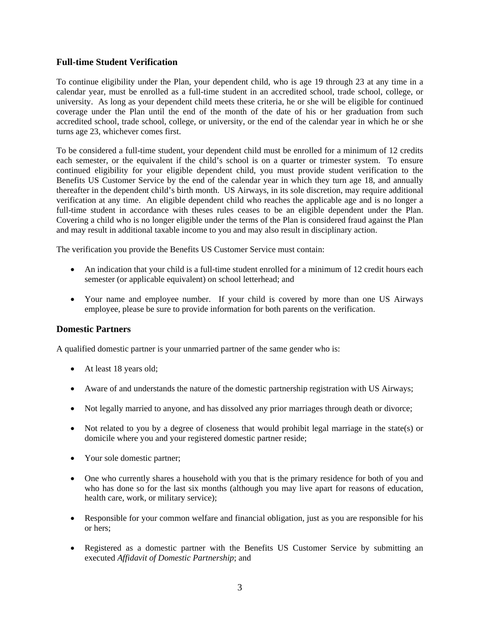#### **Full-time Student Verification**

To continue eligibility under the Plan, your dependent child, who is age 19 through 23 at any time in a calendar year, must be enrolled as a full-time student in an accredited school, trade school, college, or university. As long as your dependent child meets these criteria, he or she will be eligible for continued coverage under the Plan until the end of the month of the date of his or her graduation from such accredited school, trade school, college, or university, or the end of the calendar year in which he or she turns age 23, whichever comes first.

To be considered a full-time student, your dependent child must be enrolled for a minimum of 12 credits each semester, or the equivalent if the child's school is on a quarter or trimester system. To ensure continued eligibility for your eligible dependent child, you must provide student verification to the Benefits US Customer Service by the end of the calendar year in which they turn age 18, and annually thereafter in the dependent child's birth month. US Airways, in its sole discretion, may require additional verification at any time. An eligible dependent child who reaches the applicable age and is no longer a full-time student in accordance with theses rules ceases to be an eligible dependent under the Plan. Covering a child who is no longer eligible under the terms of the Plan is considered fraud against the Plan and may result in additional taxable income to you and may also result in disciplinary action.

The verification you provide the Benefits US Customer Service must contain:

- An indication that your child is a full-time student enrolled for a minimum of 12 credit hours each semester (or applicable equivalent) on school letterhead; and
- Your name and employee number. If your child is covered by more than one US Airways employee, please be sure to provide information for both parents on the verification.

#### **Domestic Partners**

A qualified domestic partner is your unmarried partner of the same gender who is:

- At least 18 years old;
- Aware of and understands the nature of the domestic partnership registration with US Airways;
- Not legally married to anyone, and has dissolved any prior marriages through death or divorce;
- Not related to you by a degree of closeness that would prohibit legal marriage in the state(s) or domicile where you and your registered domestic partner reside;
- Your sole domestic partner;
- One who currently shares a household with you that is the primary residence for both of you and who has done so for the last six months (although you may live apart for reasons of education, health care, work, or military service);
- Responsible for your common welfare and financial obligation, just as you are responsible for his or hers;
- Registered as a domestic partner with the Benefits US Customer Service by submitting an executed *Affidavit of Domestic Partnership*; and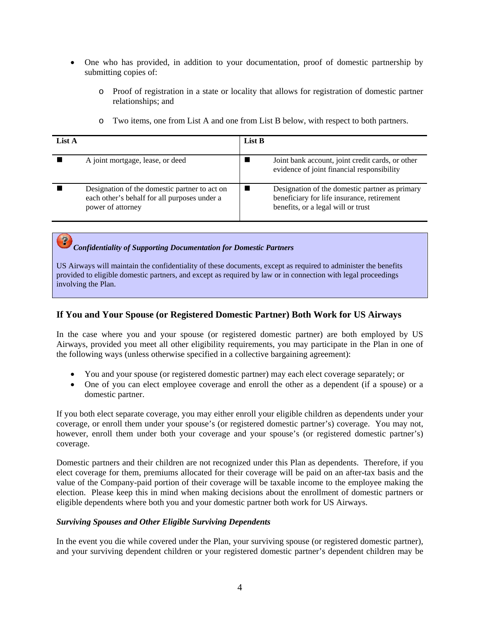- One who has provided, in addition to your documentation, proof of domestic partnership by submitting copies of:
	- o Proof of registration in a state or locality that allows for registration of domestic partner relationships; and

| List A |                                                                                                                    | List B |                                                                                                                                    |
|--------|--------------------------------------------------------------------------------------------------------------------|--------|------------------------------------------------------------------------------------------------------------------------------------|
|        | A joint mortgage, lease, or deed                                                                                   |        | Joint bank account, joint credit cards, or other<br>evidence of joint financial responsibility                                     |
|        | Designation of the domestic partner to act on<br>each other's behalf for all purposes under a<br>power of attorney |        | Designation of the domestic partner as primary<br>beneficiary for life insurance, retirement<br>benefits, or a legal will or trust |

o Two items, one from List A and one from List B below, with respect to both partners.

# *Confidentiality of Supporting Documentation for Domestic Partners*

US Airways will maintain the confidentiality of these documents, except as required to administer the benefits provided to eligible domestic partners, and except as required by law or in connection with legal proceedings involving the Plan.

#### **If You and Your Spouse (or Registered Domestic Partner) Both Work for US Airways**

In the case where you and your spouse (or registered domestic partner) are both employed by US Airways, provided you meet all other eligibility requirements, you may participate in the Plan in one of the following ways (unless otherwise specified in a collective bargaining agreement):

- You and your spouse (or registered domestic partner) may each elect coverage separately; or
- One of you can elect employee coverage and enroll the other as a dependent (if a spouse) or a domestic partner.

If you both elect separate coverage, you may either enroll your eligible children as dependents under your coverage, or enroll them under your spouse's (or registered domestic partner's) coverage. You may not, however, enroll them under both your coverage and your spouse's (or registered domestic partner's) coverage.

Domestic partners and their children are not recognized under this Plan as dependents. Therefore, if you elect coverage for them, premiums allocated for their coverage will be paid on an after-tax basis and the value of the Company-paid portion of their coverage will be taxable income to the employee making the election. Please keep this in mind when making decisions about the enrollment of domestic partners or eligible dependents where both you and your domestic partner both work for US Airways.

#### *Surviving Spouses and Other Eligible Surviving Dependents*

In the event you die while covered under the Plan, your surviving spouse (or registered domestic partner), and your surviving dependent children or your registered domestic partner's dependent children may be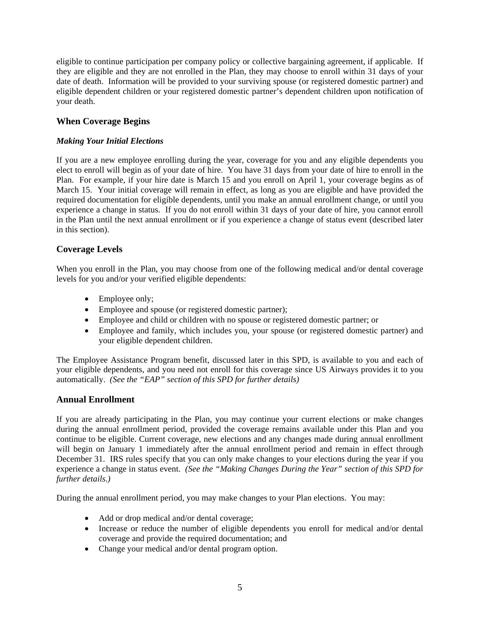eligible to continue participation per company policy or collective bargaining agreement, if applicable. If they are eligible and they are not enrolled in the Plan, they may choose to enroll within 31 days of your date of death. Information will be provided to your surviving spouse (or registered domestic partner) and eligible dependent children or your registered domestic partner's dependent children upon notification of your death.

### **When Coverage Begins**

#### *Making Your Initial Elections*

If you are a new employee enrolling during the year, coverage for you and any eligible dependents you elect to enroll will begin as of your date of hire. You have 31 days from your date of hire to enroll in the Plan. For example, if your hire date is March 15 and you enroll on April 1, your coverage begins as of March 15. Your initial coverage will remain in effect, as long as you are eligible and have provided the required documentation for eligible dependents, until you make an annual enrollment change, or until you experience a change in status. If you do not enroll within 31 days of your date of hire, you cannot enroll in the Plan until the next annual enrollment or if you experience a change of status event (described later in this section).

#### **Coverage Levels**

When you enroll in the Plan, you may choose from one of the following medical and/or dental coverage levels for you and/or your verified eligible dependents:

- Employee only;
- Employee and spouse (or registered domestic partner);
- Employee and child or children with no spouse or registered domestic partner; or
- Employee and family, which includes you, your spouse (or registered domestic partner) and your eligible dependent children.

The Employee Assistance Program benefit, discussed later in this SPD, is available to you and each of your eligible dependents, and you need not enroll for this coverage since US Airways provides it to you automatically. *(See the "EAP" section of this SPD for further details)*

#### **Annual Enrollment**

If you are already participating in the Plan, you may continue your current elections or make changes during the annual enrollment period, provided the coverage remains available under this Plan and you continue to be eligible. Current coverage, new elections and any changes made during annual enrollment will begin on January 1 immediately after the annual enrollment period and remain in effect through December 31. IRS rules specify that you can only make changes to your elections during the year if you experience a change in status event. *(See the "Making Changes During the Year" section of this SPD for further details.)*

During the annual enrollment period, you may make changes to your Plan elections. You may:

- Add or drop medical and/or dental coverage;
- Increase or reduce the number of eligible dependents you enroll for medical and/or dental coverage and provide the required documentation; and
- Change your medical and/or dental program option.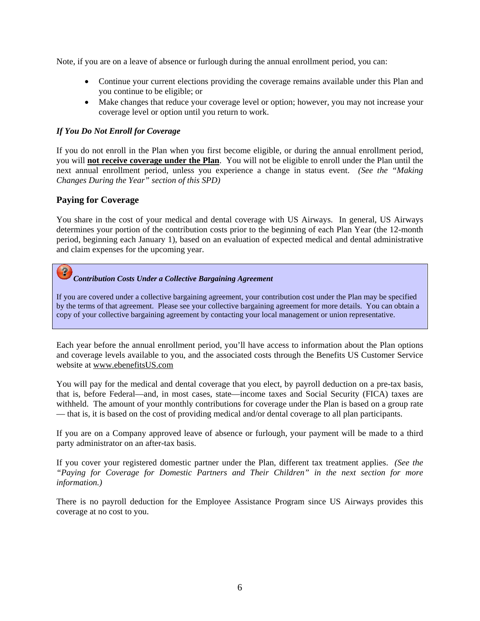Note, if you are on a leave of absence or furlough during the annual enrollment period, you can:

- Continue your current elections providing the coverage remains available under this Plan and you continue to be eligible; or
- Make changes that reduce your coverage level or option; however, you may not increase your coverage level or option until you return to work.

#### *If You Do Not Enroll for Coverage*

If you do not enroll in the Plan when you first become eligible, or during the annual enrollment period, you will **not receive coverage under the Plan**. You will not be eligible to enroll under the Plan until the next annual enrollment period, unless you experience a change in status event. *(See the "Making Changes During the Year" section of this SPD)*

#### **Paying for Coverage**

You share in the cost of your medical and dental coverage with US Airways. In general, US Airways determines your portion of the contribution costs prior to the beginning of each Plan Year (the 12-month period, beginning each January 1), based on an evaluation of expected medical and dental administrative and claim expenses for the upcoming year.

# *Contribution Costs Under a Collective Bargaining Agreement*

If you are covered under a collective bargaining agreement, your contribution cost under the Plan may be specified by the terms of that agreement. Please see your collective bargaining agreement for more details. You can obtain a copy of your collective bargaining agreement by contacting your local management or union representative.

Each year before the annual enrollment period, you'll have access to information about the Plan options and coverage levels available to you, and the associated costs through the Benefits US Customer Service website at www.ebenefitsUS.com

You will pay for the medical and dental coverage that you elect, by payroll deduction on a pre-tax basis, that is, before Federal—and, in most cases, state—income taxes and Social Security (FICA) taxes are withheld. The amount of your monthly contributions for coverage under the Plan is based on a group rate — that is, it is based on the cost of providing medical and/or dental coverage to all plan participants.

If you are on a Company approved leave of absence or furlough, your payment will be made to a third party administrator on an after-tax basis.

If you cover your registered domestic partner under the Plan, different tax treatment applies. *(See the "Paying for Coverage for Domestic Partners and Their Children" in the next section for more information.)*

There is no payroll deduction for the Employee Assistance Program since US Airways provides this coverage at no cost to you.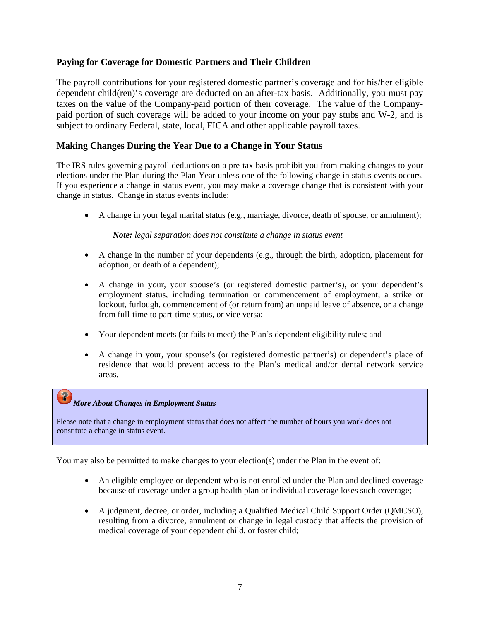#### **Paying for Coverage for Domestic Partners and Their Children**

The payroll contributions for your registered domestic partner's coverage and for his/her eligible dependent child(ren)'s coverage are deducted on an after-tax basis. Additionally, you must pay taxes on the value of the Company-paid portion of their coverage. The value of the Companypaid portion of such coverage will be added to your income on your pay stubs and W-2, and is subject to ordinary Federal, state, local, FICA and other applicable payroll taxes.

#### **Making Changes During the Year Due to a Change in Your Status**

The IRS rules governing payroll deductions on a pre-tax basis prohibit you from making changes to your elections under the Plan during the Plan Year unless one of the following change in status events occurs. If you experience a change in status event, you may make a coverage change that is consistent with your change in status. Change in status events include:

• A change in your legal marital status (e.g., marriage, divorce, death of spouse, or annulment);

#### *Note: legal separation does not constitute a change in status event*

- A change in the number of your dependents (e.g., through the birth, adoption, placement for adoption, or death of a dependent);
- A change in your, your spouse's (or registered domestic partner's), or your dependent's employment status, including termination or commencement of employment, a strike or lockout, furlough, commencement of (or return from) an unpaid leave of absence, or a change from full-time to part-time status, or vice versa;
- Your dependent meets (or fails to meet) the Plan's dependent eligibility rules; and
- A change in your, your spouse's (or registered domestic partner's) or dependent's place of residence that would prevent access to the Plan's medical and/or dental network service areas.

### *More About Changes in Employment Status*

Please note that a change in employment status that does not affect the number of hours you work does not constitute a change in status event.

You may also be permitted to make changes to your election(s) under the Plan in the event of:

- An eligible employee or dependent who is not enrolled under the Plan and declined coverage because of coverage under a group health plan or individual coverage loses such coverage;
- A judgment, decree, or order, including a Qualified Medical Child Support Order (QMCSO), resulting from a divorce, annulment or change in legal custody that affects the provision of medical coverage of your dependent child, or foster child;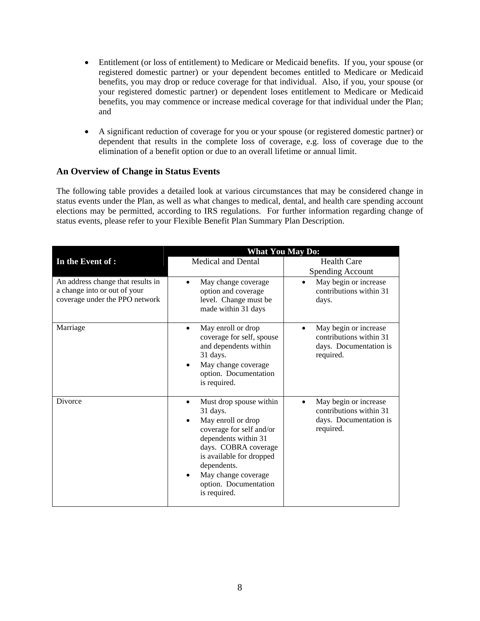- Entitlement (or loss of entitlement) to Medicare or Medicaid benefits. If you, your spouse (or registered domestic partner) or your dependent becomes entitled to Medicare or Medicaid benefits, you may drop or reduce coverage for that individual. Also, if you, your spouse (or your registered domestic partner) or dependent loses entitlement to Medicare or Medicaid benefits, you may commence or increase medical coverage for that individual under the Plan; and
- A significant reduction of coverage for you or your spouse (or registered domestic partner) or dependent that results in the complete loss of coverage, e.g. loss of coverage due to the elimination of a benefit option or due to an overall lifetime or annual limit.

#### **An Overview of Change in Status Events**

The following table provides a detailed look at various circumstances that may be considered change in status events under the Plan, as well as what changes to medical, dental, and health care spending account elections may be permitted, according to IRS regulations. For further information regarding change of status events, please refer to your Flexible Benefit Plan Summary Plan Description.

|                                                                                                     | <b>What You May Do:</b>                                                                                                                                                                                                                                       |                                                                                         |  |  |  |
|-----------------------------------------------------------------------------------------------------|---------------------------------------------------------------------------------------------------------------------------------------------------------------------------------------------------------------------------------------------------------------|-----------------------------------------------------------------------------------------|--|--|--|
| In the Event of :                                                                                   | <b>Medical and Dental</b>                                                                                                                                                                                                                                     | <b>Health Care</b><br><b>Spending Account</b>                                           |  |  |  |
| An address change that results in<br>a change into or out of your<br>coverage under the PPO network | May change coverage<br>$\bullet$<br>option and coverage<br>level. Change must be<br>made within 31 days                                                                                                                                                       | May begin or increase<br>$\bullet$<br>contributions within 31<br>days.                  |  |  |  |
| Marriage                                                                                            | May enroll or drop<br>coverage for self, spouse<br>and dependents within<br>31 days.<br>May change coverage<br>option. Documentation<br>is required.                                                                                                          | May begin or increase<br>contributions within 31<br>days. Documentation is<br>required. |  |  |  |
| Divorce                                                                                             | Must drop spouse within<br>$\bullet$<br>31 days.<br>May enroll or drop<br>coverage for self and/or<br>dependents within 31<br>days. COBRA coverage<br>is available for dropped<br>dependents.<br>May change coverage<br>option. Documentation<br>is required. | May begin or increase<br>contributions within 31<br>days. Documentation is<br>required. |  |  |  |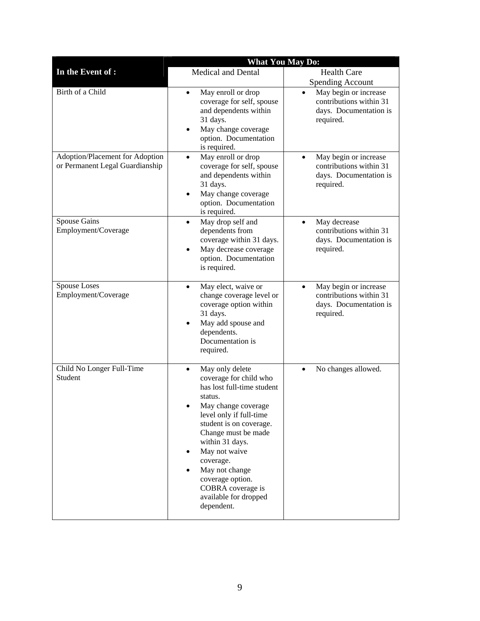|                                                                    | <b>What You May Do:</b>                                                                                                                                                                                                                                                                                                                                     |                                                                                                      |  |  |  |
|--------------------------------------------------------------------|-------------------------------------------------------------------------------------------------------------------------------------------------------------------------------------------------------------------------------------------------------------------------------------------------------------------------------------------------------------|------------------------------------------------------------------------------------------------------|--|--|--|
| In the Event of :                                                  | <b>Medical and Dental</b>                                                                                                                                                                                                                                                                                                                                   | <b>Health Care</b>                                                                                   |  |  |  |
|                                                                    |                                                                                                                                                                                                                                                                                                                                                             | <b>Spending Account</b>                                                                              |  |  |  |
| Birth of a Child                                                   | May enroll or drop<br>$\bullet$<br>coverage for self, spouse<br>and dependents within<br>31 days.<br>May change coverage<br>٠<br>option. Documentation<br>is required.                                                                                                                                                                                      | May begin or increase<br>contributions within 31<br>days. Documentation is<br>required.              |  |  |  |
| Adoption/Placement for Adoption<br>or Permanent Legal Guardianship | May enroll or drop<br>$\bullet$<br>coverage for self, spouse<br>and dependents within<br>31 days.<br>May change coverage<br>٠<br>option. Documentation<br>is required.                                                                                                                                                                                      | May begin or increase<br>$\bullet$<br>contributions within 31<br>days. Documentation is<br>required. |  |  |  |
| Spouse Gains<br>Employment/Coverage                                | May drop self and<br>$\bullet$<br>dependents from<br>coverage within 31 days.<br>May decrease coverage<br>٠<br>option. Documentation<br>is required.                                                                                                                                                                                                        | May decrease<br>$\bullet$<br>contributions within 31<br>days. Documentation is<br>required.          |  |  |  |
| <b>Spouse Loses</b><br>Employment/Coverage                         | May elect, waive or<br>$\bullet$<br>change coverage level or<br>coverage option within<br>31 days.<br>May add spouse and<br>٠<br>dependents.<br>Documentation is<br>required.                                                                                                                                                                               | May begin or increase<br>$\bullet$<br>contributions within 31<br>days. Documentation is<br>required. |  |  |  |
| Child No Longer Full-Time<br>Student                               | May only delete<br>$\bullet$<br>coverage for child who<br>has lost full-time student<br>status.<br>May change coverage<br>level only if full-time<br>student is on coverage.<br>Change must be made<br>within 31 days.<br>May not waive<br>٠<br>coverage.<br>May not change<br>coverage option.<br>COBRA coverage is<br>available for dropped<br>dependent. | No changes allowed.<br>$\bullet$                                                                     |  |  |  |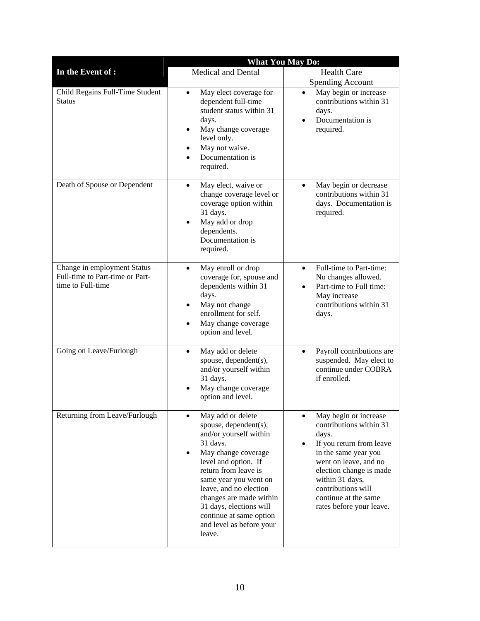|                                                      | <b>What You May Do:</b>                                                                                                                                                                                                                                                                                                                                     |                                                                                                                                                                                                                                                                                          |  |  |  |
|------------------------------------------------------|-------------------------------------------------------------------------------------------------------------------------------------------------------------------------------------------------------------------------------------------------------------------------------------------------------------------------------------------------------------|------------------------------------------------------------------------------------------------------------------------------------------------------------------------------------------------------------------------------------------------------------------------------------------|--|--|--|
| In the Event of :                                    | Medical and Dental                                                                                                                                                                                                                                                                                                                                          | <b>Health Care</b>                                                                                                                                                                                                                                                                       |  |  |  |
| Child Regains Full-Time Student<br><b>Status</b>     | May elect coverage for<br>$\bullet$<br>dependent full-time<br>student status within 31<br>days.<br>May change coverage<br>$\bullet$<br>level only.<br>May not waive.<br>$\bullet$                                                                                                                                                                           | <b>Spending Account</b><br>May begin or increase<br>$\bullet$<br>contributions within 31<br>days.<br>Documentation is<br>$\bullet$<br>required.                                                                                                                                          |  |  |  |
| Death of Spouse or Dependent                         | Documentation is<br>$\bullet$<br>required.<br>May elect, waive or<br>$\bullet$<br>change coverage level or<br>coverage option within<br>31 days.<br>May add or drop<br>$\bullet$                                                                                                                                                                            | May begin or decrease<br>$\bullet$<br>contributions within 31<br>days. Documentation is<br>required.                                                                                                                                                                                     |  |  |  |
| Change in employment Status -                        | dependents.<br>Documentation is<br>required.<br>May enroll or drop<br>$\bullet$                                                                                                                                                                                                                                                                             | Full-time to Part-time:<br>$\bullet$                                                                                                                                                                                                                                                     |  |  |  |
| Full-time to Part-time or Part-<br>time to Full-time | coverage for, spouse and<br>dependents within 31<br>days.<br>May not change<br>$\bullet$<br>enrollment for self.<br>May change coverage<br>٠<br>option and level.                                                                                                                                                                                           | No changes allowed.<br>Part-time to Full time:<br>May increase<br>contributions within 31<br>days.                                                                                                                                                                                       |  |  |  |
| Going on Leave/Furlough                              | May add or delete<br>$\bullet$<br>spouse, dependent(s),<br>and/or yourself within<br>31 days.<br>May change coverage<br>$\bullet$<br>option and level.                                                                                                                                                                                                      | Payroll contributions are<br>$\bullet$<br>suspended. May elect to<br>continue under COBRA<br>if enrolled.                                                                                                                                                                                |  |  |  |
| Returning from Leave/Furlough                        | May add or delete<br>$\bullet$<br>spouse, dependent(s),<br>and/or yourself within<br>31 days.<br>May change coverage<br>$\bullet$<br>level and option. If<br>return from leave is<br>same year you went on<br>leave, and no election<br>changes are made within<br>31 days, elections will<br>continue at same option<br>and level as before your<br>leave. | May begin or increase<br>$\bullet$<br>contributions within 31<br>days.<br>If you return from leave<br>$\bullet$<br>in the same year you<br>went on leave, and no<br>election change is made<br>within 31 days,<br>contributions will<br>continue at the same<br>rates before your leave. |  |  |  |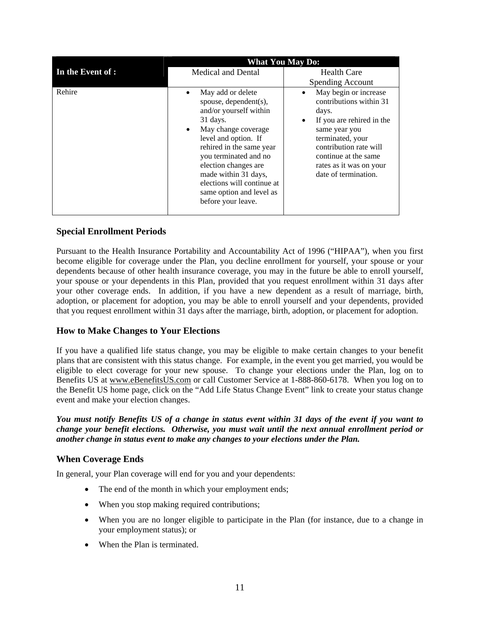|                   | <b>What You May Do:</b>                                                                                                                                                                                                                                                                                                                          |                                                                                                                                                                                                                                                    |  |  |
|-------------------|--------------------------------------------------------------------------------------------------------------------------------------------------------------------------------------------------------------------------------------------------------------------------------------------------------------------------------------------------|----------------------------------------------------------------------------------------------------------------------------------------------------------------------------------------------------------------------------------------------------|--|--|
| In the Event of : | Medical and Dental                                                                                                                                                                                                                                                                                                                               | <b>Health Care</b>                                                                                                                                                                                                                                 |  |  |
|                   |                                                                                                                                                                                                                                                                                                                                                  | <b>Spending Account</b>                                                                                                                                                                                                                            |  |  |
| Rehire            | May add or delete<br>$\bullet$<br>spouse, dependent(s),<br>and/or yourself within<br>$31$ days.<br>May change coverage<br>$\bullet$<br>level and option. If<br>rehired in the same year<br>you terminated and no<br>election changes are<br>made within 31 days,<br>elections will continue at<br>same option and level as<br>before your leave. | May begin or increase<br>٠<br>contributions within 31<br>days.<br>If you are rehired in the<br>$\bullet$<br>same year you<br>terminated, your<br>contribution rate will<br>continue at the same<br>rates as it was on your<br>date of termination. |  |  |

#### **Special Enrollment Periods**

Pursuant to the Health Insurance Portability and Accountability Act of 1996 ("HIPAA"), when you first become eligible for coverage under the Plan, you decline enrollment for yourself, your spouse or your dependents because of other health insurance coverage, you may in the future be able to enroll yourself, your spouse or your dependents in this Plan, provided that you request enrollment within 31 days after your other coverage ends. In addition, if you have a new dependent as a result of marriage, birth, adoption, or placement for adoption, you may be able to enroll yourself and your dependents, provided that you request enrollment within 31 days after the marriage, birth, adoption, or placement for adoption.

#### **How to Make Changes to Your Elections**

If you have a qualified life status change, you may be eligible to make certain changes to your benefit plans that are consistent with this status change. For example, in the event you get married, you would be eligible to elect coverage for your new spouse. To change your elections under the Plan, log on to Benefits US at www.eBenefitsUS.com or call Customer Service at 1-888-860-6178. When you log on to the Benefit US home page, click on the "Add Life Status Change Event" link to create your status change event and make your election changes.

#### *You must notify Benefits US of a change in status event within 31 days of the event if you want to change your benefit elections. Otherwise, you must wait until the next annual enrollment period or another change in status event to make any changes to your elections under the Plan.*

#### **When Coverage Ends**

In general, your Plan coverage will end for you and your dependents:

- The end of the month in which your employment ends;
- When you stop making required contributions;
- When you are no longer eligible to participate in the Plan (for instance, due to a change in your employment status); or
- When the Plan is terminated.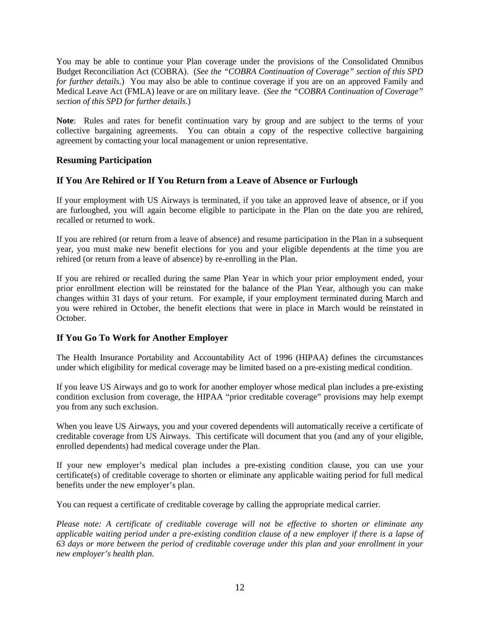You may be able to continue your Plan coverage under the provisions of the Consolidated Omnibus Budget Reconciliation Act (COBRA). (*See the "COBRA Continuation of Coverage" section of this SPD for further details.*) You may also be able to continue coverage if you are on an approved Family and Medical Leave Act (FMLA) leave or are on military leave. (*See the "COBRA Continuation of Coverage" section of this SPD for further details*.)

**Note**: Rules and rates for benefit continuation vary by group and are subject to the terms of your collective bargaining agreements. You can obtain a copy of the respective collective bargaining agreement by contacting your local management or union representative.

#### **Resuming Participation**

#### **If You Are Rehired or If You Return from a Leave of Absence or Furlough**

If your employment with US Airways is terminated, if you take an approved leave of absence, or if you are furloughed, you will again become eligible to participate in the Plan on the date you are rehired, recalled or returned to work.

If you are rehired (or return from a leave of absence) and resume participation in the Plan in a subsequent year, you must make new benefit elections for you and your eligible dependents at the time you are rehired (or return from a leave of absence) by re-enrolling in the Plan.

If you are rehired or recalled during the same Plan Year in which your prior employment ended, your prior enrollment election will be reinstated for the balance of the Plan Year, although you can make changes within 31 days of your return. For example, if your employment terminated during March and you were rehired in October, the benefit elections that were in place in March would be reinstated in October.

#### **If You Go To Work for Another Employer**

The Health Insurance Portability and Accountability Act of 1996 (HIPAA) defines the circumstances under which eligibility for medical coverage may be limited based on a pre-existing medical condition.

If you leave US Airways and go to work for another employer whose medical plan includes a pre-existing condition exclusion from coverage, the HIPAA "prior creditable coverage" provisions may help exempt you from any such exclusion.

When you leave US Airways, you and your covered dependents will automatically receive a certificate of creditable coverage from US Airways. This certificate will document that you (and any of your eligible, enrolled dependents) had medical coverage under the Plan.

If your new employer's medical plan includes a pre-existing condition clause, you can use your certificate(s) of creditable coverage to shorten or eliminate any applicable waiting period for full medical benefits under the new employer's plan.

You can request a certificate of creditable coverage by calling the appropriate medical carrier.

*Please note: A certificate of creditable coverage will not be effective to shorten or eliminate any applicable waiting period under a pre-existing condition clause of a new employer if there is a lapse of 63 days or more between the period of creditable coverage under this plan and your enrollment in your new employer's health plan.*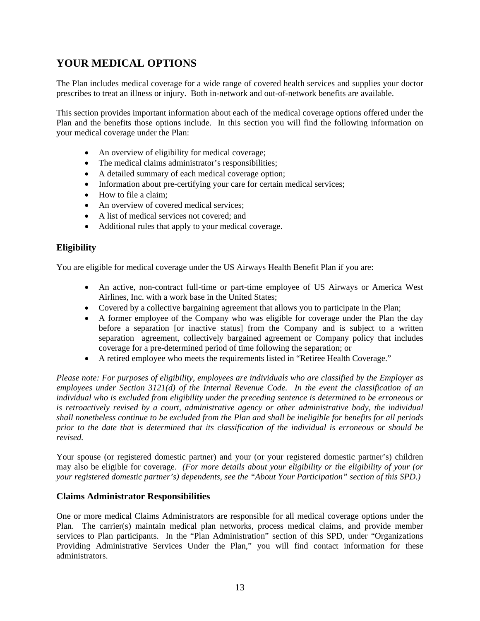# **YOUR MEDICAL OPTIONS**

The Plan includes medical coverage for a wide range of covered health services and supplies your doctor prescribes to treat an illness or injury. Both in-network and out-of-network benefits are available.

This section provides important information about each of the medical coverage options offered under the Plan and the benefits those options include. In this section you will find the following information on your medical coverage under the Plan:

- An overview of eligibility for medical coverage;
- The medical claims administrator's responsibilities;
- A detailed summary of each medical coverage option;
- Information about pre-certifying your care for certain medical services;
- How to file a claim:
- An overview of covered medical services:
- A list of medical services not covered; and
- Additional rules that apply to your medical coverage.

#### **Eligibility**

You are eligible for medical coverage under the US Airways Health Benefit Plan if you are:

- An active, non-contract full-time or part-time employee of US Airways or America West Airlines, Inc. with a work base in the United States;
- Covered by a collective bargaining agreement that allows you to participate in the Plan;
- A former employee of the Company who was eligible for coverage under the Plan the day before a separation [or inactive status] from the Company and is subject to a written separation agreement, collectively bargained agreement or Company policy that includes coverage for a pre-determined period of time following the separation; or
- A retired employee who meets the requirements listed in "Retiree Health Coverage."

*Please note: For purposes of eligibility, employees are individuals who are classified by the Employer as employees under Section 3121(d) of the Internal Revenue Code. In the event the classification of an individual who is excluded from eligibility under the preceding sentence is determined to be erroneous or is retroactively revised by a court, administrative agency or other administrative body, the individual shall nonetheless continue to be excluded from the Plan and shall be ineligible for benefits for all periods prior to the date that is determined that its classification of the individual is erroneous or should be revised.* 

Your spouse (or registered domestic partner) and your (or your registered domestic partner's) children may also be eligible for coverage. *(For more details about your eligibility or the eligibility of your (or your registered domestic partner's) dependents, see the "About Your Participation" section of this SPD.)*

#### **Claims Administrator Responsibilities**

One or more medical Claims Administrators are responsible for all medical coverage options under the Plan. The carrier(s) maintain medical plan networks, process medical claims, and provide member services to Plan participants. In the "Plan Administration" section of this SPD, under "Organizations Providing Administrative Services Under the Plan," you will find contact information for these administrators.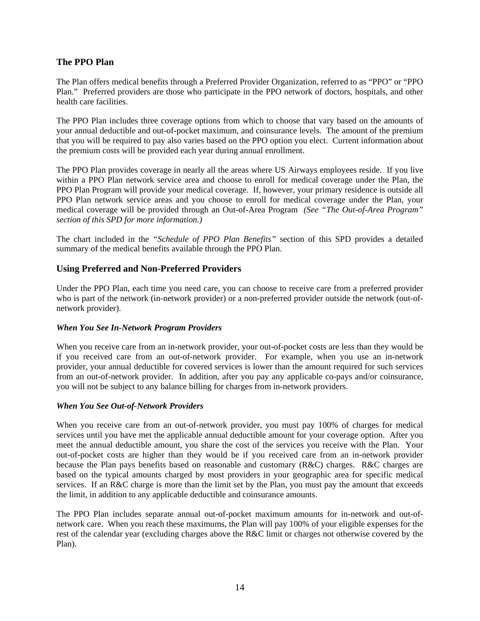#### **The PPO Plan**

The Plan offers medical benefits through a Preferred Provider Organization, referred to as "PPO" or "PPO Plan." Preferred providers are those who participate in the PPO network of doctors, hospitals, and other health care facilities.

The PPO Plan includes three coverage options from which to choose that vary based on the amounts of your annual deductible and out-of-pocket maximum, and coinsurance levels. The amount of the premium that you will be required to pay also varies based on the PPO option you elect. Current information about the premium costs will be provided each year during annual enrollment.

The PPO Plan provides coverage in nearly all the areas where US Airways employees reside. If you live within a PPO Plan network service area and choose to enroll for medical coverage under the Plan, the PPO Plan Program will provide your medical coverage. If, however, your primary residence is outside all PPO Plan network service areas and you choose to enroll for medical coverage under the Plan, your medical coverage will be provided through an Out-of-Area Program *(See "The Out-of-Area Program" section of this SPD for more information.)*

The chart included in the *"Schedule of PPO Plan Benefits"* section of this SPD provides a detailed summary of the medical benefits available through the PPO Plan.

#### **Using Preferred and Non-Preferred Providers**

Under the PPO Plan, each time you need care, you can choose to receive care from a preferred provider who is part of the network (in-network provider) or a non-preferred provider outside the network (out-ofnetwork provider).

#### *When You See In-Network Program Providers*

When you receive care from an in-network provider, your out-of-pocket costs are less than they would be if you received care from an out-of-network provider. For example, when you use an in-network provider, your annual deductible for covered services is lower than the amount required for such services from an out-of-network provider. In addition, after you pay any applicable co-pays and/or coinsurance, you will not be subject to any balance billing for charges from in-network providers.

#### *When You See Out-of-Network Providers*

When you receive care from an out-of-network provider, you must pay 100% of charges for medical services until you have met the applicable annual deductible amount for your coverage option. After you meet the annual deductible amount, you share the cost of the services you receive with the Plan. Your out-of-pocket costs are higher than they would be if you received care from an in-network provider because the Plan pays benefits based on reasonable and customary (R&C) charges. R&C charges are based on the typical amounts charged by most providers in your geographic area for specific medical services. If an R&C charge is more than the limit set by the Plan, you must pay the amount that exceeds the limit, in addition to any applicable deductible and coinsurance amounts.

The PPO Plan includes separate annual out-of-pocket maximum amounts for in-network and out-ofnetwork care. When you reach these maximums, the Plan will pay 100% of your eligible expenses for the rest of the calendar year (excluding charges above the R&C limit or charges not otherwise covered by the Plan).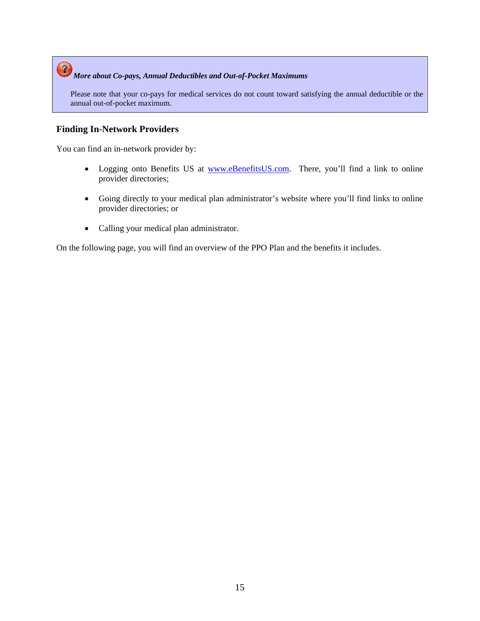# *More about Co-pays, Annual Deductibles and Out-of-Pocket Maximums*

Please note that your co-pays for medical services do not count toward satisfying the annual deductible or the annual out-of-pocket maximum.

#### **Finding In-Network Providers**

You can find an in-network provider by:

- Logging onto Benefits US at www.eBenefitsUS.com. There, you'll find a link to online provider directories;
- Going directly to your medical plan administrator's website where you'll find links to online provider directories; or
- Calling your medical plan administrator.

On the following page, you will find an overview of the PPO Plan and the benefits it includes.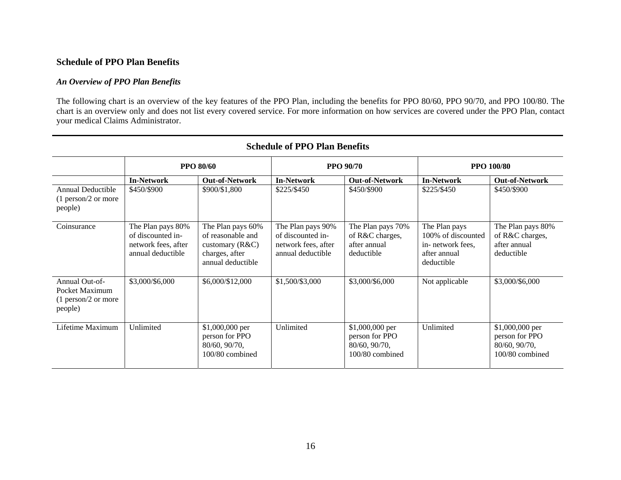#### *An Overview of PPO Plan Benefits*

The following chart is an overview of the key features of the PPO Plan, including the benefits for PPO 80/60, PPO 90/70, and PPO 100/80. The chart is an overview only and does not list every covered service. For more information on how services are covered under the PPO Plan, contact your medical Claims Administrator.

|                                                                      | <b>PPO 80/60</b>                                                                   |                                                                                                    | <b>PPO 90/70</b>                                                                   |                                                                          | <b>PPO 100/80</b>                                                                      |                                                                         |
|----------------------------------------------------------------------|------------------------------------------------------------------------------------|----------------------------------------------------------------------------------------------------|------------------------------------------------------------------------------------|--------------------------------------------------------------------------|----------------------------------------------------------------------------------------|-------------------------------------------------------------------------|
|                                                                      | <b>In-Network</b>                                                                  | <b>Out-of-Network</b>                                                                              | <b>In-Network</b>                                                                  | <b>Out-of-Network</b>                                                    | <b>In-Network</b>                                                                      | <b>Out-of-Network</b>                                                   |
| Annual Deductible<br>$(1$ person/2 or more<br>people)                | \$450/\$900                                                                        | \$900/\$1,800                                                                                      | \$225/\$450                                                                        | \$450/\$900                                                              | \$225/\$450                                                                            | \$450/\$900                                                             |
| Coinsurance                                                          | The Plan pays 80%<br>of discounted in-<br>network fees, after<br>annual deductible | The Plan pays 60%<br>of reasonable and<br>customary $(R&C)$<br>charges, after<br>annual deductible | The Plan pays 90%<br>of discounted in-<br>network fees, after<br>annual deductible | The Plan pays 70%<br>of R&C charges,<br>after annual<br>deductible       | The Plan pays<br>100% of discounted<br>in- network fees,<br>after annual<br>deductible | The Plan pays 80%<br>of R&C charges,<br>after annual<br>deductible      |
| Annual Out-of-<br>Pocket Maximum<br>$(1$ person/2 or more<br>people) | \$3,000/\$6,000                                                                    | \$6,000/\$12,000                                                                                   | \$1,500/\$3,000                                                                    | \$3,000/\$6,000                                                          | Not applicable                                                                         | \$3,000/\$6,000                                                         |
| Lifetime Maximum                                                     | Unlimited                                                                          | \$1,000,000 per<br>person for PPO<br>80/60, 90/70,<br>100/80 combined                              | Unlimited                                                                          | $$1,000,000$ per<br>person for PPO<br>80/60, 90/70,<br>$100/80$ combined | Unlimited                                                                              | \$1,000,000 per<br>person for PPO<br>80/60, 90/70,<br>$100/80$ combined |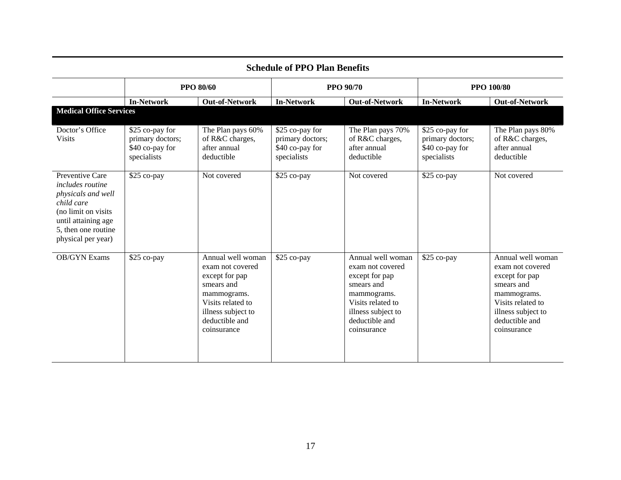| Schedule of FFO Fiall Bellefits                                                                                                                                    |                                                                       |                                                                                                                                                                  |                                                                       |                                                                                                                                                                  |                                                                       |                                                                                                                                                                  |
|--------------------------------------------------------------------------------------------------------------------------------------------------------------------|-----------------------------------------------------------------------|------------------------------------------------------------------------------------------------------------------------------------------------------------------|-----------------------------------------------------------------------|------------------------------------------------------------------------------------------------------------------------------------------------------------------|-----------------------------------------------------------------------|------------------------------------------------------------------------------------------------------------------------------------------------------------------|
|                                                                                                                                                                    | <b>PPO 80/60</b>                                                      |                                                                                                                                                                  | <b>PPO 90/70</b>                                                      |                                                                                                                                                                  | <b>PPO 100/80</b>                                                     |                                                                                                                                                                  |
|                                                                                                                                                                    | <b>In-Network</b>                                                     | <b>Out-of-Network</b>                                                                                                                                            | <b>In-Network</b>                                                     | <b>Out-of-Network</b>                                                                                                                                            | <b>In-Network</b>                                                     | <b>Out-of-Network</b>                                                                                                                                            |
| <b>Medical Office Services</b>                                                                                                                                     |                                                                       |                                                                                                                                                                  |                                                                       |                                                                                                                                                                  |                                                                       |                                                                                                                                                                  |
| Doctor's Office<br><b>Visits</b>                                                                                                                                   | \$25 co-pay for<br>primary doctors;<br>\$40 co-pay for<br>specialists | The Plan pays 60%<br>of R&C charges,<br>after annual<br>deductible                                                                                               | \$25 co-pay for<br>primary doctors;<br>\$40 co-pay for<br>specialists | The Plan pays 70%<br>of R&C charges,<br>after annual<br>deductible                                                                                               | \$25 co-pay for<br>primary doctors;<br>\$40 co-pay for<br>specialists | The Plan pays 80%<br>of R&C charges,<br>after annual<br>deductible                                                                                               |
| Preventive Care<br>includes routine<br>physicals and well<br>child care<br>(no limit on visits<br>until attaining age<br>5, then one routine<br>physical per year) | \$25 co-pay                                                           | Not covered                                                                                                                                                      | \$25 co-pay                                                           | Not covered                                                                                                                                                      | \$25 co-pay                                                           | Not covered                                                                                                                                                      |
| <b>OB/GYN</b> Exams                                                                                                                                                | \$25 co-pay                                                           | Annual well woman<br>exam not covered<br>except for pap<br>smears and<br>mammograms.<br>Visits related to<br>illness subject to<br>deductible and<br>coinsurance | \$25 co-pay                                                           | Annual well woman<br>exam not covered<br>except for pap<br>smears and<br>mammograms.<br>Visits related to<br>illness subject to<br>deductible and<br>coinsurance | \$25 co-pay                                                           | Annual well woman<br>exam not covered<br>except for pap<br>smears and<br>mammograms.<br>Visits related to<br>illness subject to<br>deductible and<br>coinsurance |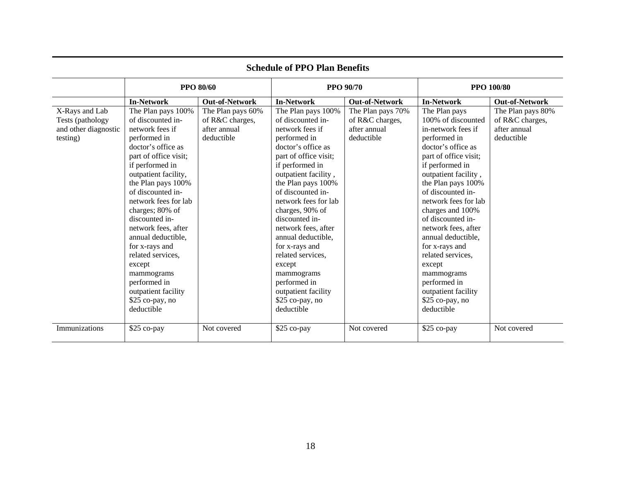| ochtaal of 1 1 O 1 ian Denents                                         |                                                                                                                                                                                                                                                                                                                                                                                                                                                                  |                                                                    |                                                                                                                                                                                                                                                                                                                                                                                                                                                                  |                                                                    |                                                                                                                                                                                                                                                                                                                                                                                                                                                                     |                                                                    |  |
|------------------------------------------------------------------------|------------------------------------------------------------------------------------------------------------------------------------------------------------------------------------------------------------------------------------------------------------------------------------------------------------------------------------------------------------------------------------------------------------------------------------------------------------------|--------------------------------------------------------------------|------------------------------------------------------------------------------------------------------------------------------------------------------------------------------------------------------------------------------------------------------------------------------------------------------------------------------------------------------------------------------------------------------------------------------------------------------------------|--------------------------------------------------------------------|---------------------------------------------------------------------------------------------------------------------------------------------------------------------------------------------------------------------------------------------------------------------------------------------------------------------------------------------------------------------------------------------------------------------------------------------------------------------|--------------------------------------------------------------------|--|
|                                                                        |                                                                                                                                                                                                                                                                                                                                                                                                                                                                  | <b>PPO 80/60</b>                                                   |                                                                                                                                                                                                                                                                                                                                                                                                                                                                  | <b>PPO 90/70</b>                                                   |                                                                                                                                                                                                                                                                                                                                                                                                                                                                     | <b>PPO 100/80</b>                                                  |  |
|                                                                        | <b>In-Network</b>                                                                                                                                                                                                                                                                                                                                                                                                                                                | <b>Out-of-Network</b>                                              | <b>In-Network</b>                                                                                                                                                                                                                                                                                                                                                                                                                                                | <b>Out-of-Network</b>                                              | <b>In-Network</b>                                                                                                                                                                                                                                                                                                                                                                                                                                                   | <b>Out-of-Network</b>                                              |  |
| X-Rays and Lab<br>Tests (pathology<br>and other diagnostic<br>testing) | The Plan pays 100%<br>of discounted in-<br>network fees if<br>performed in<br>doctor's office as<br>part of office visit;<br>if performed in<br>outpatient facility,<br>the Plan pays 100%<br>of discounted in-<br>network fees for lab<br>charges; 80% of<br>discounted in-<br>network fees, after<br>annual deductible,<br>for x-rays and<br>related services,<br>except<br>mammograms<br>performed in<br>outpatient facility<br>\$25 co-pay, no<br>deductible | The Plan pays 60%<br>of R&C charges,<br>after annual<br>deductible | The Plan pays 100%<br>of discounted in-<br>network fees if<br>performed in<br>doctor's office as<br>part of office visit;<br>if performed in<br>outpatient facility,<br>the Plan pays 100%<br>of discounted in-<br>network fees for lab<br>charges, 90% of<br>discounted in-<br>network fees, after<br>annual deductible,<br>for x-rays and<br>related services,<br>except<br>mammograms<br>performed in<br>outpatient facility<br>\$25 co-pay, no<br>deductible | The Plan pays 70%<br>of R&C charges,<br>after annual<br>deductible | The Plan pays<br>100% of discounted<br>in-network fees if<br>performed in<br>doctor's office as<br>part of office visit;<br>if performed in<br>outpatient facility,<br>the Plan pays 100%<br>of discounted in-<br>network fees for lab<br>charges and 100%<br>of discounted in-<br>network fees, after<br>annual deductible,<br>for x-rays and<br>related services,<br>except<br>mammograms<br>performed in<br>outpatient facility<br>\$25 co-pay, no<br>deductible | The Plan pays 80%<br>of R&C charges,<br>after annual<br>deductible |  |
| Immunizations                                                          | \$25 co-pay                                                                                                                                                                                                                                                                                                                                                                                                                                                      | Not covered                                                        | \$25 co-pay                                                                                                                                                                                                                                                                                                                                                                                                                                                      | Not covered                                                        | \$25 co-pay                                                                                                                                                                                                                                                                                                                                                                                                                                                         | Not covered                                                        |  |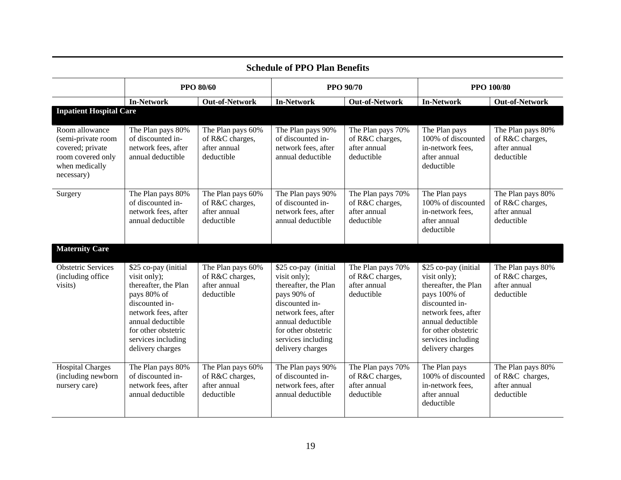| Schedule of PPO Plan Benefits                                                                                 |                                                                                                                                                                                                            |                                                                    |                                                                                                                                                                                                            |                                                                    |                                                                                                                                                                                                             |                                                                    |  |
|---------------------------------------------------------------------------------------------------------------|------------------------------------------------------------------------------------------------------------------------------------------------------------------------------------------------------------|--------------------------------------------------------------------|------------------------------------------------------------------------------------------------------------------------------------------------------------------------------------------------------------|--------------------------------------------------------------------|-------------------------------------------------------------------------------------------------------------------------------------------------------------------------------------------------------------|--------------------------------------------------------------------|--|
|                                                                                                               |                                                                                                                                                                                                            | <b>PPO 80/60</b>                                                   |                                                                                                                                                                                                            | <b>PPO 90/70</b>                                                   |                                                                                                                                                                                                             | <b>PPO 100/80</b>                                                  |  |
|                                                                                                               | <b>In-Network</b>                                                                                                                                                                                          | Out-of-Network                                                     | <b>In-Network</b>                                                                                                                                                                                          | <b>Out-of-Network</b>                                              | <b>In-Network</b>                                                                                                                                                                                           | <b>Out-of-Network</b>                                              |  |
| <b>Inpatient Hospital Care</b>                                                                                |                                                                                                                                                                                                            |                                                                    |                                                                                                                                                                                                            |                                                                    |                                                                                                                                                                                                             |                                                                    |  |
| Room allowance<br>(semi-private room<br>covered; private<br>room covered only<br>when medically<br>necessary) | The Plan pays 80%<br>of discounted in-<br>network fees, after<br>annual deductible                                                                                                                         | The Plan pays 60%<br>of R&C charges,<br>after annual<br>deductible | The Plan pays 90%<br>of discounted in-<br>network fees, after<br>annual deductible                                                                                                                         | The Plan pays 70%<br>of R&C charges,<br>after annual<br>deductible | The Plan pays<br>100% of discounted<br>in-network fees,<br>after annual<br>deductible                                                                                                                       | The Plan pays 80%<br>of R&C charges,<br>after annual<br>deductible |  |
| Surgery                                                                                                       | The Plan pays 80%<br>of discounted in-<br>network fees, after<br>annual deductible                                                                                                                         | The Plan pays 60%<br>of R&C charges,<br>after annual<br>deductible | The Plan pays 90%<br>of discounted in-<br>network fees, after<br>annual deductible                                                                                                                         | The Plan pays 70%<br>of R&C charges,<br>after annual<br>deductible | The Plan pays<br>100% of discounted<br>in-network fees,<br>after annual<br>deductible                                                                                                                       | The Plan pays 80%<br>of R&C charges,<br>after annual<br>deductible |  |
| <b>Maternity Care</b>                                                                                         |                                                                                                                                                                                                            |                                                                    |                                                                                                                                                                                                            |                                                                    |                                                                                                                                                                                                             |                                                                    |  |
| <b>Obstetric Services</b><br>(including office)<br>visits)                                                    | \$25 co-pay (initial<br>visit only);<br>thereafter, the Plan<br>pays 80% of<br>discounted in-<br>network fees, after<br>annual deductible<br>for other obstetric<br>services including<br>delivery charges | The Plan pays 60%<br>of R&C charges,<br>after annual<br>deductible | \$25 co-pay (initial<br>visit only);<br>thereafter, the Plan<br>pays 90% of<br>discounted in-<br>network fees, after<br>annual deductible<br>for other obstetric<br>services including<br>delivery charges | The Plan pays 70%<br>of R&C charges,<br>after annual<br>deductible | \$25 co-pay (initial<br>visit only);<br>thereafter, the Plan<br>pays 100% of<br>discounted in-<br>network fees, after<br>annual deductible<br>for other obstetric<br>services including<br>delivery charges | The Plan pays 80%<br>of R&C charges,<br>after annual<br>deductible |  |
| <b>Hospital Charges</b><br>(including newborn<br>nursery care)                                                | The Plan pays 80%<br>of discounted in-<br>network fees, after<br>annual deductible                                                                                                                         | The Plan pays 60%<br>of R&C charges,<br>after annual<br>deductible | The Plan pays 90%<br>of discounted in-<br>network fees, after<br>annual deductible                                                                                                                         | The Plan pays 70%<br>of R&C charges,<br>after annual<br>deductible | The Plan pays<br>100% of discounted<br>in-network fees,<br>after annual<br>deductible                                                                                                                       | The Plan pays 80%<br>of R&C charges,<br>after annual<br>deductible |  |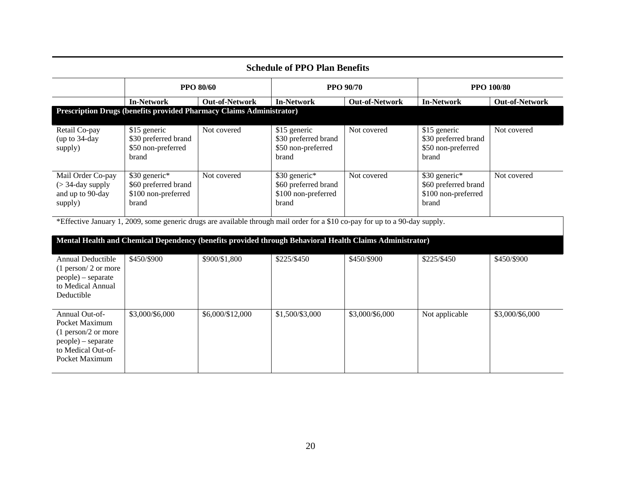| <b>Schedule of PPO Plan Benefits</b>                                                                                    |                                                                       |                       |                                                                                                                              |                       |                                                                       |                       |  |
|-------------------------------------------------------------------------------------------------------------------------|-----------------------------------------------------------------------|-----------------------|------------------------------------------------------------------------------------------------------------------------------|-----------------------|-----------------------------------------------------------------------|-----------------------|--|
|                                                                                                                         | <b>PPO 80/60</b>                                                      |                       |                                                                                                                              | <b>PPO 90/70</b>      | <b>PPO 100/80</b>                                                     |                       |  |
|                                                                                                                         | <b>In-Network</b>                                                     | <b>Out-of-Network</b> | <b>In-Network</b>                                                                                                            | <b>Out-of-Network</b> | <b>In-Network</b>                                                     | <b>Out-of-Network</b> |  |
|                                                                                                                         | Prescription Drugs (benefits provided Pharmacy Claims Administrator)  |                       |                                                                                                                              |                       |                                                                       |                       |  |
| Retail Co-pay<br>(up to 34-day<br>supply)                                                                               | \$15 generic<br>\$30 preferred brand<br>\$50 non-preferred<br>brand   | Not covered           | \$15 generic<br>\$30 preferred brand<br>\$50 non-preferred<br>brand                                                          | Not covered           | \$15 generic<br>\$30 preferred brand<br>\$50 non-preferred<br>brand   | Not covered           |  |
| Mail Order Co-pay<br>$($ > 34-day supply<br>and up to 90-day<br>supply)                                                 | \$30 generic*<br>\$60 preferred brand<br>\$100 non-preferred<br>brand | Not covered           | \$30 generic*<br>\$60 preferred brand<br>\$100 non-preferred<br>brand                                                        | Not covered           | \$30 generic*<br>\$60 preferred brand<br>\$100 non-preferred<br>brand | Not covered           |  |
|                                                                                                                         |                                                                       |                       | *Effective January 1, 2009, some generic drugs are available through mail order for a \$10 co-pay for up to a 90-day supply. |                       |                                                                       |                       |  |
|                                                                                                                         |                                                                       |                       | Mental Health and Chemical Dependency (benefits provided through Behavioral Health Claims Administrator)                     |                       |                                                                       |                       |  |
| Annual Deductible<br>$(1$ person/ 2 or more<br>people) – separate<br>to Medical Annual<br>Deductible                    | \$450/\$900                                                           | \$900/\$1,800         | \$225/\$450                                                                                                                  | \$450/\$900           | \$225/\$450                                                           | \$450/\$900           |  |
| Annual Out-of-<br>Pocket Maximum<br>$(1$ person/2 or more<br>people) – separate<br>to Medical Out-of-<br>Pocket Maximum | \$3,000/\$6,000                                                       | \$6,000/\$12,000      | \$1,500/\$3,000                                                                                                              | \$3,000/\$6,000       | Not applicable                                                        | \$3,000/\$6,000       |  |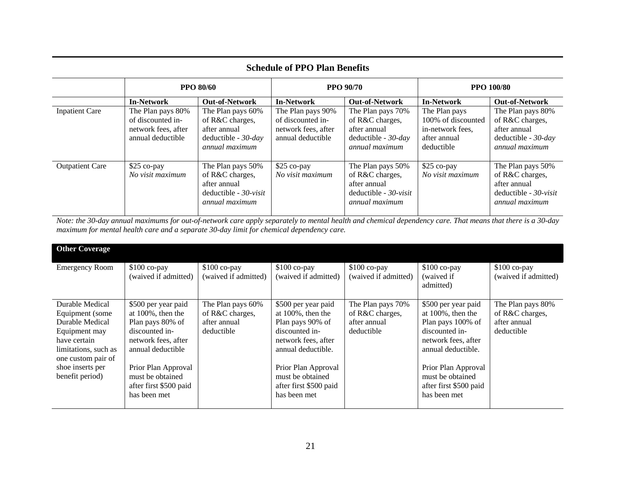| <b>Schedule of PPO Plan Benefits</b> |                                                                                    |                                                                                                           |                                                                                    |                                                                                                     |                                                                                       |                                                                                                    |  |  |
|--------------------------------------|------------------------------------------------------------------------------------|-----------------------------------------------------------------------------------------------------------|------------------------------------------------------------------------------------|-----------------------------------------------------------------------------------------------------|---------------------------------------------------------------------------------------|----------------------------------------------------------------------------------------------------|--|--|
|                                      | <b>PPO 80/60</b>                                                                   |                                                                                                           | <b>PPO 90/70</b>                                                                   |                                                                                                     | <b>PPO 100/80</b>                                                                     |                                                                                                    |  |  |
|                                      | <b>In-Network</b>                                                                  | <b>Out-of-Network</b>                                                                                     | <b>In-Network</b>                                                                  | <b>Out-of-Network</b>                                                                               | <b>In-Network</b>                                                                     | <b>Out-of-Network</b>                                                                              |  |  |
| <b>Inpatient Care</b>                | The Plan pays 80%<br>of discounted in-<br>network fees, after<br>annual deductible | The Plan pays 60%<br>of R&C charges,<br>after annual<br>deductible - $30$ -day<br><i>annual maximum</i>   | The Plan pays 90%<br>of discounted in-<br>network fees, after<br>annual deductible | The Plan pays 70%<br>of R&C charges,<br>after annual<br>deductible - $30$ - $day$<br>annual maximum | The Plan pays<br>100% of discounted<br>in-network fees,<br>after annual<br>deductible | The Plan pays 80%<br>of R&C charges,<br>after annual<br>deductible - $30$ -day<br>annual maximum   |  |  |
| <b>Outpatient Care</b>               | \$25 co-pay<br>No visit maximum                                                    | The Plan pays 50%<br>of R&C charges,<br>after annual<br>deductible - $30$ -visit<br><i>annual maximum</i> | $$25$ co-pay<br>No visit maximum                                                   | The Plan pays 50%<br>of R&C charges,<br>after annual<br>deductible - $30$ -visit<br>annual maximum  | $$25$ co-pay<br>No visit maximum                                                      | The Plan pays 50%<br>of R&C charges,<br>after annual<br>deductible - $30$ -visit<br>annual maximum |  |  |

*Note: the 30-day annual maximums for out-of-network care apply separately to mental health and chemical dependency care. That means that there is a 30-day maximum for mental health care and a separate 30-day limit for chemical dependency care.* 

| <b>Other Coverage</b>                                                                                                                                                        |                                                                                                                                                                                                                     |                                                                    |                                                                                                                                                                                                                      |                                                                    |                                                                                                                                                                                                                       |                                                                    |
|------------------------------------------------------------------------------------------------------------------------------------------------------------------------------|---------------------------------------------------------------------------------------------------------------------------------------------------------------------------------------------------------------------|--------------------------------------------------------------------|----------------------------------------------------------------------------------------------------------------------------------------------------------------------------------------------------------------------|--------------------------------------------------------------------|-----------------------------------------------------------------------------------------------------------------------------------------------------------------------------------------------------------------------|--------------------------------------------------------------------|
| <b>Emergency Room</b>                                                                                                                                                        | $$100$ co-pay<br>(waived if admitted)                                                                                                                                                                               | $$100$ co-pay<br>(waived if admitted)                              | $$100$ co-pay<br>(waived if admitted)                                                                                                                                                                                | $$100$ co-pay<br>(waived if admitted)                              | $$100$ co-pay<br>(waived if<br>admitted)                                                                                                                                                                              | $$100$ co-pay<br>(waived if admitted)                              |
| Durable Medical<br>Equipment (some)<br>Durable Medical<br>Equipment may<br>have certain<br>limitations, such as<br>one custom pair of<br>shoe inserts per<br>benefit period) | \$500 per year paid<br>at $100\%$ , then the<br>Plan pays 80% of<br>discounted in-<br>network fees, after<br>annual deductible<br>Prior Plan Approval<br>must be obtained<br>after first \$500 paid<br>has been met | The Plan pays 60%<br>of R&C charges,<br>after annual<br>deductible | \$500 per year paid<br>at $100\%$ , then the<br>Plan pays 90% of<br>discounted in-<br>network fees, after<br>annual deductible.<br>Prior Plan Approval<br>must be obtained<br>after first \$500 paid<br>has been met | The Plan pays 70%<br>of R&C charges,<br>after annual<br>deductible | \$500 per year paid<br>at $100\%$ , then the<br>Plan pays 100% of<br>discounted in-<br>network fees, after<br>annual deductible.<br>Prior Plan Approval<br>must be obtained<br>after first \$500 paid<br>has been met | The Plan pays 80%<br>of R&C charges,<br>after annual<br>deductible |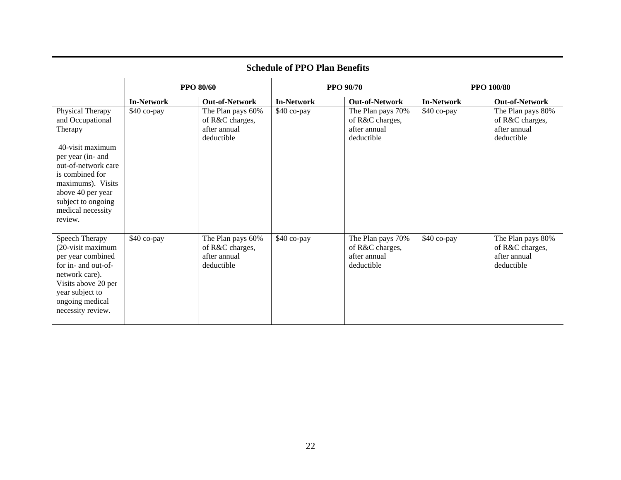|                                                                                                                                                                                                                                    | <b>PPO 80/60</b>  |                                                                    | <b>PPO 90/70</b>  |                                                                    | <b>PPO 100/80</b> |                                                                    |  |
|------------------------------------------------------------------------------------------------------------------------------------------------------------------------------------------------------------------------------------|-------------------|--------------------------------------------------------------------|-------------------|--------------------------------------------------------------------|-------------------|--------------------------------------------------------------------|--|
|                                                                                                                                                                                                                                    | <b>In-Network</b> | <b>Out-of-Network</b>                                              | <b>In-Network</b> | <b>Out-of-Network</b>                                              | <b>In-Network</b> | <b>Out-of-Network</b>                                              |  |
| Physical Therapy<br>and Occupational<br>Therapy<br>40-visit maximum<br>per year (in- and<br>out-of-network care<br>is combined for<br>maximums). Visits<br>above 40 per year<br>subject to ongoing<br>medical necessity<br>review. | \$40 co-pay       | The Plan pays 60%<br>of R&C charges,<br>after annual<br>deductible | \$40 co-pay       | The Plan pays 70%<br>of R&C charges,<br>after annual<br>deductible | \$40 co-pay       | The Plan pays 80%<br>of R&C charges,<br>after annual<br>deductible |  |
| Speech Therapy<br>(20-visit maximum<br>per year combined<br>for in- and out-of-<br>network care).<br>Visits above 20 per<br>year subject to<br>ongoing medical<br>necessity review.                                                | \$40 co-pay       | The Plan pays 60%<br>of R&C charges,<br>after annual<br>deductible | \$40 co-pay       | The Plan pays 70%<br>of R&C charges,<br>after annual<br>deductible | \$40 co-pay       | The Plan pays 80%<br>of R&C charges,<br>after annual<br>deductible |  |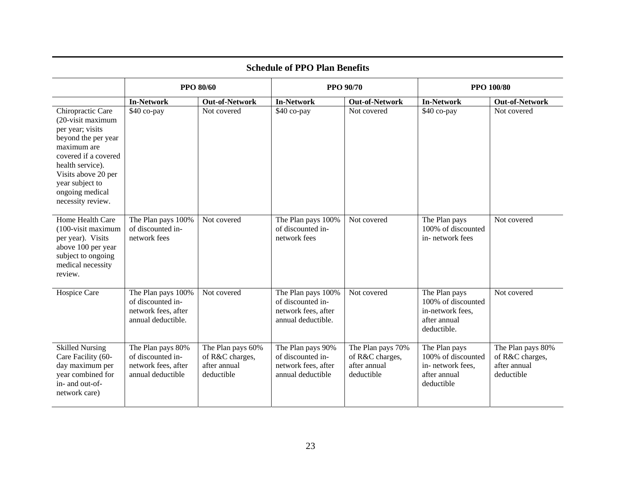|                                                                                                                                                                                                                                | <b>PPO 80/60</b>                                                                     |                                                                    | <b>PPO 90/70</b>                                                                     |                                                                    |                                                                                        | <b>PPO 100/80</b>                                                  |  |
|--------------------------------------------------------------------------------------------------------------------------------------------------------------------------------------------------------------------------------|--------------------------------------------------------------------------------------|--------------------------------------------------------------------|--------------------------------------------------------------------------------------|--------------------------------------------------------------------|----------------------------------------------------------------------------------------|--------------------------------------------------------------------|--|
|                                                                                                                                                                                                                                | <b>In-Network</b>                                                                    | <b>Out-of-Network</b>                                              | <b>In-Network</b>                                                                    | <b>Out-of-Network</b>                                              | <b>In-Network</b>                                                                      | <b>Out-of-Network</b>                                              |  |
| Chiropractic Care<br>(20-visit maximum<br>per year; visits<br>beyond the per year<br>maximum are<br>covered if a covered<br>health service).<br>Visits above 20 per<br>year subject to<br>ongoing medical<br>necessity review. | \$40 co-pay                                                                          | Not covered                                                        | \$40 co-pay                                                                          | Not covered                                                        | \$40 co-pay                                                                            | Not covered                                                        |  |
| Home Health Care<br>$(100 - visit maximum)$<br>per year). Visits<br>above 100 per year<br>subject to ongoing<br>medical necessity<br>review.                                                                                   | The Plan pays 100%<br>of discounted in-<br>network fees                              | Not covered                                                        | The Plan pays 100%<br>of discounted in-<br>network fees                              | Not covered                                                        | The Plan pays<br>100% of discounted<br>in-network fees                                 | Not covered                                                        |  |
| Hospice Care                                                                                                                                                                                                                   | The Plan pays 100%<br>of discounted in-<br>network fees, after<br>annual deductible. | Not covered                                                        | The Plan pays 100%<br>of discounted in-<br>network fees, after<br>annual deductible. | Not covered                                                        | The Plan pays<br>100% of discounted<br>in-network fees,<br>after annual<br>deductible. | Not covered                                                        |  |
| <b>Skilled Nursing</b><br>Care Facility (60-<br>day maximum per<br>year combined for<br>in- and out-of-<br>network care)                                                                                                       | The Plan pays 80%<br>of discounted in-<br>network fees, after<br>annual deductible   | The Plan pays 60%<br>of R&C charges,<br>after annual<br>deductible | The Plan pays 90%<br>of discounted in-<br>network fees, after<br>annual deductible   | The Plan pays 70%<br>of R&C charges,<br>after annual<br>deductible | The Plan pays<br>100% of discounted<br>in-network fees,<br>after annual<br>deductible  | The Plan pays 80%<br>of R&C charges,<br>after annual<br>deductible |  |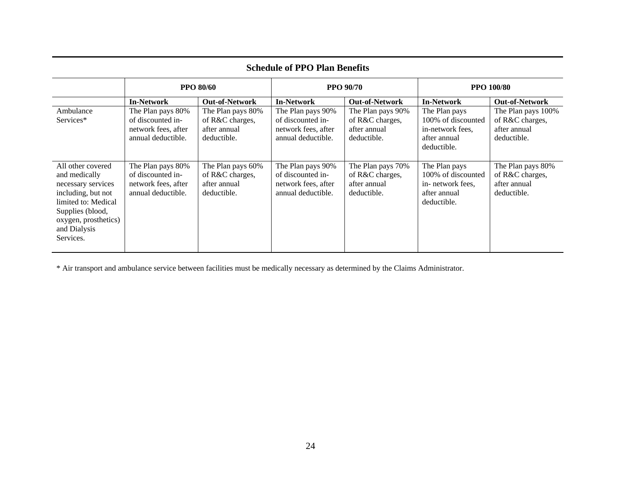| <b>Schedule of PPO Plan Benefits</b>                                                                                                                                           |                                                                                     |                                                                     |                                                                                     |                                                                     |                                                                                        |                                                                      |  |
|--------------------------------------------------------------------------------------------------------------------------------------------------------------------------------|-------------------------------------------------------------------------------------|---------------------------------------------------------------------|-------------------------------------------------------------------------------------|---------------------------------------------------------------------|----------------------------------------------------------------------------------------|----------------------------------------------------------------------|--|
|                                                                                                                                                                                |                                                                                     | <b>PPO 80/60</b>                                                    | <b>PPO 90/70</b>                                                                    |                                                                     | <b>PPO 100/80</b>                                                                      |                                                                      |  |
|                                                                                                                                                                                | <b>In-Network</b>                                                                   | <b>Out-of-Network</b>                                               | <b>In-Network</b>                                                                   | <b>Out-of-Network</b>                                               | <b>In-Network</b>                                                                      | <b>Out-of-Network</b>                                                |  |
| Ambulance<br>Services*                                                                                                                                                         | The Plan pays 80%<br>of discounted in-<br>network fees, after<br>annual deductible. | The Plan pays 80%<br>of R&C charges,<br>after annual<br>deductible. | The Plan pays 90%<br>of discounted in-<br>network fees, after<br>annual deductible. | The Plan pays 90%<br>of R&C charges,<br>after annual<br>deductible. | The Plan pays<br>100% of discounted<br>in-network fees.<br>after annual<br>deductible. | The Plan pays 100%<br>of R&C charges,<br>after annual<br>deductible. |  |
| All other covered<br>and medically<br>necessary services<br>including, but not<br>limited to: Medical<br>Supplies (blood,<br>oxygen, prosthetics)<br>and Dialysis<br>Services. | The Plan pays 80%<br>of discounted in-<br>network fees, after<br>annual deductible. | The Plan pays 60%<br>of R&C charges,<br>after annual<br>deductible. | The Plan pays 90%<br>of discounted in-<br>network fees, after<br>annual deductible. | The Plan pays 70%<br>of R&C charges,<br>after annual<br>deductible. | The Plan pays<br>100% of discounted<br>in-network fees,<br>after annual<br>deductible. | The Plan pays 80%<br>of R&C charges,<br>after annual<br>deductible.  |  |

\* Air transport and ambulance service between facilities must be medically necessary as determined by the Claims Administrator.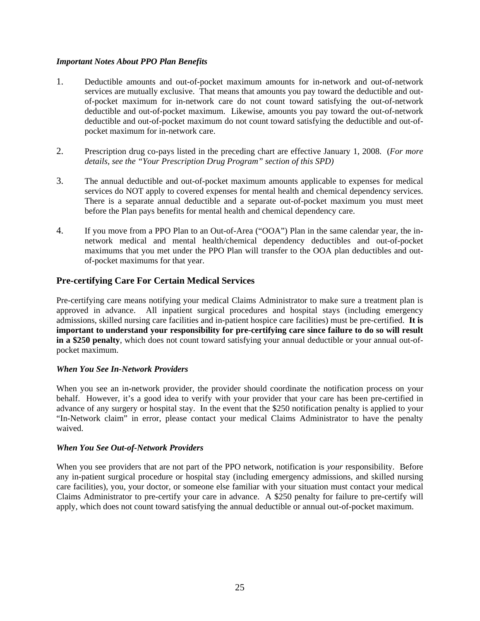#### *Important Notes About PPO Plan Benefits*

- 1. Deductible amounts and out-of-pocket maximum amounts for in-network and out-of-network services are mutually exclusive. That means that amounts you pay toward the deductible and outof-pocket maximum for in-network care do not count toward satisfying the out-of-network deductible and out-of-pocket maximum. Likewise, amounts you pay toward the out-of-network deductible and out-of-pocket maximum do not count toward satisfying the deductible and out-ofpocket maximum for in-network care.
- 2. Prescription drug co-pays listed in the preceding chart are effective January 1, 2008. (*For more details, see the "Your Prescription Drug Program" section of this SPD)*
- 3. The annual deductible and out-of-pocket maximum amounts applicable to expenses for medical services do NOT apply to covered expenses for mental health and chemical dependency services. There is a separate annual deductible and a separate out-of-pocket maximum you must meet before the Plan pays benefits for mental health and chemical dependency care.
- 4. If you move from a PPO Plan to an Out-of-Area ("OOA") Plan in the same calendar year, the innetwork medical and mental health/chemical dependency deductibles and out-of-pocket maximums that you met under the PPO Plan will transfer to the OOA plan deductibles and outof-pocket maximums for that year.

#### **Pre-certifying Care For Certain Medical Services**

Pre-certifying care means notifying your medical Claims Administrator to make sure a treatment plan is approved in advance. All inpatient surgical procedures and hospital stays (including emergency admissions, skilled nursing care facilities and in-patient hospice care facilities) must be pre-certified. **It is important to understand your responsibility for pre-certifying care since failure to do so will result in a \$250 penalty**, which does not count toward satisfying your annual deductible or your annual out-ofpocket maximum.

#### *When You See In-Network Providers*

When you see an in-network provider, the provider should coordinate the notification process on your behalf. However, it's a good idea to verify with your provider that your care has been pre-certified in advance of any surgery or hospital stay. In the event that the \$250 notification penalty is applied to your "In-Network claim" in error, please contact your medical Claims Administrator to have the penalty waived.

#### *When You See Out-of-Network Providers*

When you see providers that are not part of the PPO network, notification is *your* responsibility. Before any in-patient surgical procedure or hospital stay (including emergency admissions, and skilled nursing care facilities), you, your doctor, or someone else familiar with your situation must contact your medical Claims Administrator to pre-certify your care in advance. A \$250 penalty for failure to pre-certify will apply, which does not count toward satisfying the annual deductible or annual out-of-pocket maximum.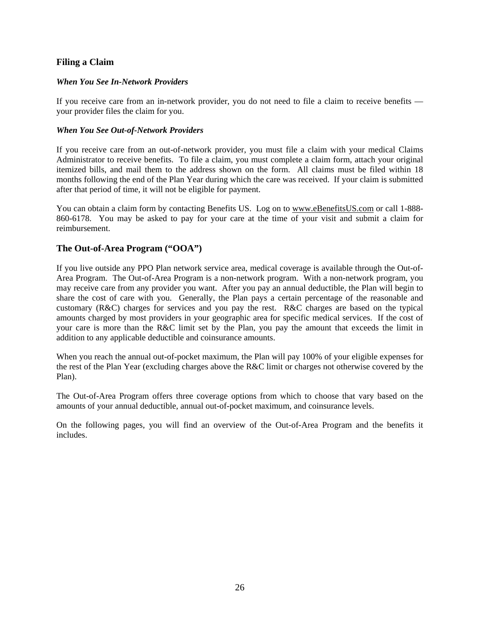#### **Filing a Claim**

#### *When You See In-Network Providers*

If you receive care from an in-network provider, you do not need to file a claim to receive benefits your provider files the claim for you.

#### *When You See Out-of-Network Providers*

If you receive care from an out-of-network provider, you must file a claim with your medical Claims Administrator to receive benefits. To file a claim, you must complete a claim form, attach your original itemized bills, and mail them to the address shown on the form. All claims must be filed within 18 months following the end of the Plan Year during which the care was received. If your claim is submitted after that period of time, it will not be eligible for payment.

You can obtain a claim form by contacting Benefits US. Log on to www.eBenefitsUS.com or call 1-888- 860-6178. You may be asked to pay for your care at the time of your visit and submit a claim for reimbursement.

#### **The Out-of-Area Program ("OOA")**

If you live outside any PPO Plan network service area, medical coverage is available through the Out-of-Area Program. The Out-of-Area Program is a non-network program. With a non-network program, you may receive care from any provider you want. After you pay an annual deductible, the Plan will begin to share the cost of care with you. Generally, the Plan pays a certain percentage of the reasonable and customary (R&C) charges for services and you pay the rest. R&C charges are based on the typical amounts charged by most providers in your geographic area for specific medical services. If the cost of your care is more than the R&C limit set by the Plan, you pay the amount that exceeds the limit in addition to any applicable deductible and coinsurance amounts.

When you reach the annual out-of-pocket maximum, the Plan will pay 100% of your eligible expenses for the rest of the Plan Year (excluding charges above the R&C limit or charges not otherwise covered by the Plan).

The Out-of-Area Program offers three coverage options from which to choose that vary based on the amounts of your annual deductible, annual out-of-pocket maximum, and coinsurance levels.

On the following pages, you will find an overview of the Out-of-Area Program and the benefits it includes.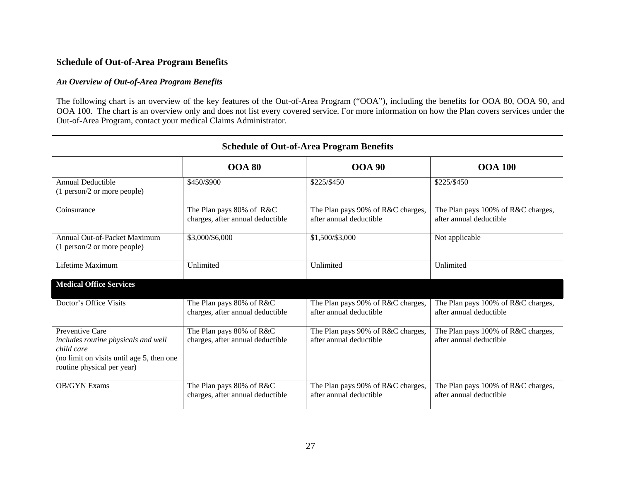#### **Schedule of Out-of-Area Program Benefits**

#### *An Overview of Out-of-Area Program Benefits*

The following chart is an overview of the key features of the Out-of-Area Program ("OOA"), including the benefits for OOA 80, OOA 90, and OOA 100. The chart is an overview only and does not list every covered service. For more information on how the Plan covers services under the Out-of-Area Program, contact your medical Claims Administrator.

| $\alpha$ of $\alpha$ or $\alpha$ in $\alpha$ is $\alpha$ in $\alpha$ in $\alpha$                                                                |                                                              |                                                              |                                                               |  |  |  |  |
|-------------------------------------------------------------------------------------------------------------------------------------------------|--------------------------------------------------------------|--------------------------------------------------------------|---------------------------------------------------------------|--|--|--|--|
|                                                                                                                                                 | <b>OOA 80</b>                                                | <b>OOA 90</b>                                                | <b>OOA 100</b>                                                |  |  |  |  |
| Annual Deductible<br>(1 person/2 or more people)                                                                                                | \$450/\$900                                                  | \$225/\$450                                                  | \$225/\$450                                                   |  |  |  |  |
| Coinsurance                                                                                                                                     | The Plan pays 80% of R&C<br>charges, after annual deductible | The Plan pays 90% of R&C charges,<br>after annual deductible | The Plan pays 100% of R&C charges,<br>after annual deductible |  |  |  |  |
| Annual Out-of-Packet Maximum<br>(1 person/2 or more people)                                                                                     | \$3,000/\$6,000                                              | \$1,500/\$3,000                                              | Not applicable                                                |  |  |  |  |
| Lifetime Maximum                                                                                                                                | Unlimited                                                    | Unlimited                                                    | Unlimited                                                     |  |  |  |  |
| <b>Medical Office Services</b>                                                                                                                  |                                                              |                                                              |                                                               |  |  |  |  |
| Doctor's Office Visits                                                                                                                          | The Plan pays 80% of R&C<br>charges, after annual deductible | The Plan pays 90% of R&C charges,<br>after annual deductible | The Plan pays 100% of R&C charges,<br>after annual deductible |  |  |  |  |
| Preventive Care<br>includes routine physicals and well<br>child care<br>(no limit on visits until age 5, then one<br>routine physical per year) | The Plan pays 80% of R&C<br>charges, after annual deductible | The Plan pays 90% of R&C charges,<br>after annual deductible | The Plan pays 100% of R&C charges,<br>after annual deductible |  |  |  |  |
| <b>OB/GYN Exams</b>                                                                                                                             | The Plan pays 80% of R&C<br>charges, after annual deductible | The Plan pays 90% of R&C charges,<br>after annual deductible | The Plan pays 100% of R&C charges,<br>after annual deductible |  |  |  |  |

# **Schedule of Out-of-Area Program Benefits**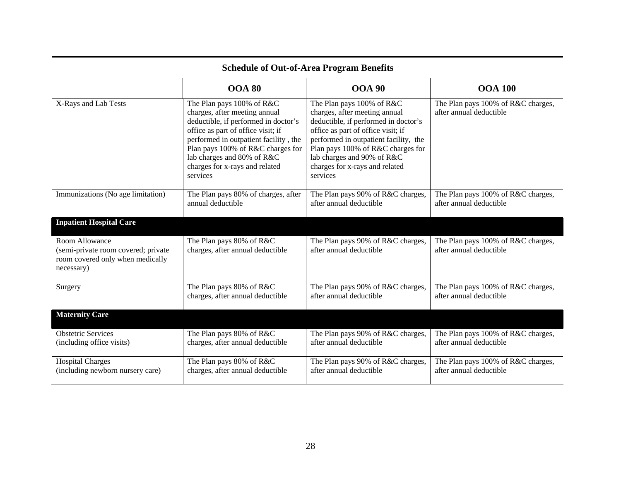|                                                                                                         | <b>OOA 80</b>                                                                                                                                                                                                                                                                                      | <b>OOA 90</b>                                                                                                                                                                                                                                                                                      | <b>OOA 100</b>                                                |  |  |  |  |  |
|---------------------------------------------------------------------------------------------------------|----------------------------------------------------------------------------------------------------------------------------------------------------------------------------------------------------------------------------------------------------------------------------------------------------|----------------------------------------------------------------------------------------------------------------------------------------------------------------------------------------------------------------------------------------------------------------------------------------------------|---------------------------------------------------------------|--|--|--|--|--|
| X-Rays and Lab Tests                                                                                    | The Plan pays 100% of R&C<br>charges, after meeting annual<br>deductible, if performed in doctor's<br>office as part of office visit; if<br>performed in outpatient facility, the<br>Plan pays 100% of R&C charges for<br>lab charges and 80% of R&C<br>charges for x-rays and related<br>services | The Plan pays 100% of R&C<br>charges, after meeting annual<br>deductible, if performed in doctor's<br>office as part of office visit; if<br>performed in outpatient facility, the<br>Plan pays 100% of R&C charges for<br>lab charges and 90% of R&C<br>charges for x-rays and related<br>services | The Plan pays 100% of R&C charges,<br>after annual deductible |  |  |  |  |  |
| Immunizations (No age limitation)                                                                       | The Plan pays 80% of charges, after<br>annual deductible                                                                                                                                                                                                                                           | The Plan pays 90% of R&C charges,<br>after annual deductible                                                                                                                                                                                                                                       | The Plan pays 100% of R&C charges,<br>after annual deductible |  |  |  |  |  |
| <b>Inpatient Hospital Care</b>                                                                          |                                                                                                                                                                                                                                                                                                    |                                                                                                                                                                                                                                                                                                    |                                                               |  |  |  |  |  |
| Room Allowance<br>(semi-private room covered; private<br>room covered only when medically<br>necessary) | The Plan pays 80% of R&C<br>charges, after annual deductible                                                                                                                                                                                                                                       | The Plan pays 90% of R&C charges,<br>after annual deductible                                                                                                                                                                                                                                       | The Plan pays 100% of R&C charges,<br>after annual deductible |  |  |  |  |  |
| Surgery                                                                                                 | The Plan pays 80% of R&C<br>charges, after annual deductible                                                                                                                                                                                                                                       | The Plan pays 90% of R&C charges,<br>after annual deductible                                                                                                                                                                                                                                       | The Plan pays 100% of R&C charges,<br>after annual deductible |  |  |  |  |  |
| <b>Maternity Care</b>                                                                                   |                                                                                                                                                                                                                                                                                                    |                                                                                                                                                                                                                                                                                                    |                                                               |  |  |  |  |  |
| <b>Obstetric Services</b><br>(including office visits)                                                  | The Plan pays 80% of R&C<br>charges, after annual deductible                                                                                                                                                                                                                                       | The Plan pays 90% of R&C charges,<br>after annual deductible                                                                                                                                                                                                                                       | The Plan pays 100% of R&C charges,<br>after annual deductible |  |  |  |  |  |
| <b>Hospital Charges</b><br>(including newborn nursery care)                                             | The Plan pays 80% of R&C<br>charges, after annual deductible                                                                                                                                                                                                                                       | The Plan pays 90% of R&C charges,<br>after annual deductible                                                                                                                                                                                                                                       | The Plan pays 100% of R&C charges,<br>after annual deductible |  |  |  |  |  |

## **Schedule of Out-of-Area Program Benefits**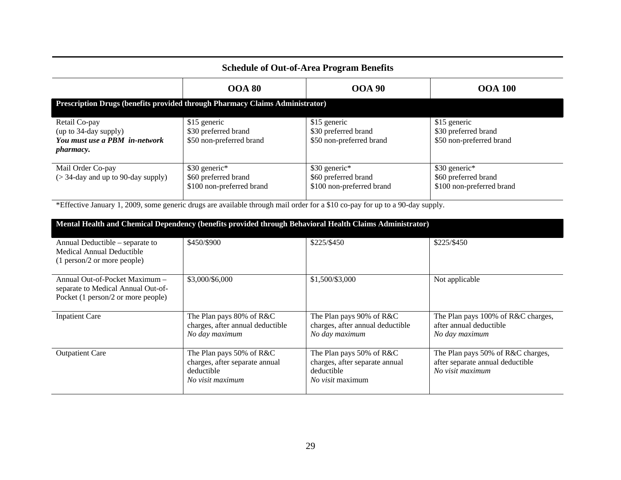| <b>Schedule of Out-of-Area Program Benefits</b>                                             |                                                                                     |                                                                    |                                                                    |  |  |  |  |  |  |
|---------------------------------------------------------------------------------------------|-------------------------------------------------------------------------------------|--------------------------------------------------------------------|--------------------------------------------------------------------|--|--|--|--|--|--|
|                                                                                             | <b>OOA 80</b>                                                                       | <b>OOA 90</b>                                                      | <b>OOA 100</b>                                                     |  |  |  |  |  |  |
|                                                                                             | <b>Prescription Drugs (benefits provided through Pharmacy Claims Administrator)</b> |                                                                    |                                                                    |  |  |  |  |  |  |
| Retail Co-pay<br>(up to 34-day supply)<br>You must use a PBM in-network<br><i>pharmacy.</i> | \$15 generic<br>\$30 preferred brand<br>\$50 non-preferred brand                    | \$15 generic<br>\$30 preferred brand<br>\$50 non-preferred brand   | \$15 generic<br>\$30 preferred brand<br>\$50 non-preferred brand   |  |  |  |  |  |  |
| Mail Order Co-pay<br>$($ > 34-day and up to 90-day supply)                                  | \$30 generic*<br>\$60 preferred brand<br>\$100 non-preferred brand                  | \$30 generic*<br>\$60 preferred brand<br>\$100 non-preferred brand | \$30 generic*<br>\$60 preferred brand<br>\$100 non-preferred brand |  |  |  |  |  |  |

\*Effective January 1, 2009, some generic drugs are available through mail order for a \$10 co-pay for up to a 90-day supply.

| Mental Health and Chemical Dependency (benefits provided through Behavioral Health Claims Administrator)   |                                                                                              |                                                                                              |                                                                                           |
|------------------------------------------------------------------------------------------------------------|----------------------------------------------------------------------------------------------|----------------------------------------------------------------------------------------------|-------------------------------------------------------------------------------------------|
| Annual Deductible – separate to<br>Medical Annual Deductible<br>(1 person/2 or more people)                | \$450/\$900                                                                                  | \$225/\$450                                                                                  | \$225/\$450                                                                               |
| Annual Out-of-Pocket Maximum –<br>separate to Medical Annual Out-of-<br>Pocket (1 person/2 or more people) | \$3,000/\$6,000                                                                              | \$1,500/\$3,000                                                                              | Not applicable                                                                            |
| <b>Inpatient Care</b>                                                                                      | The Plan pays 80% of R&C<br>charges, after annual deductible<br>No day maximum               | The Plan pays 90% of R&C<br>charges, after annual deductible<br>No day maximum               | The Plan pays 100% of R&C charges,<br>after annual deductible<br>No day maximum           |
| <b>Outpatient Care</b>                                                                                     | The Plan pays 50% of R&C<br>charges, after separate annual<br>deductible<br>No visit maximum | The Plan pays 50% of R&C<br>charges, after separate annual<br>deductible<br>No visit maximum | The Plan pays 50% of R&C charges,<br>after separate annual deductible<br>No visit maximum |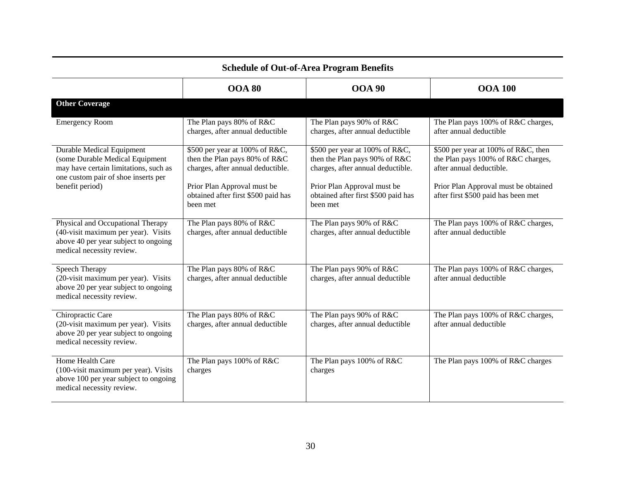|                                                                                                                                               | <b>OOA 80</b>                                                                                        | <b>OOA 90</b>                                                                                        | <b>OOA 100</b>                                                                                        |
|-----------------------------------------------------------------------------------------------------------------------------------------------|------------------------------------------------------------------------------------------------------|------------------------------------------------------------------------------------------------------|-------------------------------------------------------------------------------------------------------|
| <b>Other Coverage</b>                                                                                                                         |                                                                                                      |                                                                                                      |                                                                                                       |
| <b>Emergency Room</b>                                                                                                                         | The Plan pays 80% of R&C<br>charges, after annual deductible                                         | The Plan pays 90% of R&C<br>charges, after annual deductible                                         | The Plan pays 100% of R&C charges,<br>after annual deductible                                         |
| Durable Medical Equipment<br>(some Durable Medical Equipment<br>may have certain limitations, such as<br>one custom pair of shoe inserts per  | \$500 per year at 100% of R&C,<br>then the Plan pays 80% of R&C<br>charges, after annual deductible. | \$500 per year at 100% of R&C,<br>then the Plan pays 90% of R&C<br>charges, after annual deductible. | \$500 per year at 100% of R&C, then<br>the Plan pays 100% of R&C charges,<br>after annual deductible. |
| benefit period)                                                                                                                               | Prior Plan Approval must be<br>obtained after first \$500 paid has<br>been met                       | Prior Plan Approval must be<br>obtained after first \$500 paid has<br>been met                       | Prior Plan Approval must be obtained<br>after first \$500 paid has been met                           |
| Physical and Occupational Therapy<br>(40-visit maximum per year). Visits<br>above 40 per year subject to ongoing<br>medical necessity review. | The Plan pays 80% of R&C<br>charges, after annual deductible                                         | The Plan pays 90% of R&C<br>charges, after annual deductible                                         | The Plan pays 100% of R&C charges,<br>after annual deductible                                         |
| Speech Therapy<br>(20-visit maximum per year). Visits<br>above 20 per year subject to ongoing<br>medical necessity review.                    | The Plan pays 80% of R&C<br>charges, after annual deductible                                         | The Plan pays 90% of R&C<br>charges, after annual deductible                                         | The Plan pays 100% of R&C charges,<br>after annual deductible                                         |
| Chiropractic Care<br>(20-visit maximum per year). Visits<br>above 20 per year subject to ongoing<br>medical necessity review.                 | The Plan pays 80% of R&C<br>charges, after annual deductible                                         | The Plan pays 90% of R&C<br>charges, after annual deductible                                         | The Plan pays 100% of R&C charges,<br>after annual deductible                                         |
| Home Health Care<br>(100-visit maximum per year). Visits<br>above 100 per year subject to ongoing<br>medical necessity review.                | The Plan pays 100% of R&C<br>charges                                                                 | The Plan pays 100% of R&C<br>charges                                                                 | The Plan pays 100% of R&C charges                                                                     |

# **Schedule of Out-of-Area Program Benefits**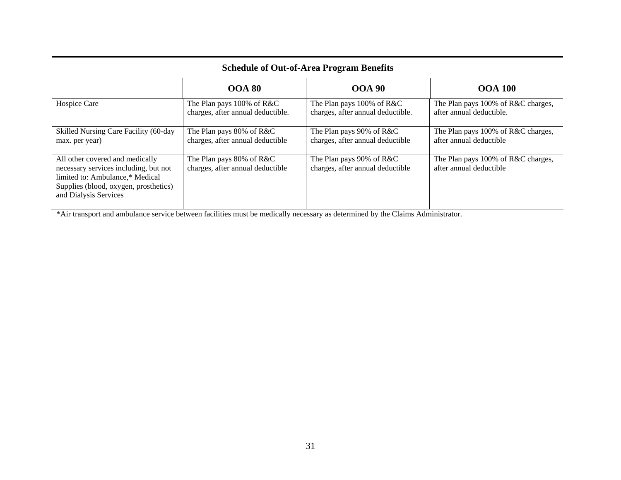| <b>Schedule of Out-of-Area Program Benefits</b>                                                                                                                               |                                                                   |                                                                |                                                                |
|-------------------------------------------------------------------------------------------------------------------------------------------------------------------------------|-------------------------------------------------------------------|----------------------------------------------------------------|----------------------------------------------------------------|
|                                                                                                                                                                               | <b>OOA 80</b>                                                     | <b>OOA 90</b>                                                  | <b>OOA 100</b>                                                 |
| Hospice Care                                                                                                                                                                  | The Plan pays $100\%$ of R&C<br>charges, after annual deductible. | The Plan pays 100% of R&C<br>charges, after annual deductible. | The Plan pays 100% of R&C charges,<br>after annual deductible. |
| Skilled Nursing Care Facility (60-day<br>max. per year)                                                                                                                       | The Plan pays 80% of R&C<br>charges, after annual deductible      | The Plan pays 90% of R&C<br>charges, after annual deductible   | The Plan pays 100% of R&C charges,<br>after annual deductible  |
| All other covered and medically<br>necessary services including, but not<br>limited to: Ambulance,* Medical<br>Supplies (blood, oxygen, prosthetics)<br>and Dialysis Services | The Plan pays 80% of R&C<br>charges, after annual deductible      | The Plan pays 90% of R&C<br>charges, after annual deductible   | The Plan pays 100% of R&C charges,<br>after annual deductible  |

\*Air transport and ambulance service between facilities must be medically necessary as determined by the Claims Administrator.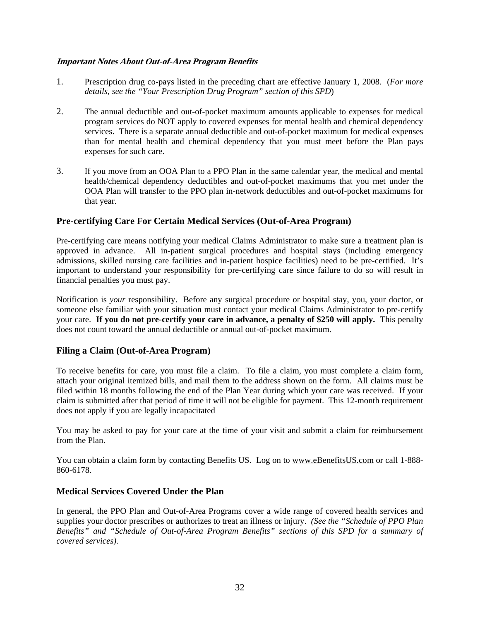#### **Important Notes About Out-of-Area Program Benefits**

- 1. Prescription drug co-pays listed in the preceding chart are effective January 1, 2008. (*For more details, see the "Your Prescription Drug Program" section of this SPD*)
- 2. The annual deductible and out-of-pocket maximum amounts applicable to expenses for medical program services do NOT apply to covered expenses for mental health and chemical dependency services. There is a separate annual deductible and out-of-pocket maximum for medical expenses than for mental health and chemical dependency that you must meet before the Plan pays expenses for such care.
- 3. If you move from an OOA Plan to a PPO Plan in the same calendar year, the medical and mental health/chemical dependency deductibles and out-of-pocket maximums that you met under the OOA Plan will transfer to the PPO plan in-network deductibles and out-of-pocket maximums for that year.

#### **Pre-certifying Care For Certain Medical Services (Out-of-Area Program)**

Pre-certifying care means notifying your medical Claims Administrator to make sure a treatment plan is approved in advance. All in-patient surgical procedures and hospital stays (including emergency admissions, skilled nursing care facilities and in-patient hospice facilities) need to be pre-certified. It's important to understand your responsibility for pre-certifying care since failure to do so will result in financial penalties you must pay.

Notification is *your* responsibility. Before any surgical procedure or hospital stay, you, your doctor, or someone else familiar with your situation must contact your medical Claims Administrator to pre-certify your care. **If you do not pre-certify your care in advance, a penalty of \$250 will apply.** This penalty does not count toward the annual deductible or annual out-of-pocket maximum.

#### **Filing a Claim (Out-of-Area Program)**

To receive benefits for care, you must file a claim. To file a claim, you must complete a claim form, attach your original itemized bills, and mail them to the address shown on the form. All claims must be filed within 18 months following the end of the Plan Year during which your care was received. If your claim is submitted after that period of time it will not be eligible for payment. This 12-month requirement does not apply if you are legally incapacitated

You may be asked to pay for your care at the time of your visit and submit a claim for reimbursement from the Plan.

You can obtain a claim form by contacting Benefits US. Log on to www.eBenefitsUS.com or call 1-888-860-6178.

#### **Medical Services Covered Under the Plan**

In general, the PPO Plan and Out-of-Area Programs cover a wide range of covered health services and supplies your doctor prescribes or authorizes to treat an illness or injury. *(See the "Schedule of PPO Plan Benefits" and "Schedule of Out-of-Area Program Benefits" sections of this SPD for a summary of covered services).*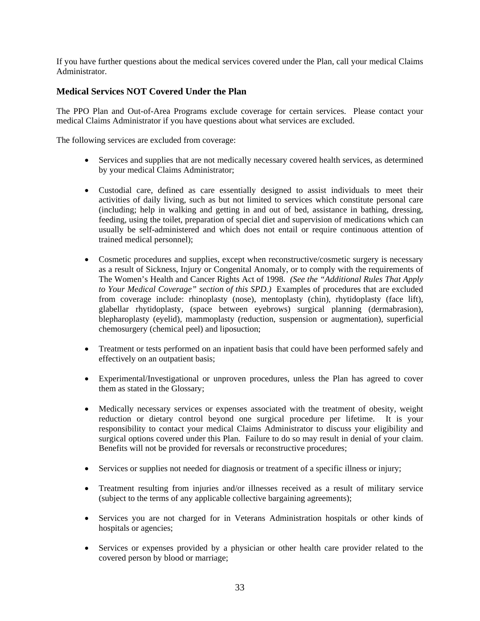If you have further questions about the medical services covered under the Plan, call your medical Claims Administrator.

### **Medical Services NOT Covered Under the Plan**

The PPO Plan and Out-of-Area Programs exclude coverage for certain services. Please contact your medical Claims Administrator if you have questions about what services are excluded.

The following services are excluded from coverage:

- Services and supplies that are not medically necessary covered health services, as determined by your medical Claims Administrator;
- Custodial care, defined as care essentially designed to assist individuals to meet their activities of daily living, such as but not limited to services which constitute personal care (including; help in walking and getting in and out of bed, assistance in bathing, dressing, feeding, using the toilet, preparation of special diet and supervision of medications which can usually be self-administered and which does not entail or require continuous attention of trained medical personnel);
- Cosmetic procedures and supplies, except when reconstructive/cosmetic surgery is necessary as a result of Sickness, Injury or Congenital Anomaly, or to comply with the requirements of The Women's Health and Cancer Rights Act of 1998. *(See the "Additional Rules That Apply to Your Medical Coverage" section of this SPD.)* Examples of procedures that are excluded from coverage include: rhinoplasty (nose), mentoplasty (chin), rhytidoplasty (face lift), glabellar rhytidoplasty, (space between eyebrows) surgical planning (dermabrasion), blepharoplasty (eyelid), mammoplasty (reduction, suspension or augmentation), superficial chemosurgery (chemical peel) and liposuction;
- Treatment or tests performed on an inpatient basis that could have been performed safely and effectively on an outpatient basis;
- Experimental/Investigational or unproven procedures, unless the Plan has agreed to cover them as stated in the Glossary;
- Medically necessary services or expenses associated with the treatment of obesity, weight reduction or dietary control beyond one surgical procedure per lifetime. It is your responsibility to contact your medical Claims Administrator to discuss your eligibility and surgical options covered under this Plan. Failure to do so may result in denial of your claim. Benefits will not be provided for reversals or reconstructive procedures;
- Services or supplies not needed for diagnosis or treatment of a specific illness or injury;
- Treatment resulting from injuries and/or illnesses received as a result of military service (subject to the terms of any applicable collective bargaining agreements);
- Services you are not charged for in Veterans Administration hospitals or other kinds of hospitals or agencies;
- Services or expenses provided by a physician or other health care provider related to the covered person by blood or marriage;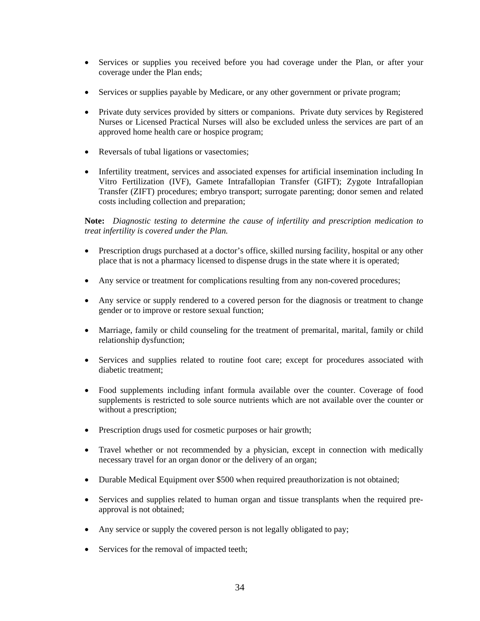- Services or supplies you received before you had coverage under the Plan, or after your coverage under the Plan ends;
- Services or supplies payable by Medicare, or any other government or private program;
- Private duty services provided by sitters or companions. Private duty services by Registered Nurses or Licensed Practical Nurses will also be excluded unless the services are part of an approved home health care or hospice program;
- Reversals of tubal ligations or vasectomies;
- Infertility treatment, services and associated expenses for artificial insemination including In Vitro Fertilization (IVF), Gamete Intrafallopian Transfer (GIFT); Zygote Intrafallopian Transfer (ZIFT) procedures; embryo transport; surrogate parenting; donor semen and related costs including collection and preparation;

**Note:** *Diagnostic testing to determine the cause of infertility and prescription medication to treat infertility is covered under the Plan.*

- Prescription drugs purchased at a doctor's office, skilled nursing facility, hospital or any other place that is not a pharmacy licensed to dispense drugs in the state where it is operated;
- Any service or treatment for complications resulting from any non-covered procedures;
- Any service or supply rendered to a covered person for the diagnosis or treatment to change gender or to improve or restore sexual function;
- Marriage, family or child counseling for the treatment of premarital, marital, family or child relationship dysfunction;
- Services and supplies related to routine foot care; except for procedures associated with diabetic treatment;
- Food supplements including infant formula available over the counter. Coverage of food supplements is restricted to sole source nutrients which are not available over the counter or without a prescription;
- Prescription drugs used for cosmetic purposes or hair growth;
- Travel whether or not recommended by a physician, except in connection with medically necessary travel for an organ donor or the delivery of an organ;
- Durable Medical Equipment over \$500 when required preauthorization is not obtained;
- Services and supplies related to human organ and tissue transplants when the required preapproval is not obtained;
- Any service or supply the covered person is not legally obligated to pay;
- Services for the removal of impacted teeth;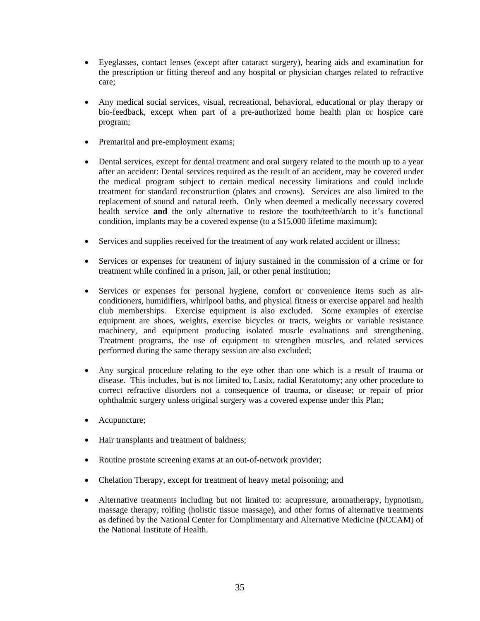- Eyeglasses, contact lenses (except after cataract surgery), hearing aids and examination for the prescription or fitting thereof and any hospital or physician charges related to refractive care;
- Any medical social services, visual, recreational, behavioral, educational or play therapy or bio-feedback, except when part of a pre-authorized home health plan or hospice care program;
- Premarital and pre-employment exams;
- Dental services, except for dental treatment and oral surgery related to the mouth up to a year after an accident: Dental services required as the result of an accident, may be covered under the medical program subject to certain medical necessity limitations and could include treatment for standard reconstruction (plates and crowns). Services are also limited to the replacement of sound and natural teeth. Only when deemed a medically necessary covered health service **and** the only alternative to restore the tooth/teeth/arch to it's functional condition, implants may be a covered expense (to a \$15,000 lifetime maximum);
- Services and supplies received for the treatment of any work related accident or illness;
- Services or expenses for treatment of injury sustained in the commission of a crime or for treatment while confined in a prison, jail, or other penal institution;
- Services or expenses for personal hygiene, comfort or convenience items such as airconditioners, humidifiers, whirlpool baths, and physical fitness or exercise apparel and health club memberships. Exercise equipment is also excluded. Some examples of exercise equipment are shoes, weights, exercise bicycles or tracts, weights or variable resistance machinery, and equipment producing isolated muscle evaluations and strengthening. Treatment programs, the use of equipment to strengthen muscles, and related services performed during the same therapy session are also excluded;
- Any surgical procedure relating to the eye other than one which is a result of trauma or disease. This includes, but is not limited to, Lasix, radial Keratotomy; any other procedure to correct refractive disorders not a consequence of trauma, or disease; or repair of prior ophthalmic surgery unless original surgery was a covered expense under this Plan;
- Acupuncture;
- Hair transplants and treatment of baldness;
- Routine prostate screening exams at an out-of-network provider;
- Chelation Therapy, except for treatment of heavy metal poisoning; and
- Alternative treatments including but not limited to: acupressure, aromatherapy, hypnotism, massage therapy, rolfing (holistic tissue massage), and other forms of alternative treatments as defined by the National Center for Complimentary and Alternative Medicine (NCCAM) of the National Institute of Health.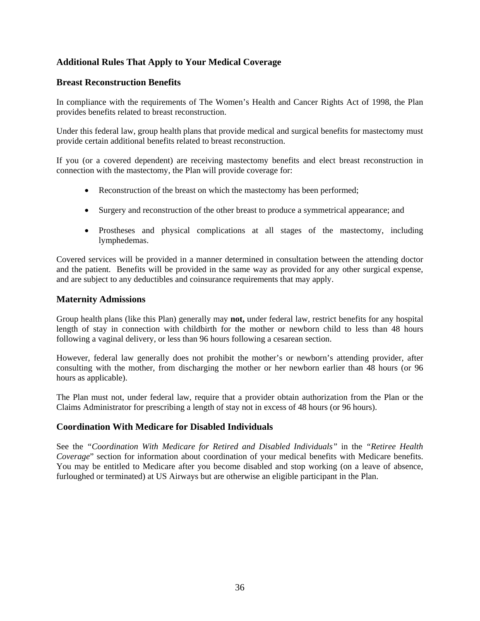# **Additional Rules That Apply to Your Medical Coverage**

#### **Breast Reconstruction Benefits**

In compliance with the requirements of The Women's Health and Cancer Rights Act of 1998, the Plan provides benefits related to breast reconstruction.

Under this federal law, group health plans that provide medical and surgical benefits for mastectomy must provide certain additional benefits related to breast reconstruction.

If you (or a covered dependent) are receiving mastectomy benefits and elect breast reconstruction in connection with the mastectomy, the Plan will provide coverage for:

- Reconstruction of the breast on which the mastectomy has been performed;
- Surgery and reconstruction of the other breast to produce a symmetrical appearance; and
- Prostheses and physical complications at all stages of the mastectomy, including lymphedemas.

Covered services will be provided in a manner determined in consultation between the attending doctor and the patient. Benefits will be provided in the same way as provided for any other surgical expense, and are subject to any deductibles and coinsurance requirements that may apply.

#### **Maternity Admissions**

Group health plans (like this Plan) generally may **not,** under federal law, restrict benefits for any hospital length of stay in connection with childbirth for the mother or newborn child to less than 48 hours following a vaginal delivery, or less than 96 hours following a cesarean section.

However, federal law generally does not prohibit the mother's or newborn's attending provider, after consulting with the mother, from discharging the mother or her newborn earlier than 48 hours (or 96 hours as applicable).

The Plan must not, under federal law, require that a provider obtain authorization from the Plan or the Claims Administrator for prescribing a length of stay not in excess of 48 hours (or 96 hours).

### **Coordination With Medicare for Disabled Individuals**

See the *"Coordination With Medicare for Retired and Disabled Individuals"* in the *"Retiree Health Coverage*" section for information about coordination of your medical benefits with Medicare benefits. You may be entitled to Medicare after you become disabled and stop working (on a leave of absence, furloughed or terminated) at US Airways but are otherwise an eligible participant in the Plan.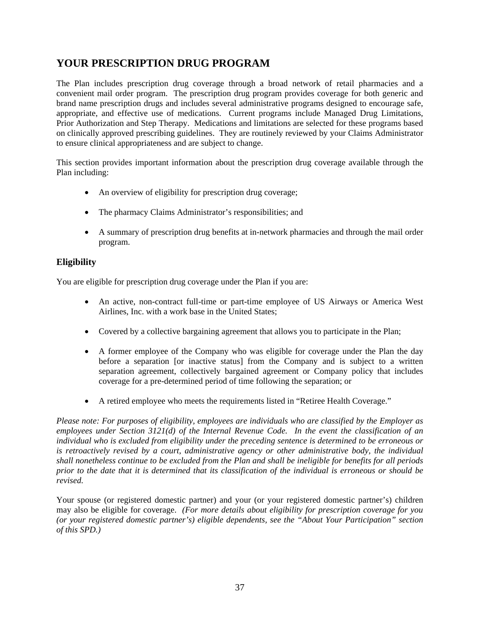# **YOUR PRESCRIPTION DRUG PROGRAM**

The Plan includes prescription drug coverage through a broad network of retail pharmacies and a convenient mail order program. The prescription drug program provides coverage for both generic and brand name prescription drugs and includes several administrative programs designed to encourage safe, appropriate, and effective use of medications. Current programs include Managed Drug Limitations, Prior Authorization and Step Therapy. Medications and limitations are selected for these programs based on clinically approved prescribing guidelines. They are routinely reviewed by your Claims Administrator to ensure clinical appropriateness and are subject to change.

This section provides important information about the prescription drug coverage available through the Plan including:

- An overview of eligibility for prescription drug coverage;
- The pharmacy Claims Administrator's responsibilities; and
- A summary of prescription drug benefits at in-network pharmacies and through the mail order program.

# **Eligibility**

You are eligible for prescription drug coverage under the Plan if you are:

- An active, non-contract full-time or part-time employee of US Airways or America West Airlines, Inc. with a work base in the United States;
- Covered by a collective bargaining agreement that allows you to participate in the Plan;
- A former employee of the Company who was eligible for coverage under the Plan the day before a separation [or inactive status] from the Company and is subject to a written separation agreement, collectively bargained agreement or Company policy that includes coverage for a pre-determined period of time following the separation; or
- A retired employee who meets the requirements listed in "Retiree Health Coverage."

*Please note: For purposes of eligibility, employees are individuals who are classified by the Employer as employees under Section 3121(d) of the Internal Revenue Code. In the event the classification of an individual who is excluded from eligibility under the preceding sentence is determined to be erroneous or is retroactively revised by a court, administrative agency or other administrative body, the individual shall nonetheless continue to be excluded from the Plan and shall be ineligible for benefits for all periods prior to the date that it is determined that its classification of the individual is erroneous or should be revised.* 

Your spouse (or registered domestic partner) and your (or your registered domestic partner's) children may also be eligible for coverage. *(For more details about eligibility for prescription coverage for you (or your registered domestic partner's) eligible dependents, see the "About Your Participation" section of this SPD.)*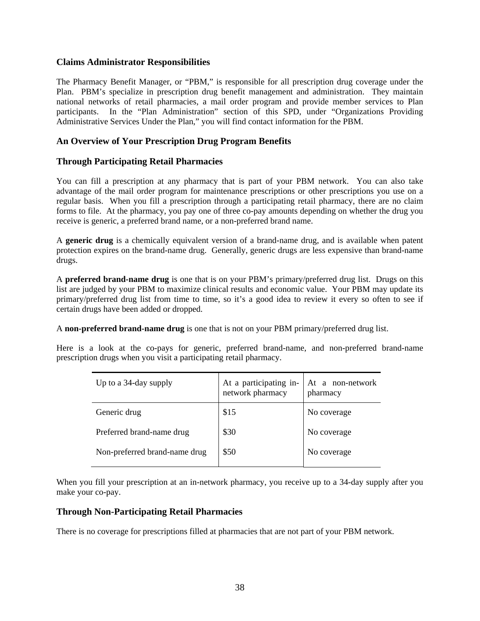#### **Claims Administrator Responsibilities**

The Pharmacy Benefit Manager, or "PBM," is responsible for all prescription drug coverage under the Plan. PBM's specialize in prescription drug benefit management and administration. They maintain national networks of retail pharmacies, a mail order program and provide member services to Plan participants. In the "Plan Administration" section of this SPD, under "Organizations Providing Administrative Services Under the Plan," you will find contact information for the PBM.

#### **An Overview of Your Prescription Drug Program Benefits**

#### **Through Participating Retail Pharmacies**

You can fill a prescription at any pharmacy that is part of your PBM network. You can also take advantage of the mail order program for maintenance prescriptions or other prescriptions you use on a regular basis. When you fill a prescription through a participating retail pharmacy, there are no claim forms to file. At the pharmacy, you pay one of three co-pay amounts depending on whether the drug you receive is generic, a preferred brand name, or a non-preferred brand name.

A **generic drug** is a chemically equivalent version of a brand-name drug, and is available when patent protection expires on the brand-name drug. Generally, generic drugs are less expensive than brand-name drugs.

A **preferred brand-name drug** is one that is on your PBM's primary/preferred drug list. Drugs on this list are judged by your PBM to maximize clinical results and economic value. Your PBM may update its primary/preferred drug list from time to time, so it's a good idea to review it every so often to see if certain drugs have been added or dropped.

A **non-preferred brand-name drug** is one that is not on your PBM primary/preferred drug list.

Here is a look at the co-pays for generic, preferred brand-name, and non-preferred brand-name prescription drugs when you visit a participating retail pharmacy.

| Up to a 34-day supply         | At a participating in-<br>network pharmacy | At a non-network<br>pharmacy |
|-------------------------------|--------------------------------------------|------------------------------|
| Generic drug                  | \$15                                       | No coverage                  |
| Preferred brand-name drug     | \$30                                       | No coverage                  |
| Non-preferred brand-name drug | \$50                                       | No coverage                  |

When you fill your prescription at an in-network pharmacy, you receive up to a 34-day supply after you make your co-pay.

#### **Through Non-Participating Retail Pharmacies**

There is no coverage for prescriptions filled at pharmacies that are not part of your PBM network.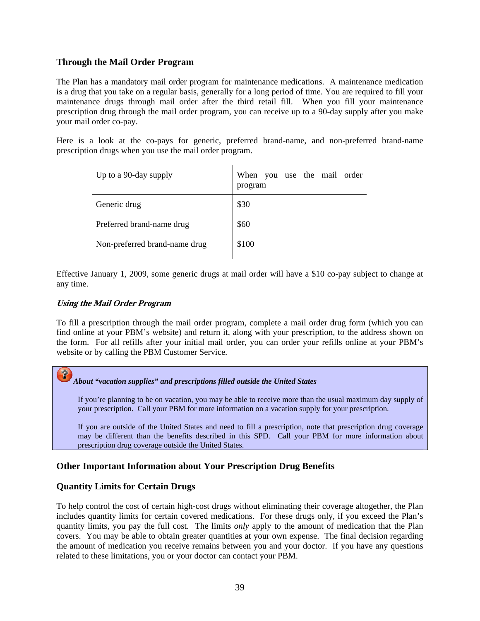### **Through the Mail Order Program**

The Plan has a mandatory mail order program for maintenance medications. A maintenance medication is a drug that you take on a regular basis, generally for a long period of time. You are required to fill your maintenance drugs through mail order after the third retail fill. When you fill your maintenance prescription drug through the mail order program, you can receive up to a 90-day supply after you make your mail order co-pay.

Here is a look at the co-pays for generic, preferred brand-name, and non-preferred brand-name prescription drugs when you use the mail order program.

| Up to a 90-day supply         | When you use the mail order<br>program |
|-------------------------------|----------------------------------------|
| Generic drug                  | \$30                                   |
| Preferred brand-name drug     | \$60                                   |
| Non-preferred brand-name drug | \$100                                  |

Effective January 1, 2009, some generic drugs at mail order will have a \$10 co-pay subject to change at any time.

#### **Using the Mail Order Program**

 $P$ 

To fill a prescription through the mail order program, complete a mail order drug form (which you can find online at your PBM's website) and return it, along with your prescription, to the address shown on the form. For all refills after your initial mail order, you can order your refills online at your PBM's website or by calling the PBM Customer Service.

#### *About "vacation supplies" and prescriptions filled outside the United States*

If you're planning to be on vacation, you may be able to receive more than the usual maximum day supply of your prescription. Call your PBM for more information on a vacation supply for your prescription.

If you are outside of the United States and need to fill a prescription, note that prescription drug coverage may be different than the benefits described in this SPD. Call your PBM for more information about prescription drug coverage outside the United States.

### **Other Important Information about Your Prescription Drug Benefits**

#### **Quantity Limits for Certain Drugs**

To help control the cost of certain high-cost drugs without eliminating their coverage altogether, the Plan includes quantity limits for certain covered medications. For these drugs only, if you exceed the Plan's quantity limits, you pay the full cost. The limits *only* apply to the amount of medication that the Plan covers. You may be able to obtain greater quantities at your own expense. The final decision regarding the amount of medication you receive remains between you and your doctor. If you have any questions related to these limitations, you or your doctor can contact your PBM.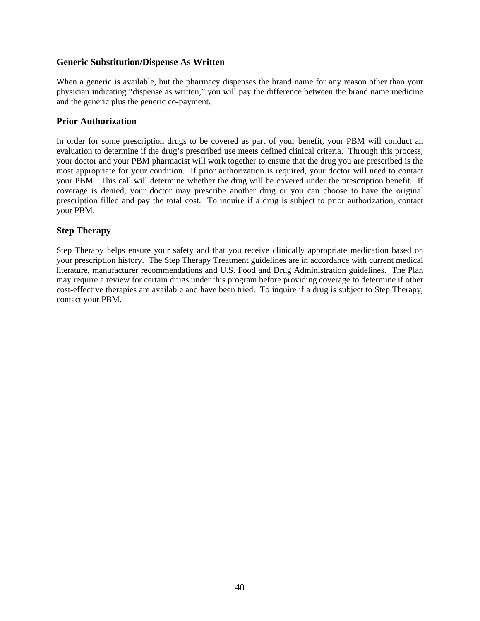#### **Generic Substitution/Dispense As Written**

When a generic is available, but the pharmacy dispenses the brand name for any reason other than your physician indicating "dispense as written," you will pay the difference between the brand name medicine and the generic plus the generic co-payment.

#### **Prior Authorization**

In order for some prescription drugs to be covered as part of your benefit, your PBM will conduct an evaluation to determine if the drug's prescribed use meets defined clinical criteria. Through this process, your doctor and your PBM pharmacist will work together to ensure that the drug you are prescribed is the most appropriate for your condition. If prior authorization is required, your doctor will need to contact your PBM. This call will determine whether the drug will be covered under the prescription benefit. If coverage is denied, your doctor may prescribe another drug or you can choose to have the original prescription filled and pay the total cost. To inquire if a drug is subject to prior authorization, contact your PBM.

### **Step Therapy**

Step Therapy helps ensure your safety and that you receive clinically appropriate medication based on your prescription history. The Step Therapy Treatment guidelines are in accordance with current medical literature, manufacturer recommendations and U.S. Food and Drug Administration guidelines. The Plan may require a review for certain drugs under this program before providing coverage to determine if other cost-effective therapies are available and have been tried. To inquire if a drug is subject to Step Therapy, contact your PBM.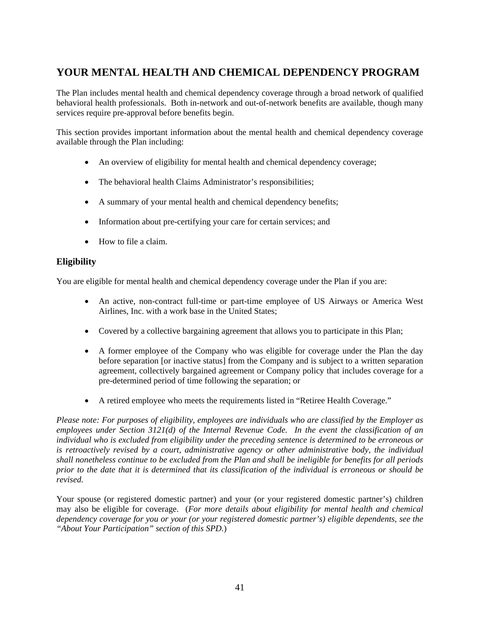# **YOUR MENTAL HEALTH AND CHEMICAL DEPENDENCY PROGRAM**

The Plan includes mental health and chemical dependency coverage through a broad network of qualified behavioral health professionals. Both in-network and out-of-network benefits are available, though many services require pre-approval before benefits begin.

This section provides important information about the mental health and chemical dependency coverage available through the Plan including:

- An overview of eligibility for mental health and chemical dependency coverage;
- The behavioral health Claims Administrator's responsibilities;
- A summary of your mental health and chemical dependency benefits;
- Information about pre-certifying your care for certain services; and
- How to file a claim.

# **Eligibility**

You are eligible for mental health and chemical dependency coverage under the Plan if you are:

- An active, non-contract full-time or part-time employee of US Airways or America West Airlines, Inc. with a work base in the United States;
- Covered by a collective bargaining agreement that allows you to participate in this Plan;
- A former employee of the Company who was eligible for coverage under the Plan the day before separation [or inactive status] from the Company and is subject to a written separation agreement, collectively bargained agreement or Company policy that includes coverage for a pre-determined period of time following the separation; or
- A retired employee who meets the requirements listed in "Retiree Health Coverage."

*Please note: For purposes of eligibility, employees are individuals who are classified by the Employer as employees under Section 3121(d) of the Internal Revenue Code. In the event the classification of an individual who is excluded from eligibility under the preceding sentence is determined to be erroneous or is retroactively revised by a court, administrative agency or other administrative body, the individual shall nonetheless continue to be excluded from the Plan and shall be ineligible for benefits for all periods prior to the date that it is determined that its classification of the individual is erroneous or should be revised.* 

Your spouse (or registered domestic partner) and your (or your registered domestic partner's) children may also be eligible for coverage. (*For more details about eligibility for mental health and chemical dependency coverage for you or your (or your registered domestic partner's) eligible dependents, see the "About Your Participation" section of this SPD.*)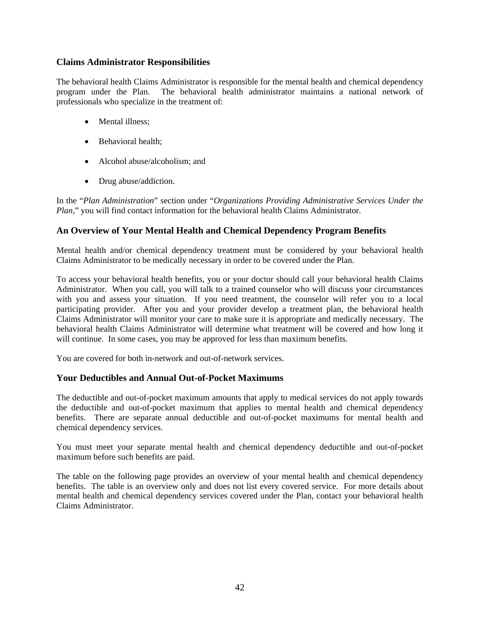### **Claims Administrator Responsibilities**

The behavioral health Claims Administrator is responsible for the mental health and chemical dependency program under the Plan. The behavioral health administrator maintains a national network of professionals who specialize in the treatment of:

- Mental illness;
- Behavioral health:
- Alcohol abuse/alcoholism: and
- Drug abuse/addiction.

In the "*Plan Administration*" section under "*Organizations Providing Administrative Services Under the Plan*," you will find contact information for the behavioral health Claims Administrator.

#### **An Overview of Your Mental Health and Chemical Dependency Program Benefits**

Mental health and/or chemical dependency treatment must be considered by your behavioral health Claims Administrator to be medically necessary in order to be covered under the Plan.

To access your behavioral health benefits, you or your doctor should call your behavioral health Claims Administrator. When you call, you will talk to a trained counselor who will discuss your circumstances with you and assess your situation. If you need treatment, the counselor will refer you to a local participating provider. After you and your provider develop a treatment plan, the behavioral health Claims Administrator will monitor your care to make sure it is appropriate and medically necessary. The behavioral health Claims Administrator will determine what treatment will be covered and how long it will continue. In some cases, you may be approved for less than maximum benefits.

You are covered for both in-network and out-of-network services.

#### **Your Deductibles and Annual Out-of-Pocket Maximums**

The deductible and out-of-pocket maximum amounts that apply to medical services do not apply towards the deductible and out-of-pocket maximum that applies to mental health and chemical dependency benefits. There are separate annual deductible and out-of-pocket maximums for mental health and chemical dependency services.

You must meet your separate mental health and chemical dependency deductible and out-of-pocket maximum before such benefits are paid.

The table on the following page provides an overview of your mental health and chemical dependency benefits. The table is an overview only and does not list every covered service. For more details about mental health and chemical dependency services covered under the Plan, contact your behavioral health Claims Administrator.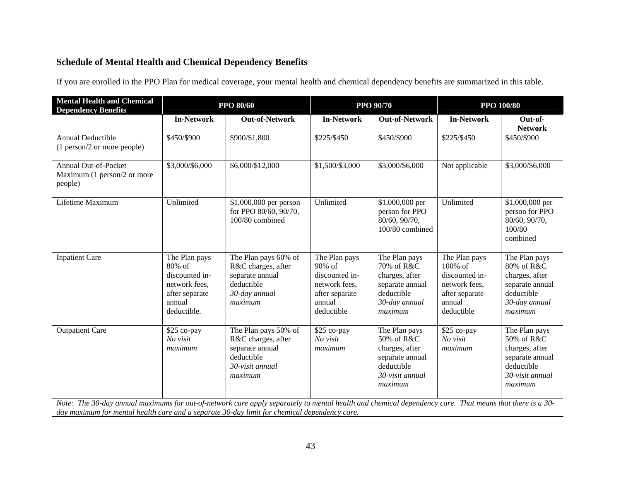# **Schedule of Mental Health and Chemical Dependency Benefits**

If you are enrolled in the PPO Plan for medical coverage, your mental health and chemical dependency benefits are summarized in this table.

| <b>Mental Health and Chemical</b><br><b>Dependency Benefits</b>       | <b>PPO 80/60</b>                                                                                         |                                                                                                           | <b>PPO 90/70</b>                                                                                        |                                                                                                              | <b>PPO 100/80</b>                                                                                     |                                                                                                              |
|-----------------------------------------------------------------------|----------------------------------------------------------------------------------------------------------|-----------------------------------------------------------------------------------------------------------|---------------------------------------------------------------------------------------------------------|--------------------------------------------------------------------------------------------------------------|-------------------------------------------------------------------------------------------------------|--------------------------------------------------------------------------------------------------------------|
|                                                                       | <b>In-Network</b>                                                                                        | <b>Out-of-Network</b>                                                                                     | <b>In-Network</b>                                                                                       | <b>Out-of-Network</b>                                                                                        | <b>In-Network</b>                                                                                     | Out-of-<br><b>Network</b>                                                                                    |
| <b>Annual Deductible</b><br>(1 person/2 or more people)               | \$450/\$900                                                                                              | \$900/\$1,800                                                                                             | \$225/\$450                                                                                             | \$450/\$900                                                                                                  | \$225/\$450                                                                                           | \$450/\$900                                                                                                  |
| <b>Annual Out-of-Pocket</b><br>Maximum (1 person/2 or more<br>people) | \$3,000/\$6,000                                                                                          | \$6,000/\$12,000                                                                                          | \$1,500/\$3,000                                                                                         | \$3,000/\$6,000                                                                                              | Not applicable                                                                                        | \$3,000/\$6,000                                                                                              |
| Lifetime Maximum                                                      | Unlimited                                                                                                | \$1,000,000 per person<br>for PPO 80/60, 90/70,<br>100/80 combined                                        | Unlimited                                                                                               | \$1,000,000 per<br>person for PPO<br>80/60, 90/70,<br>100/80 combined                                        | Unlimited                                                                                             | \$1,000,000 per<br>person for PPO<br>80/60, 90/70,<br>100/80<br>combined                                     |
| <b>Inpatient Care</b>                                                 | The Plan pays<br>$80\%$ of<br>discounted in-<br>network fees,<br>after separate<br>annual<br>deductible. | The Plan pays 60% of<br>R&C charges, after<br>separate annual<br>deductible<br>30-day annual<br>maximum   | The Plan pays<br>$90\%$ of<br>discounted in-<br>network fees,<br>after separate<br>annual<br>deductible | The Plan pays<br>70% of R&C<br>charges, after<br>separate annual<br>deductible<br>30-day annual<br>maximum   | The Plan pays<br>100% of<br>discounted in-<br>network fees,<br>after separate<br>annual<br>deductible | The Plan pays<br>80% of R&C<br>charges, after<br>separate annual<br>deductible<br>30-day annual<br>maximum   |
| <b>Outpatient Care</b>                                                | \$25 co-pay<br>No visit<br>maximum                                                                       | The Plan pays 50% of<br>R&C charges, after<br>separate annual<br>deductible<br>30-visit annual<br>maximum | \$25 co-pay<br>No visit<br>maximum                                                                      | The Plan pays<br>50% of R&C<br>charges, after<br>separate annual<br>deductible<br>30-visit annual<br>maximum | \$25 co-pay<br>No visit<br>maximum                                                                    | The Plan pays<br>50% of R&C<br>charges, after<br>separate annual<br>deductible<br>30-visit annual<br>maximum |

*Note: The 30-day annual maximums for out-of-network care apply separately to mental health and chemical dependency care. That means that there is a 30 day maximum for mental health care and a separate 30-day limit for chemical dependency care.*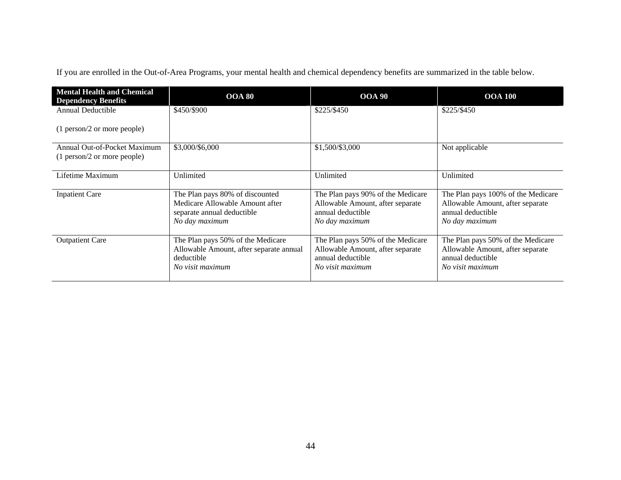If you are enrolled in the Out-of-Area Programs, your mental health and chemical dependency benefits are summarized in the table below.

| <b>Mental Health and Chemical</b><br><b>Dependency Benefits</b> | <b>OOA 80</b>                                                                                                      | <b>OOA 90</b>                                                                                                  | <b>OOA 100</b>                                                                                                 |
|-----------------------------------------------------------------|--------------------------------------------------------------------------------------------------------------------|----------------------------------------------------------------------------------------------------------------|----------------------------------------------------------------------------------------------------------------|
| <b>Annual Deductible</b>                                        | \$450/\$900                                                                                                        | \$225/\$450                                                                                                    | \$225/\$450                                                                                                    |
| (1 person/2 or more people)                                     |                                                                                                                    |                                                                                                                |                                                                                                                |
| Annual Out-of-Pocket Maximum<br>(1 person/2 or more people)     | \$3,000/\$6,000                                                                                                    | \$1,500/\$3,000                                                                                                | Not applicable                                                                                                 |
| Lifetime Maximum                                                | Unlimited                                                                                                          | Unlimited                                                                                                      | Unlimited                                                                                                      |
| <b>Inpatient Care</b>                                           | The Plan pays 80% of discounted<br>Medicare Allowable Amount after<br>separate annual deductible<br>No day maximum | The Plan pays 90% of the Medicare<br>Allowable Amount, after separate<br>annual deductible<br>No day maximum   | The Plan pays 100% of the Medicare<br>Allowable Amount, after separate<br>annual deductible<br>No day maximum  |
| <b>Outpatient Care</b>                                          | The Plan pays 50% of the Medicare<br>Allowable Amount, after separate annual<br>deductible<br>No visit maximum     | The Plan pays 50% of the Medicare<br>Allowable Amount, after separate<br>annual deductible<br>No visit maximum | The Plan pays 50% of the Medicare<br>Allowable Amount, after separate<br>annual deductible<br>No visit maximum |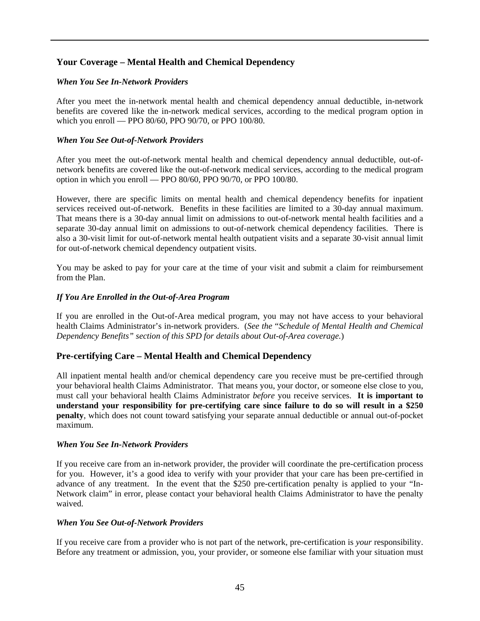### **Your Coverage – Mental Health and Chemical Dependency**

#### *When You See In-Network Providers*

After you meet the in-network mental health and chemical dependency annual deductible, in-network benefits are covered like the in-network medical services, according to the medical program option in which you enroll — PPO 80/60, PPO 90/70, or PPO 100/80.

#### *When You See Out-of-Network Providers*

After you meet the out-of-network mental health and chemical dependency annual deductible, out-ofnetwork benefits are covered like the out-of-network medical services, according to the medical program option in which you enroll — PPO 80/60, PPO 90/70, or PPO 100/80.

However, there are specific limits on mental health and chemical dependency benefits for inpatient services received out-of-network. Benefits in these facilities are limited to a 30-day annual maximum. That means there is a 30-day annual limit on admissions to out-of-network mental health facilities and a separate 30-day annual limit on admissions to out-of-network chemical dependency facilities. There is also a 30-visit limit for out-of-network mental health outpatient visits and a separate 30-visit annual limit for out-of-network chemical dependency outpatient visits.

You may be asked to pay for your care at the time of your visit and submit a claim for reimbursement from the Plan.

#### *If You Are Enrolled in the Out-of-Area Program*

If you are enrolled in the Out-of-Area medical program, you may not have access to your behavioral health Claims Administrator's in-network providers. (*See the* "*Schedule of Mental Health and Chemical Dependency Benefits" section of this SPD for details about Out-of-Area coverage.*)

#### **Pre-certifying Care – Mental Health and Chemical Dependency**

All inpatient mental health and/or chemical dependency care you receive must be pre-certified through your behavioral health Claims Administrator. That means you, your doctor, or someone else close to you, must call your behavioral health Claims Administrator *before* you receive services. **It is important to understand your responsibility for pre-certifying care since failure to do so will result in a \$250 penalty**, which does not count toward satisfying your separate annual deductible or annual out-of-pocket maximum.

#### *When You See In-Network Providers*

If you receive care from an in-network provider, the provider will coordinate the pre-certification process for you. However, it's a good idea to verify with your provider that your care has been pre-certified in advance of any treatment. In the event that the \$250 pre-certification penalty is applied to your "In-Network claim" in error, please contact your behavioral health Claims Administrator to have the penalty waived.

#### *When You See Out-of-Network Providers*

If you receive care from a provider who is not part of the network, pre-certification is *your* responsibility. Before any treatment or admission, you, your provider, or someone else familiar with your situation must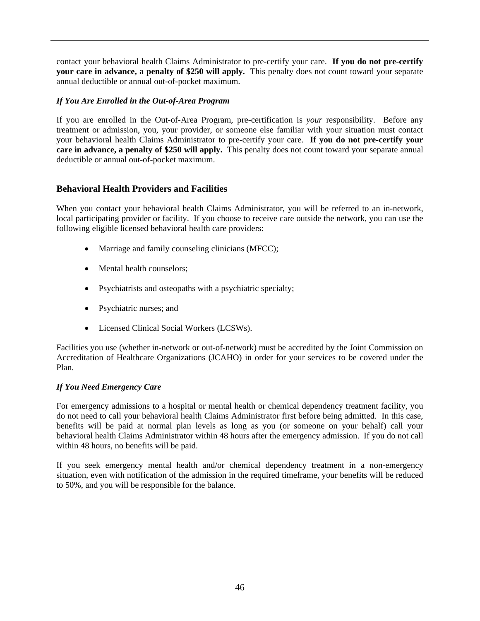contact your behavioral health Claims Administrator to pre-certify your care. **If you do not pre-certify your care in advance, a penalty of \$250 will apply.** This penalty does not count toward your separate annual deductible or annual out-of-pocket maximum.

#### *If You Are Enrolled in the Out-of-Area Program*

If you are enrolled in the Out-of-Area Program, pre-certification is *your* responsibility. Before any treatment or admission, you, your provider, or someone else familiar with your situation must contact your behavioral health Claims Administrator to pre-certify your care. **If you do not pre-certify your care in advance, a penalty of \$250 will apply.** This penalty does not count toward your separate annual deductible or annual out-of-pocket maximum.

### **Behavioral Health Providers and Facilities**

When you contact your behavioral health Claims Administrator, you will be referred to an in-network, local participating provider or facility. If you choose to receive care outside the network, you can use the following eligible licensed behavioral health care providers:

- Marriage and family counseling clinicians (MFCC);
- Mental health counselors;
- Psychiatrists and osteopaths with a psychiatric specialty;
- Psychiatric nurses; and
- Licensed Clinical Social Workers (LCSWs).

Facilities you use (whether in-network or out-of-network) must be accredited by the Joint Commission on Accreditation of Healthcare Organizations (JCAHO) in order for your services to be covered under the Plan.

#### *If You Need Emergency Care*

For emergency admissions to a hospital or mental health or chemical dependency treatment facility, you do not need to call your behavioral health Claims Administrator first before being admitted. In this case, benefits will be paid at normal plan levels as long as you (or someone on your behalf) call your behavioral health Claims Administrator within 48 hours after the emergency admission. If you do not call within 48 hours, no benefits will be paid.

If you seek emergency mental health and/or chemical dependency treatment in a non-emergency situation, even with notification of the admission in the required timeframe, your benefits will be reduced to 50%, and you will be responsible for the balance.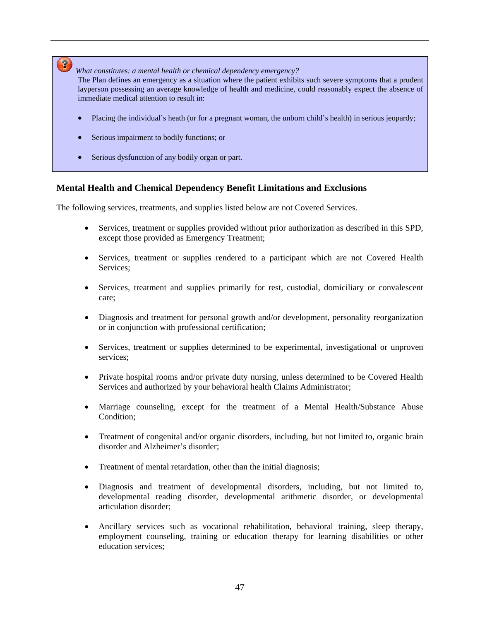# $\mathbf{P}$

*What constitutes: a mental health or chemical dependency emergency?*

The Plan defines an emergency as a situation where the patient exhibits such severe symptoms that a prudent layperson possessing an average knowledge of health and medicine, could reasonably expect the absence of immediate medical attention to result in:

- Placing the individual's heath (or for a pregnant woman, the unborn child's health) in serious jeopardy;
- Serious impairment to bodily functions; or
- Serious dysfunction of any bodily organ or part.

### **Mental Health and Chemical Dependency Benefit Limitations and Exclusions**

The following services, treatments, and supplies listed below are not Covered Services.

- Services, treatment or supplies provided without prior authorization as described in this SPD, except those provided as Emergency Treatment;
- Services, treatment or supplies rendered to a participant which are not Covered Health Services;
- Services, treatment and supplies primarily for rest, custodial, domiciliary or convalescent care;
- Diagnosis and treatment for personal growth and/or development, personality reorganization or in conjunction with professional certification;
- Services, treatment or supplies determined to be experimental, investigational or unproven services;
- Private hospital rooms and/or private duty nursing, unless determined to be Covered Health Services and authorized by your behavioral health Claims Administrator;
- Marriage counseling, except for the treatment of a Mental Health/Substance Abuse Condition;
- Treatment of congenital and/or organic disorders, including, but not limited to, organic brain disorder and Alzheimer's disorder;
- Treatment of mental retardation, other than the initial diagnosis;
- Diagnosis and treatment of developmental disorders, including, but not limited to, developmental reading disorder, developmental arithmetic disorder, or developmental articulation disorder;
- Ancillary services such as vocational rehabilitation, behavioral training, sleep therapy, employment counseling, training or education therapy for learning disabilities or other education services;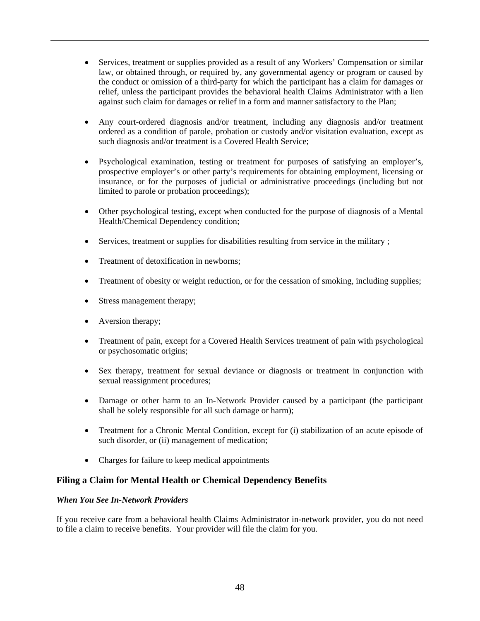- Services, treatment or supplies provided as a result of any Workers' Compensation or similar law, or obtained through, or required by, any governmental agency or program or caused by the conduct or omission of a third-party for which the participant has a claim for damages or relief, unless the participant provides the behavioral health Claims Administrator with a lien against such claim for damages or relief in a form and manner satisfactory to the Plan;
- Any court-ordered diagnosis and/or treatment, including any diagnosis and/or treatment ordered as a condition of parole, probation or custody and/or visitation evaluation, except as such diagnosis and/or treatment is a Covered Health Service;
- Psychological examination, testing or treatment for purposes of satisfying an employer's, prospective employer's or other party's requirements for obtaining employment, licensing or insurance, or for the purposes of judicial or administrative proceedings (including but not limited to parole or probation proceedings);
- Other psychological testing, except when conducted for the purpose of diagnosis of a Mental Health/Chemical Dependency condition;
- Services, treatment or supplies for disabilities resulting from service in the military ;
- Treatment of detoxification in newborns:
- Treatment of obesity or weight reduction, or for the cessation of smoking, including supplies;
- Stress management therapy;
- Aversion therapy;
- Treatment of pain, except for a Covered Health Services treatment of pain with psychological or psychosomatic origins;
- Sex therapy, treatment for sexual deviance or diagnosis or treatment in conjunction with sexual reassignment procedures;
- Damage or other harm to an In-Network Provider caused by a participant (the participant shall be solely responsible for all such damage or harm);
- Treatment for a Chronic Mental Condition, except for (i) stabilization of an acute episode of such disorder, or (ii) management of medication;
- Charges for failure to keep medical appointments

### **Filing a Claim for Mental Health or Chemical Dependency Benefits**

#### *When You See In-Network Providers*

If you receive care from a behavioral health Claims Administrator in-network provider, you do not need to file a claim to receive benefits. Your provider will file the claim for you.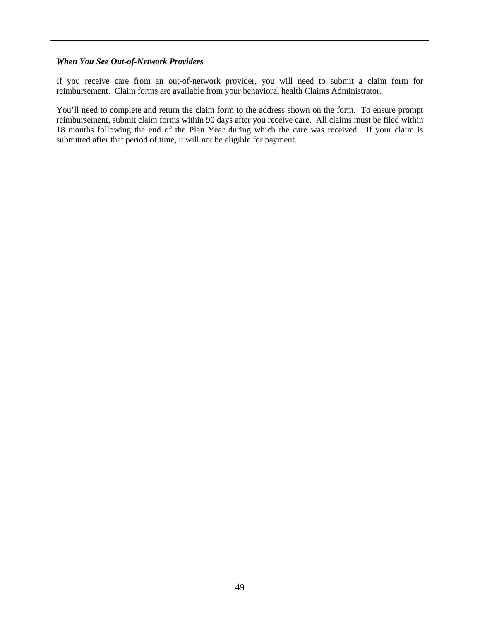#### *When You See Out-of-Network Providers*

If you receive care from an out-of-network provider, you will need to submit a claim form for reimbursement. Claim forms are available from your behavioral health Claims Administrator.

You'll need to complete and return the claim form to the address shown on the form. To ensure prompt reimbursement, submit claim forms within 90 days after you receive care. All claims must be filed within 18 months following the end of the Plan Year during which the care was received. If your claim is submitted after that period of time, it will not be eligible for payment.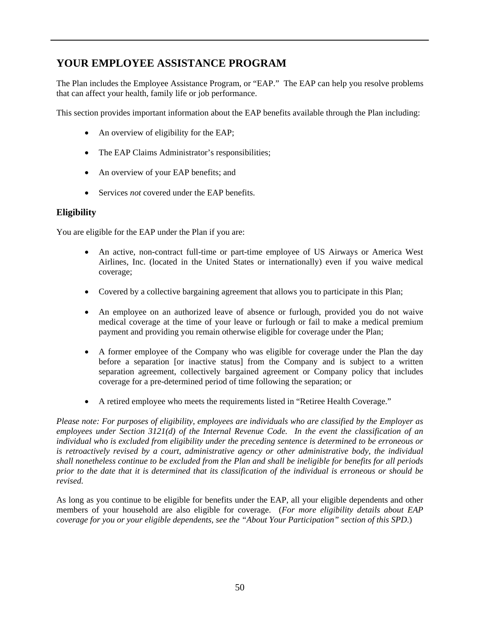# **YOUR EMPLOYEE ASSISTANCE PROGRAM**

The Plan includes the Employee Assistance Program, or "EAP." The EAP can help you resolve problems that can affect your health, family life or job performance.

This section provides important information about the EAP benefits available through the Plan including:

- An overview of eligibility for the EAP;
- The EAP Claims Administrator's responsibilities;
- An overview of your EAP benefits; and
- Services *not* covered under the EAP benefits.

# **Eligibility**

You are eligible for the EAP under the Plan if you are:

- An active, non-contract full-time or part-time employee of US Airways or America West Airlines, Inc. (located in the United States or internationally) even if you waive medical coverage;
- Covered by a collective bargaining agreement that allows you to participate in this Plan;
- An employee on an authorized leave of absence or furlough, provided you do not waive medical coverage at the time of your leave or furlough or fail to make a medical premium payment and providing you remain otherwise eligible for coverage under the Plan;
- A former employee of the Company who was eligible for coverage under the Plan the day before a separation [or inactive status] from the Company and is subject to a written separation agreement, collectively bargained agreement or Company policy that includes coverage for a pre-determined period of time following the separation; or
- A retired employee who meets the requirements listed in "Retiree Health Coverage."

*Please note: For purposes of eligibility, employees are individuals who are classified by the Employer as employees under Section 3121(d) of the Internal Revenue Code. In the event the classification of an individual who is excluded from eligibility under the preceding sentence is determined to be erroneous or is retroactively revised by a court, administrative agency or other administrative body, the individual shall nonetheless continue to be excluded from the Plan and shall be ineligible for benefits for all periods prior to the date that it is determined that its classification of the individual is erroneous or should be revised.* 

As long as you continue to be eligible for benefits under the EAP, all your eligible dependents and other members of your household are also eligible for coverage. (*For more eligibility details about EAP coverage for you or your eligible dependents, see the "About Your Participation" section of this SPD*.)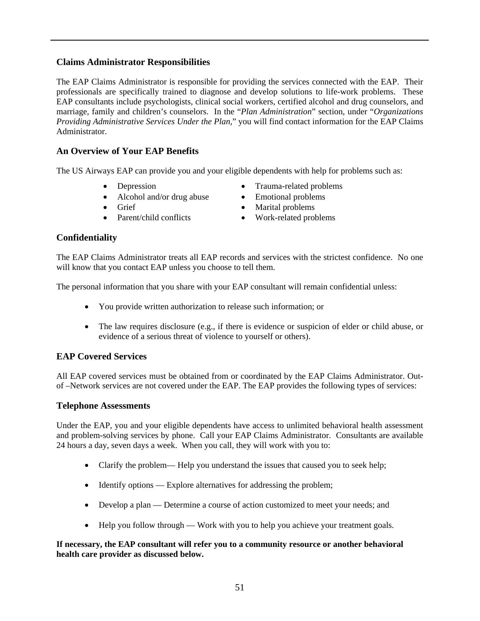### **Claims Administrator Responsibilities**

The EAP Claims Administrator is responsible for providing the services connected with the EAP. Their professionals are specifically trained to diagnose and develop solutions to life-work problems. These EAP consultants include psychologists, clinical social workers, certified alcohol and drug counselors, and marriage, family and children's counselors. In the "*Plan Administration*" section, under "*Organizations Providing Administrative Services Under the Plan*," you will find contact information for the EAP Claims Administrator.

# **An Overview of Your EAP Benefits**

The US Airways EAP can provide you and your eligible dependents with help for problems such as:

- Depression
- Alcohol and/or drug abuse
- Grief
- Parent/child conflicts
- Trauma-related problems
- Emotional problems
- Marital problems
- Work-related problems

### **Confidentiality**

The EAP Claims Administrator treats all EAP records and services with the strictest confidence. No one will know that you contact EAP unless you choose to tell them.

The personal information that you share with your EAP consultant will remain confidential unless:

- You provide written authorization to release such information; or
- The law requires disclosure (e.g., if there is evidence or suspicion of elder or child abuse, or evidence of a serious threat of violence to yourself or others).

### **EAP Covered Services**

All EAP covered services must be obtained from or coordinated by the EAP Claims Administrator. Outof –Network services are not covered under the EAP. The EAP provides the following types of services:

#### **Telephone Assessments**

Under the EAP, you and your eligible dependents have access to unlimited behavioral health assessment and problem-solving services by phone. Call your EAP Claims Administrator. Consultants are available 24 hours a day, seven days a week. When you call, they will work with you to:

- Clarify the problem— Help you understand the issues that caused you to seek help;
- Identify options Explore alternatives for addressing the problem;
- Develop a plan Determine a course of action customized to meet your needs; and
- Help you follow through Work with you to help you achieve your treatment goals.

#### **If necessary, the EAP consultant will refer you to a community resource or another behavioral health care provider as discussed below.**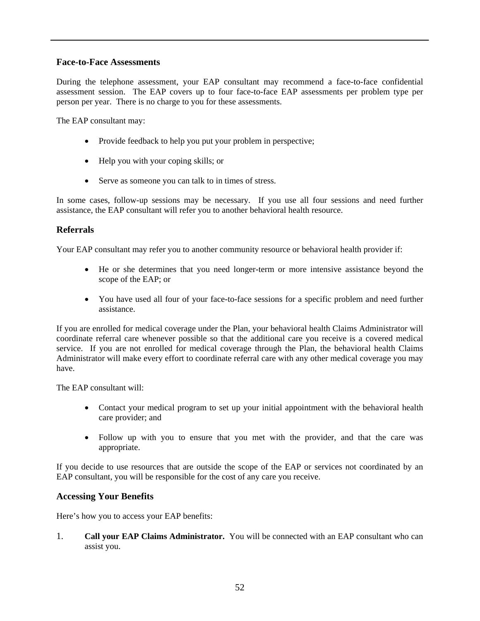### **Face-to-Face Assessments**

During the telephone assessment, your EAP consultant may recommend a face-to-face confidential assessment session. The EAP covers up to four face-to-face EAP assessments per problem type per person per year. There is no charge to you for these assessments.

The EAP consultant may:

- Provide feedback to help you put your problem in perspective;
- Help you with your coping skills; or
- Serve as someone you can talk to in times of stress.

In some cases, follow-up sessions may be necessary. If you use all four sessions and need further assistance, the EAP consultant will refer you to another behavioral health resource.

#### **Referrals**

Your EAP consultant may refer you to another community resource or behavioral health provider if:

- He or she determines that you need longer-term or more intensive assistance beyond the scope of the EAP; or
- You have used all four of your face-to-face sessions for a specific problem and need further assistance.

If you are enrolled for medical coverage under the Plan, your behavioral health Claims Administrator will coordinate referral care whenever possible so that the additional care you receive is a covered medical service. If you are not enrolled for medical coverage through the Plan, the behavioral health Claims Administrator will make every effort to coordinate referral care with any other medical coverage you may have.

The EAP consultant will:

- Contact your medical program to set up your initial appointment with the behavioral health care provider; and
- Follow up with you to ensure that you met with the provider, and that the care was appropriate.

If you decide to use resources that are outside the scope of the EAP or services not coordinated by an EAP consultant, you will be responsible for the cost of any care you receive.

#### **Accessing Your Benefits**

Here's how you to access your EAP benefits:

1. **Call your EAP Claims Administrator.** You will be connected with an EAP consultant who can assist you.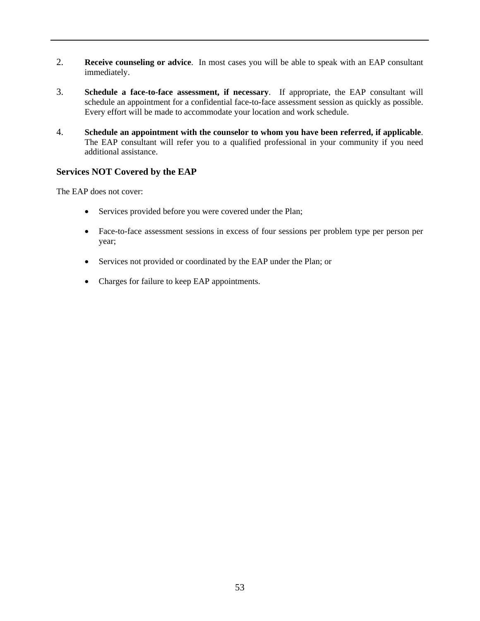- 2. **Receive counseling or advice**. In most cases you will be able to speak with an EAP consultant immediately.
- 3. **Schedule a face-to-face assessment, if necessary**. If appropriate, the EAP consultant will schedule an appointment for a confidential face-to-face assessment session as quickly as possible. Every effort will be made to accommodate your location and work schedule.
- 4. **Schedule an appointment with the counselor to whom you have been referred, if applicable**. The EAP consultant will refer you to a qualified professional in your community if you need additional assistance.

### **Services NOT Covered by the EAP**

The EAP does not cover:

- Services provided before you were covered under the Plan;
- Face-to-face assessment sessions in excess of four sessions per problem type per person per year;
- Services not provided or coordinated by the EAP under the Plan; or
- Charges for failure to keep EAP appointments.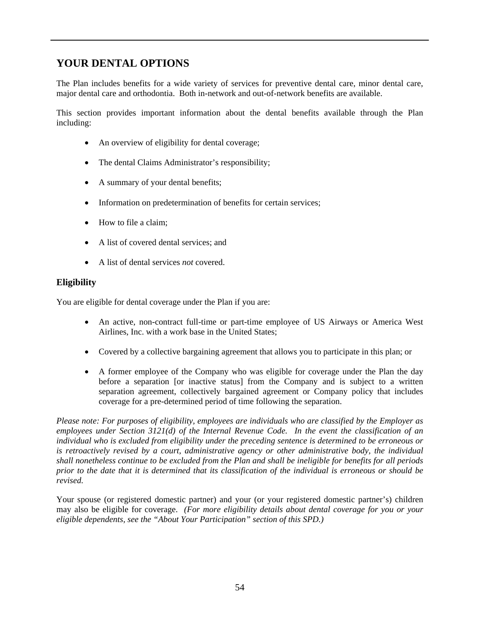# **YOUR DENTAL OPTIONS**

The Plan includes benefits for a wide variety of services for preventive dental care, minor dental care, major dental care and orthodontia. Both in-network and out-of-network benefits are available.

This section provides important information about the dental benefits available through the Plan including:

- An overview of eligibility for dental coverage;
- The dental Claims Administrator's responsibility;
- A summary of your dental benefits;
- Information on predetermination of benefits for certain services;
- How to file a claim:
- A list of covered dental services; and
- A list of dental services *not* covered.

# **Eligibility**

You are eligible for dental coverage under the Plan if you are:

- An active, non-contract full-time or part-time employee of US Airways or America West Airlines, Inc. with a work base in the United States;
- Covered by a collective bargaining agreement that allows you to participate in this plan; or
- A former employee of the Company who was eligible for coverage under the Plan the day before a separation [or inactive status] from the Company and is subject to a written separation agreement, collectively bargained agreement or Company policy that includes coverage for a pre-determined period of time following the separation.

*Please note: For purposes of eligibility, employees are individuals who are classified by the Employer as employees under Section 3121(d) of the Internal Revenue Code. In the event the classification of an individual who is excluded from eligibility under the preceding sentence is determined to be erroneous or is retroactively revised by a court, administrative agency or other administrative body, the individual shall nonetheless continue to be excluded from the Plan and shall be ineligible for benefits for all periods prior to the date that it is determined that its classification of the individual is erroneous or should be revised.* 

Your spouse (or registered domestic partner) and your (or your registered domestic partner's) children may also be eligible for coverage. *(For more eligibility details about dental coverage for you or your eligible dependents, see the "About Your Participation" section of this SPD.)*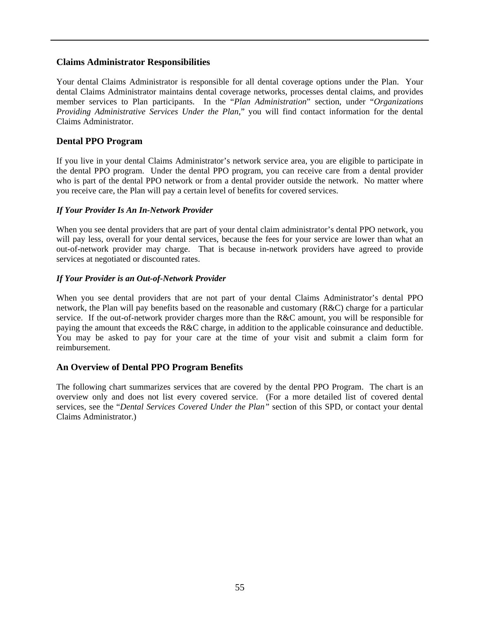#### **Claims Administrator Responsibilities**

Your dental Claims Administrator is responsible for all dental coverage options under the Plan. Your dental Claims Administrator maintains dental coverage networks, processes dental claims, and provides member services to Plan participants. In the "*Plan Administration*" section, under "*Organizations Providing Administrative Services Under the Plan*," you will find contact information for the dental Claims Administrator.

#### **Dental PPO Program**

If you live in your dental Claims Administrator's network service area, you are eligible to participate in the dental PPO program. Under the dental PPO program, you can receive care from a dental provider who is part of the dental PPO network or from a dental provider outside the network. No matter where you receive care, the Plan will pay a certain level of benefits for covered services.

#### *If Your Provider Is An In-Network Provider*

When you see dental providers that are part of your dental claim administrator's dental PPO network, you will pay less, overall for your dental services, because the fees for your service are lower than what an out-of-network provider may charge. That is because in-network providers have agreed to provide services at negotiated or discounted rates.

#### *If Your Provider is an Out-of-Network Provider*

When you see dental providers that are not part of your dental Claims Administrator's dental PPO network, the Plan will pay benefits based on the reasonable and customary (R&C) charge for a particular service. If the out-of-network provider charges more than the R&C amount, you will be responsible for paying the amount that exceeds the R&C charge, in addition to the applicable coinsurance and deductible. You may be asked to pay for your care at the time of your visit and submit a claim form for reimbursement.

#### **An Overview of Dental PPO Program Benefits**

The following chart summarizes services that are covered by the dental PPO Program. The chart is an overview only and does not list every covered service. (For a more detailed list of covered dental services, see the "*Dental Services Covered Under the Plan"* section of this SPD, or contact your dental Claims Administrator.)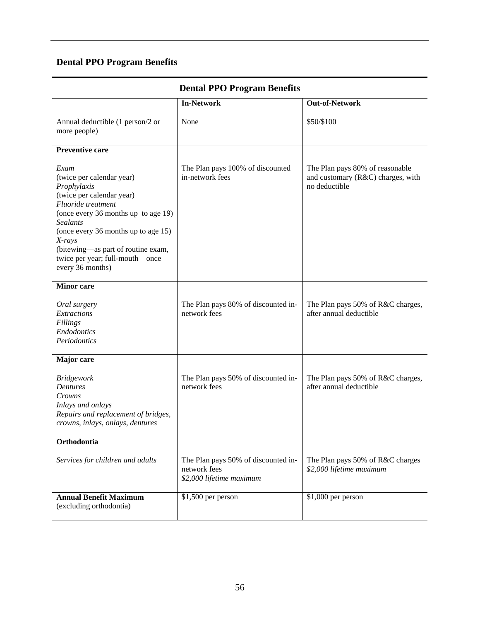# **Dental PPO Program Benefits**

| Deniai II O I I ogram Denemis                                                                                                                                                                                                                                                                                 |                                                                                 |                                                                                       |  |  |
|---------------------------------------------------------------------------------------------------------------------------------------------------------------------------------------------------------------------------------------------------------------------------------------------------------------|---------------------------------------------------------------------------------|---------------------------------------------------------------------------------------|--|--|
|                                                                                                                                                                                                                                                                                                               | <b>In-Network</b>                                                               | <b>Out-of-Network</b>                                                                 |  |  |
| Annual deductible (1 person/2 or<br>more people)                                                                                                                                                                                                                                                              | None                                                                            | \$50/\$100                                                                            |  |  |
| <b>Preventive care</b>                                                                                                                                                                                                                                                                                        |                                                                                 |                                                                                       |  |  |
| Exam<br>(twice per calendar year)<br>Prophylaxis<br>(twice per calendar year)<br>Fluoride treatment<br>(once every 36 months up to age 19)<br><b>Sealants</b><br>(once every 36 months up to age 15)<br>$X-rays$<br>(bitewing-as part of routine exam,<br>twice per year; full-mouth-once<br>every 36 months) | The Plan pays 100% of discounted<br>in-network fees                             | The Plan pays 80% of reasonable<br>and customary (R&C) charges, with<br>no deductible |  |  |
| <b>Minor</b> care                                                                                                                                                                                                                                                                                             |                                                                                 |                                                                                       |  |  |
| Oral surgery<br>Extractions<br>Fillings<br>Endodontics<br>Periodontics                                                                                                                                                                                                                                        | The Plan pays 80% of discounted in-<br>network fees                             | The Plan pays 50% of R&C charges,<br>after annual deductible                          |  |  |
| <b>Major</b> care                                                                                                                                                                                                                                                                                             |                                                                                 |                                                                                       |  |  |
| <b>Bridgework</b><br><b>Dentures</b><br>Crowns<br>Inlays and onlays<br>Repairs and replacement of bridges,<br>crowns, inlays, onlays, dentures                                                                                                                                                                | The Plan pays 50% of discounted in-<br>network fees                             | The Plan pays 50% of R&C charges,<br>after annual deductible                          |  |  |
| Orthodontia                                                                                                                                                                                                                                                                                                   |                                                                                 |                                                                                       |  |  |
| Services for children and adults                                                                                                                                                                                                                                                                              | The Plan pays 50% of discounted in-<br>network fees<br>\$2,000 lifetime maximum | The Plan pays 50% of R&C charges<br>\$2,000 lifetime maximum                          |  |  |
| <b>Annual Benefit Maximum</b><br>(excluding orthodontia)                                                                                                                                                                                                                                                      | \$1,500 per person                                                              | \$1,000 per person                                                                    |  |  |

# **Dental PPO Program Benefits**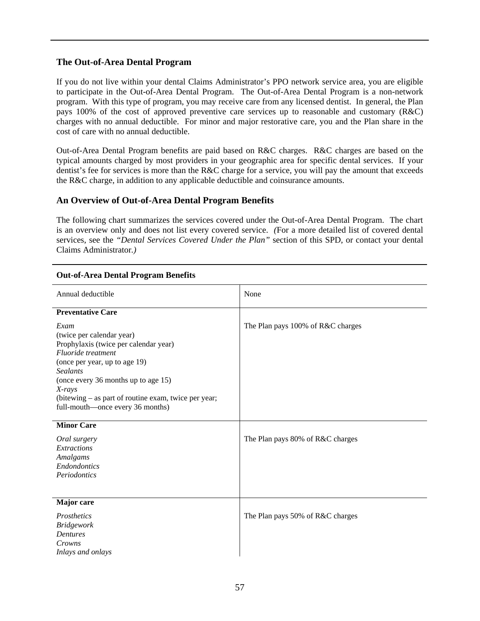#### **The Out-of-Area Dental Program**

If you do not live within your dental Claims Administrator's PPO network service area, you are eligible to participate in the Out-of-Area Dental Program. The Out-of-Area Dental Program is a non-network program. With this type of program, you may receive care from any licensed dentist. In general, the Plan pays 100% of the cost of approved preventive care services up to reasonable and customary (R&C) charges with no annual deductible. For minor and major restorative care, you and the Plan share in the cost of care with no annual deductible.

Out-of-Area Dental Program benefits are paid based on R&C charges. R&C charges are based on the typical amounts charged by most providers in your geographic area for specific dental services. If your dentist's fee for services is more than the R&C charge for a service, you will pay the amount that exceeds the R&C charge, in addition to any applicable deductible and coinsurance amounts.

#### **An Overview of Out-of-Area Dental Program Benefits**

The following chart summarizes the services covered under the Out-of-Area Dental Program. The chart is an overview only and does not list every covered service. *(*For a more detailed list of covered dental services, see the *"Dental Services Covered Under the Plan"* section of this SPD, or contact your dental Claims Administrator*.)*

| Annual deductible                                                                                                                                                                                                                                                                                 | None                              |
|---------------------------------------------------------------------------------------------------------------------------------------------------------------------------------------------------------------------------------------------------------------------------------------------------|-----------------------------------|
| <b>Preventative Care</b>                                                                                                                                                                                                                                                                          |                                   |
| Exam<br>(twice per calendar year)<br>Prophylaxis (twice per calendar year)<br>Fluoride treatment<br>(once per year, up to age 19)<br><b>Sealants</b><br>(once every 36 months up to age 15)<br>X-rays<br>(bitewing – as part of routine exam, twice per year;<br>full-mouth—once every 36 months) | The Plan pays 100% of R&C charges |
| <b>Minor Care</b><br>Oral surgery<br>Extractions<br>Amalgams<br><b>Endondontics</b><br>Periodontics                                                                                                                                                                                               | The Plan pays 80% of R&C charges  |
| Major care<br><b>Prosthetics</b><br><b>Bridgework</b><br><b>Dentures</b><br>Crowns<br>Inlays and onlays                                                                                                                                                                                           | The Plan pays 50% of R&C charges  |

#### **Out-of-Area Dental Program Benefits**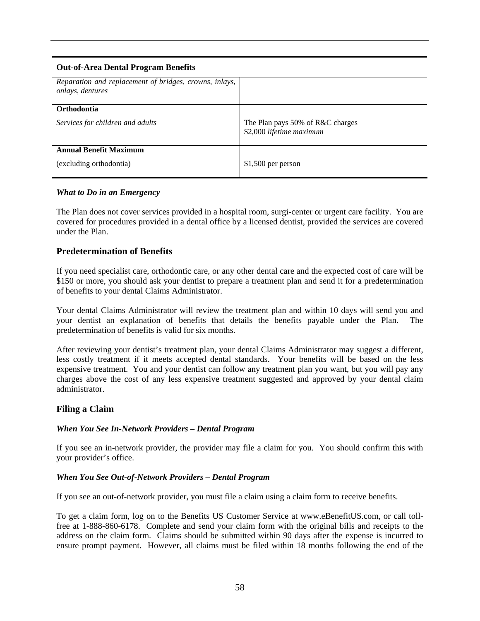# **Out-of-Area Dental Program Benefits**  *Reparation and replacement of bridges, crowns, inlays, onlays, dentures*  **Orthodontia**  *Services for children and adults* The Plan pays 50% of R&C charges \$2,000 *lifetime maximum*  **Annual Benefit Maximum**  (excluding orthodontia) \$1,500 per person

### *What to Do in an Emergency*

The Plan does not cover services provided in a hospital room, surgi-center or urgent care facility. You are covered for procedures provided in a dental office by a licensed dentist, provided the services are covered under the Plan.

#### **Predetermination of Benefits**

If you need specialist care, orthodontic care, or any other dental care and the expected cost of care will be \$150 or more, you should ask your dentist to prepare a treatment plan and send it for a predetermination of benefits to your dental Claims Administrator.

Your dental Claims Administrator will review the treatment plan and within 10 days will send you and your dentist an explanation of benefits that details the benefits payable under the Plan. The predetermination of benefits is valid for six months.

After reviewing your dentist's treatment plan, your dental Claims Administrator may suggest a different, less costly treatment if it meets accepted dental standards. Your benefits will be based on the less expensive treatment. You and your dentist can follow any treatment plan you want, but you will pay any charges above the cost of any less expensive treatment suggested and approved by your dental claim administrator.

#### **Filing a Claim**

#### *When You See In-Network Providers – Dental Program*

If you see an in-network provider, the provider may file a claim for you. You should confirm this with your provider's office.

#### *When You See Out-of-Network Providers – Dental Program*

If you see an out-of-network provider, you must file a claim using a claim form to receive benefits.

To get a claim form, log on to the Benefits US Customer Service at www.eBenefitUS.com, or call tollfree at 1-888-860-6178. Complete and send your claim form with the original bills and receipts to the address on the claim form. Claims should be submitted within 90 days after the expense is incurred to ensure prompt payment. However, all claims must be filed within 18 months following the end of the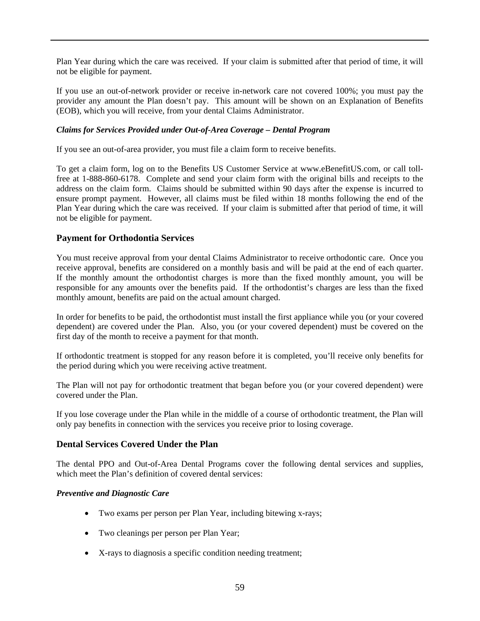Plan Year during which the care was received. If your claim is submitted after that period of time, it will not be eligible for payment.

If you use an out-of-network provider or receive in-network care not covered 100%; you must pay the provider any amount the Plan doesn't pay. This amount will be shown on an Explanation of Benefits (EOB), which you will receive, from your dental Claims Administrator.

#### *Claims for Services Provided under Out-of-Area Coverage – Dental Program*

If you see an out-of-area provider, you must file a claim form to receive benefits.

To get a claim form, log on to the Benefits US Customer Service at www.eBenefitUS.com, or call tollfree at 1-888-860-6178. Complete and send your claim form with the original bills and receipts to the address on the claim form. Claims should be submitted within 90 days after the expense is incurred to ensure prompt payment. However, all claims must be filed within 18 months following the end of the Plan Year during which the care was received. If your claim is submitted after that period of time, it will not be eligible for payment.

#### **Payment for Orthodontia Services**

You must receive approval from your dental Claims Administrator to receive orthodontic care. Once you receive approval, benefits are considered on a monthly basis and will be paid at the end of each quarter. If the monthly amount the orthodontist charges is more than the fixed monthly amount, you will be responsible for any amounts over the benefits paid. If the orthodontist's charges are less than the fixed monthly amount, benefits are paid on the actual amount charged.

In order for benefits to be paid, the orthodontist must install the first appliance while you (or your covered dependent) are covered under the Plan. Also, you (or your covered dependent) must be covered on the first day of the month to receive a payment for that month.

If orthodontic treatment is stopped for any reason before it is completed, you'll receive only benefits for the period during which you were receiving active treatment.

The Plan will not pay for orthodontic treatment that began before you (or your covered dependent) were covered under the Plan.

If you lose coverage under the Plan while in the middle of a course of orthodontic treatment, the Plan will only pay benefits in connection with the services you receive prior to losing coverage.

#### **Dental Services Covered Under the Plan**

The dental PPO and Out-of-Area Dental Programs cover the following dental services and supplies, which meet the Plan's definition of covered dental services:

#### *Preventive and Diagnostic Care*

- Two exams per person per Plan Year, including bitewing x-rays;
- Two cleanings per person per Plan Year;
- X-rays to diagnosis a specific condition needing treatment;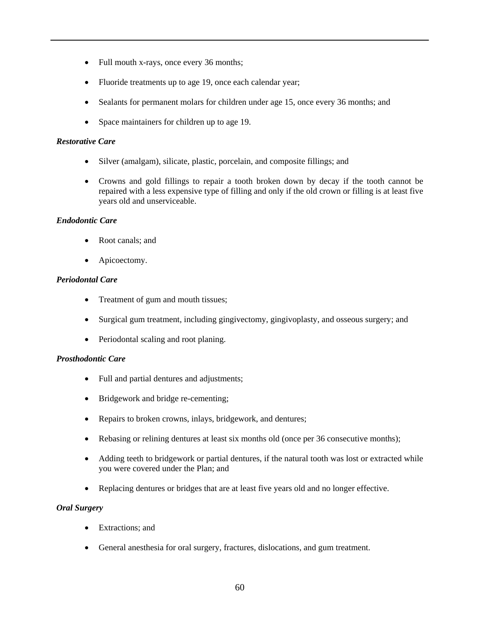- Full mouth x-rays, once every 36 months;
- Fluoride treatments up to age 19, once each calendar year;
- Sealants for permanent molars for children under age 15, once every 36 months; and
- Space maintainers for children up to age 19.

#### *Restorative Care*

- Silver (amalgam), silicate, plastic, porcelain, and composite fillings; and
- Crowns and gold fillings to repair a tooth broken down by decay if the tooth cannot be repaired with a less expensive type of filling and only if the old crown or filling is at least five years old and unserviceable.

#### *Endodontic Care*

- Root canals; and
- Apicoectomy.

#### *Periodontal Care*

- Treatment of gum and mouth tissues;
- Surgical gum treatment, including gingivectomy, gingivoplasty, and osseous surgery; and
- Periodontal scaling and root planing.

#### *Prosthodontic Care*

- Full and partial dentures and adjustments;
- Bridgework and bridge re-cementing;
- Repairs to broken crowns, inlays, bridgework, and dentures;
- Rebasing or relining dentures at least six months old (once per 36 consecutive months);
- Adding teeth to bridgework or partial dentures, if the natural tooth was lost or extracted while you were covered under the Plan; and
- Replacing dentures or bridges that are at least five years old and no longer effective.

#### *Oral Surgery*

- Extractions: and
- General anesthesia for oral surgery, fractures, dislocations, and gum treatment.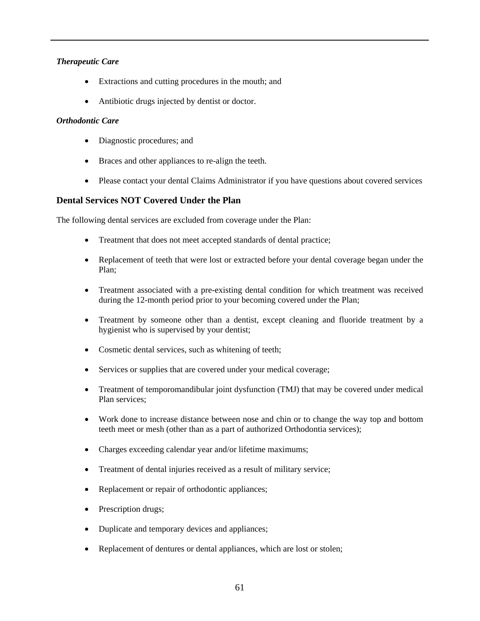#### *Therapeutic Care*

- Extractions and cutting procedures in the mouth; and
- Antibiotic drugs injected by dentist or doctor.

#### *Orthodontic Care*

- Diagnostic procedures; and
- Braces and other appliances to re-align the teeth.
- Please contact your dental Claims Administrator if you have questions about covered services

### **Dental Services NOT Covered Under the Plan**

The following dental services are excluded from coverage under the Plan:

- Treatment that does not meet accepted standards of dental practice;
- Replacement of teeth that were lost or extracted before your dental coverage began under the Plan;
- Treatment associated with a pre-existing dental condition for which treatment was received during the 12-month period prior to your becoming covered under the Plan;
- Treatment by someone other than a dentist, except cleaning and fluoride treatment by a hygienist who is supervised by your dentist;
- Cosmetic dental services, such as whitening of teeth;
- Services or supplies that are covered under your medical coverage;
- Treatment of temporomandibular joint dysfunction (TMJ) that may be covered under medical Plan services;
- Work done to increase distance between nose and chin or to change the way top and bottom teeth meet or mesh (other than as a part of authorized Orthodontia services);
- Charges exceeding calendar year and/or lifetime maximums;
- Treatment of dental injuries received as a result of military service;
- Replacement or repair of orthodontic appliances;
- Prescription drugs;
- Duplicate and temporary devices and appliances;
- Replacement of dentures or dental appliances, which are lost or stolen;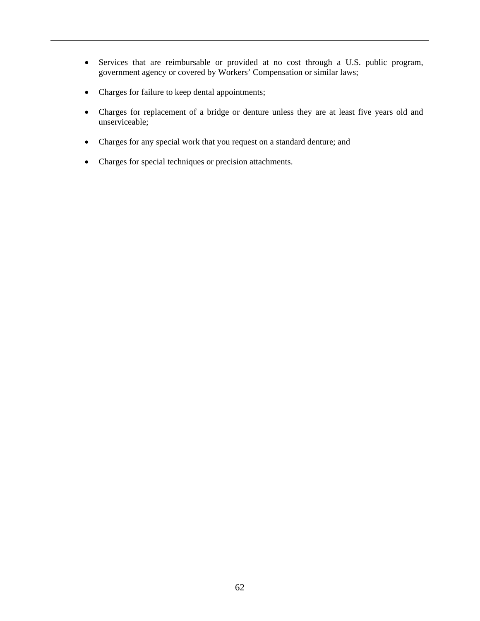- Services that are reimbursable or provided at no cost through a U.S. public program, government agency or covered by Workers' Compensation or similar laws;
- Charges for failure to keep dental appointments;
- Charges for replacement of a bridge or denture unless they are at least five years old and unserviceable;
- Charges for any special work that you request on a standard denture; and
- Charges for special techniques or precision attachments.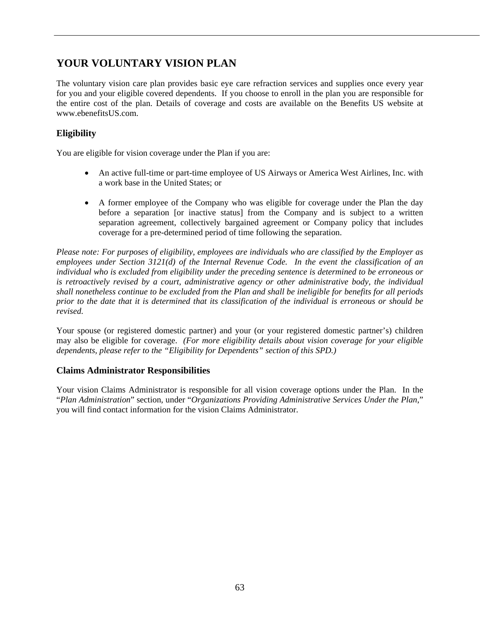# **YOUR VOLUNTARY VISION PLAN**

The voluntary vision care plan provides basic eye care refraction services and supplies once every year for you and your eligible covered dependents. If you choose to enroll in the plan you are responsible for the entire cost of the plan. Details of coverage and costs are available on the Benefits US website at www.ebenefitsUS.com.

# **Eligibility**

You are eligible for vision coverage under the Plan if you are:

- An active full-time or part-time employee of US Airways or America West Airlines, Inc. with a work base in the United States; or
- A former employee of the Company who was eligible for coverage under the Plan the day before a separation [or inactive status] from the Company and is subject to a written separation agreement, collectively bargained agreement or Company policy that includes coverage for a pre-determined period of time following the separation.

*Please note: For purposes of eligibility, employees are individuals who are classified by the Employer as employees under Section 3121(d) of the Internal Revenue Code. In the event the classification of an individual who is excluded from eligibility under the preceding sentence is determined to be erroneous or is retroactively revised by a court, administrative agency or other administrative body, the individual shall nonetheless continue to be excluded from the Plan and shall be ineligible for benefits for all periods prior to the date that it is determined that its classification of the individual is erroneous or should be revised.* 

Your spouse (or registered domestic partner) and your (or your registered domestic partner's) children may also be eligible for coverage. *(For more eligibility details about vision coverage for your eligible dependents, please refer to the "Eligibility for Dependents" section of this SPD.)*

### **Claims Administrator Responsibilities**

Your vision Claims Administrator is responsible for all vision coverage options under the Plan. In the "*Plan Administration*" section, under "*Organizations Providing Administrative Services Under the Plan*," you will find contact information for the vision Claims Administrator.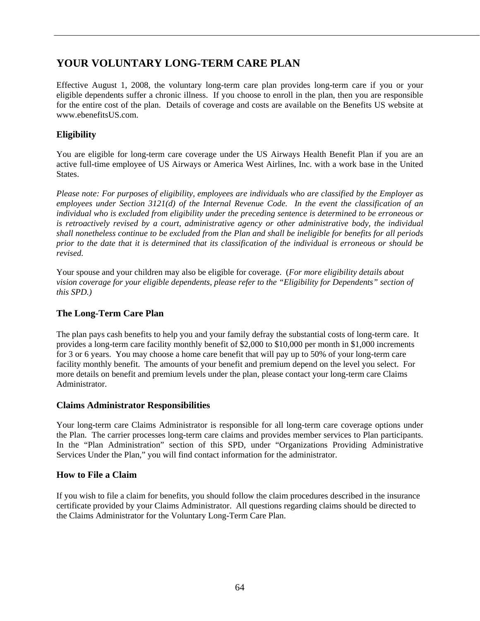# **YOUR VOLUNTARY LONG-TERM CARE PLAN**

Effective August 1, 2008, the voluntary long-term care plan provides long-term care if you or your eligible dependents suffer a chronic illness. If you choose to enroll in the plan, then you are responsible for the entire cost of the plan. Details of coverage and costs are available on the Benefits US website at www.ebenefitsUS.com.

# **Eligibility**

You are eligible for long-term care coverage under the US Airways Health Benefit Plan if you are an active full-time employee of US Airways or America West Airlines, Inc. with a work base in the United States.

*Please note: For purposes of eligibility, employees are individuals who are classified by the Employer as employees under Section 3121(d) of the Internal Revenue Code. In the event the classification of an individual who is excluded from eligibility under the preceding sentence is determined to be erroneous or is retroactively revised by a court, administrative agency or other administrative body, the individual shall nonetheless continue to be excluded from the Plan and shall be ineligible for benefits for all periods prior to the date that it is determined that its classification of the individual is erroneous or should be revised.* 

Your spouse and your children may also be eligible for coverage. (*For more eligibility details about vision coverage for your eligible dependents, please refer to the "Eligibility for Dependents" section of this SPD.)*

# **The Long-Term Care Plan**

The plan pays cash benefits to help you and your family defray the substantial costs of long-term care. It provides a long-term care facility monthly benefit of \$2,000 to \$10,000 per month in \$1,000 increments for 3 or 6 years. You may choose a home care benefit that will pay up to 50% of your long-term care facility monthly benefit. The amounts of your benefit and premium depend on the level you select. For more details on benefit and premium levels under the plan, please contact your long-term care Claims Administrator.

### **Claims Administrator Responsibilities**

Your long-term care Claims Administrator is responsible for all long-term care coverage options under the Plan. The carrier processes long-term care claims and provides member services to Plan participants. In the "Plan Administration" section of this SPD, under "Organizations Providing Administrative Services Under the Plan," you will find contact information for the administrator.

# **How to File a Claim**

If you wish to file a claim for benefits, you should follow the claim procedures described in the insurance certificate provided by your Claims Administrator. All questions regarding claims should be directed to the Claims Administrator for the Voluntary Long-Term Care Plan.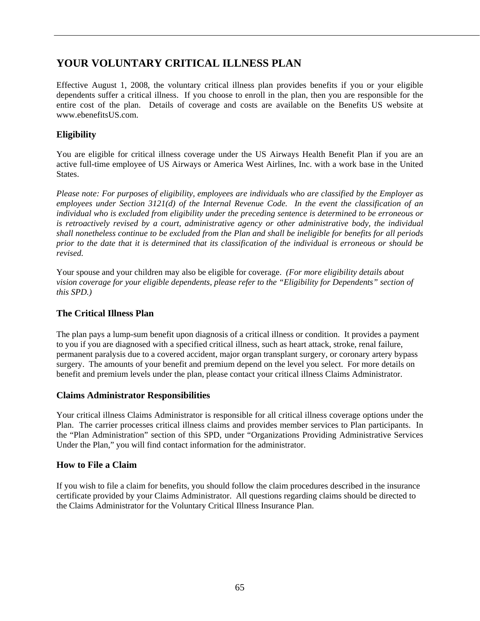# **YOUR VOLUNTARY CRITICAL ILLNESS PLAN**

Effective August 1, 2008, the voluntary critical illness plan provides benefits if you or your eligible dependents suffer a critical illness. If you choose to enroll in the plan, then you are responsible for the entire cost of the plan. Details of coverage and costs are available on the Benefits US website at www.ebenefitsUS.com.

# **Eligibility**

You are eligible for critical illness coverage under the US Airways Health Benefit Plan if you are an active full-time employee of US Airways or America West Airlines, Inc. with a work base in the United States.

*Please note: For purposes of eligibility, employees are individuals who are classified by the Employer as employees under Section 3121(d) of the Internal Revenue Code. In the event the classification of an individual who is excluded from eligibility under the preceding sentence is determined to be erroneous or is retroactively revised by a court, administrative agency or other administrative body, the individual shall nonetheless continue to be excluded from the Plan and shall be ineligible for benefits for all periods prior to the date that it is determined that its classification of the individual is erroneous or should be revised.* 

Your spouse and your children may also be eligible for coverage. *(For more eligibility details about vision coverage for your eligible dependents, please refer to the "Eligibility for Dependents" section of this SPD.)*

### **The Critical Illness Plan**

The plan pays a lump-sum benefit upon diagnosis of a critical illness or condition. It provides a payment to you if you are diagnosed with a specified critical illness, such as heart attack, stroke, renal failure, permanent paralysis due to a covered accident, major organ transplant surgery, or coronary artery bypass surgery. The amounts of your benefit and premium depend on the level you select. For more details on benefit and premium levels under the plan, please contact your critical illness Claims Administrator.

### **Claims Administrator Responsibilities**

Your critical illness Claims Administrator is responsible for all critical illness coverage options under the Plan. The carrier processes critical illness claims and provides member services to Plan participants. In the "Plan Administration" section of this SPD, under "Organizations Providing Administrative Services Under the Plan," you will find contact information for the administrator.

# **How to File a Claim**

If you wish to file a claim for benefits, you should follow the claim procedures described in the insurance certificate provided by your Claims Administrator. All questions regarding claims should be directed to the Claims Administrator for the Voluntary Critical Illness Insurance Plan.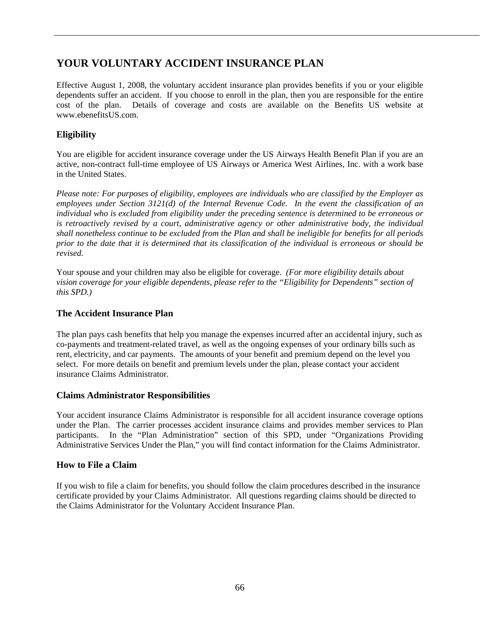# **YOUR VOLUNTARY ACCIDENT INSURANCE PLAN**

Effective August 1, 2008, the voluntary accident insurance plan provides benefits if you or your eligible dependents suffer an accident. If you choose to enroll in the plan, then you are responsible for the entire cost of the plan. Details of coverage and costs are available on the Benefits US website at www.ebenefitsUS.com.

## **Eligibility**

You are eligible for accident insurance coverage under the US Airways Health Benefit Plan if you are an active, non-contract full-time employee of US Airways or America West Airlines, Inc. with a work base in the United States.

*Please note: For purposes of eligibility, employees are individuals who are classified by the Employer as employees under Section 3121(d) of the Internal Revenue Code. In the event the classification of an individual who is excluded from eligibility under the preceding sentence is determined to be erroneous or is retroactively revised by a court, administrative agency or other administrative body, the individual shall nonetheless continue to be excluded from the Plan and shall be ineligible for benefits for all periods prior to the date that it is determined that its classification of the individual is erroneous or should be revised.* 

Your spouse and your children may also be eligible for coverage. *(For more eligibility details about vision coverage for your eligible dependents, please refer to the "Eligibility for Dependents" section of this SPD.)*

## **The Accident Insurance Plan**

The plan pays cash benefits that help you manage the expenses incurred after an accidental injury, such as co-payments and treatment-related travel, as well as the ongoing expenses of your ordinary bills such as rent, electricity, and car payments. The amounts of your benefit and premium depend on the level you select. For more details on benefit and premium levels under the plan, please contact your accident insurance Claims Administrator.

## **Claims Administrator Responsibilities**

Your accident insurance Claims Administrator is responsible for all accident insurance coverage options under the Plan. The carrier processes accident insurance claims and provides member services to Plan participants. In the "Plan Administration" section of this SPD, under "Organizations Providing Administrative Services Under the Plan," you will find contact information for the Claims Administrator.

## **How to File a Claim**

If you wish to file a claim for benefits, you should follow the claim procedures described in the insurance certificate provided by your Claims Administrator. All questions regarding claims should be directed to the Claims Administrator for the Voluntary Accident Insurance Plan.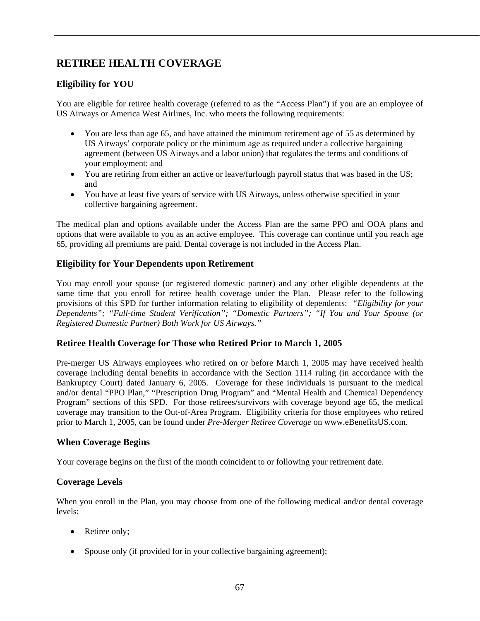# **RETIREE HEALTH COVERAGE**

## **Eligibility for YOU**

You are eligible for retiree health coverage (referred to as the "Access Plan") if you are an employee of US Airways or America West Airlines, Inc. who meets the following requirements:

- You are less than age 65, and have attained the minimum retirement age of 55 as determined by US Airways' corporate policy or the minimum age as required under a collective bargaining agreement (between US Airways and a labor union) that regulates the terms and conditions of your employment; and
- You are retiring from either an active or leave/furlough payroll status that was based in the US; and
- You have at least five years of service with US Airways, unless otherwise specified in your collective bargaining agreement.

The medical plan and options available under the Access Plan are the same PPO and OOA plans and options that were available to you as an active employee. This coverage can continue until you reach age 65, providing all premiums are paid. Dental coverage is not included in the Access Plan.

## **Eligibility for Your Dependents upon Retirement**

You may enroll your spouse (or registered domestic partner) and any other eligible dependents at the same time that you enroll for retiree health coverage under the Plan. Please refer to the following provisions of this SPD for further information relating to eligibility of dependents: *"Eligibility for your Dependents"; "Full-time Student Verification"; "Domestic Partners"; "If You and Your Spouse (or Registered Domestic Partner) Both Work for US Airways."* 

## **Retiree Health Coverage for Those who Retired Prior to March 1, 2005**

Pre-merger US Airways employees who retired on or before March 1, 2005 may have received health coverage including dental benefits in accordance with the Section 1114 ruling (in accordance with the Bankruptcy Court) dated January 6, 2005. Coverage for these individuals is pursuant to the medical and/or dental "PPO Plan," "Prescription Drug Program" and "Mental Health and Chemical Dependency Program" sections of this SPD. For those retirees/survivors with coverage beyond age 65, the medical coverage may transition to the Out-of-Area Program. Eligibility criteria for those employees who retired prior to March 1, 2005, can be found under *Pre-Merger Retiree Coverage* on www.eBenefitsUS.com.

## **When Coverage Begins**

Your coverage begins on the first of the month coincident to or following your retirement date.

## **Coverage Levels**

When you enroll in the Plan, you may choose from one of the following medical and/or dental coverage levels:

- Retiree only;
- Spouse only (if provided for in your collective bargaining agreement);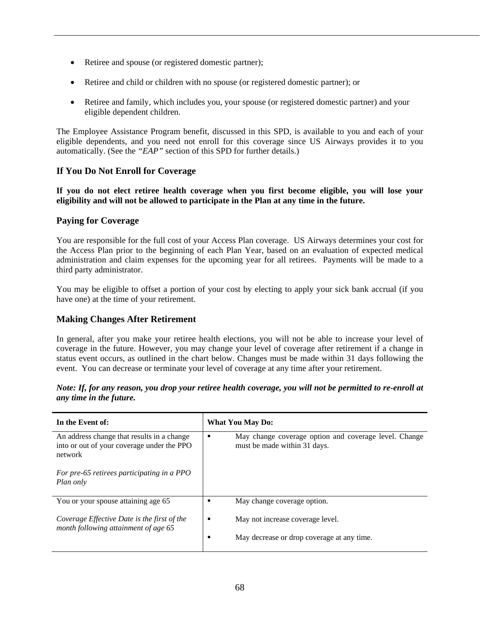- Retiree and spouse (or registered domestic partner);
- Retiree and child or children with no spouse (or registered domestic partner); or
- Retiree and family, which includes you, your spouse (or registered domestic partner) and your eligible dependent children.

The Employee Assistance Program benefit, discussed in this SPD, is available to you and each of your eligible dependents, and you need not enroll for this coverage since US Airways provides it to you automatically. (See the *"EAP"* section of this SPD for further details.)

#### **If You Do Not Enroll for Coverage**

**If you do not elect retiree health coverage when you first become eligible, you will lose your eligibility and will not be allowed to participate in the Plan at any time in the future.** 

#### **Paying for Coverage**

You are responsible for the full cost of your Access Plan coverage. US Airways determines your cost for the Access Plan prior to the beginning of each Plan Year, based on an evaluation of expected medical administration and claim expenses for the upcoming year for all retirees. Payments will be made to a third party administrator.

You may be eligible to offset a portion of your cost by electing to apply your sick bank accrual (if you have one) at the time of your retirement.

## **Making Changes After Retirement**

In general, after you make your retiree health elections, you will not be able to increase your level of coverage in the future. However, you may change your level of coverage after retirement if a change in status event occurs, as outlined in the chart below. Changes must be made within 31 days following the event. You can decrease or terminate your level of coverage at any time after your retirement.

*Note: If, for any reason, you drop your retiree health coverage, you will not be permitted to re-enroll at any time in the future.*

| In the Event of:                                                                                    |   | <b>What You May Do:</b>                                                               |
|-----------------------------------------------------------------------------------------------------|---|---------------------------------------------------------------------------------------|
| An address change that results in a change<br>into or out of your coverage under the PPO<br>network | п | May change coverage option and coverage level. Change<br>must be made within 31 days. |
| For pre-65 retirees participating in a PPO<br>Plan only                                             |   |                                                                                       |
| You or your spouse attaining age 65                                                                 | п | May change coverage option.                                                           |
| Coverage Effective Date is the first of the<br>month following attainment of age 65                 | п | May not increase coverage level.                                                      |
|                                                                                                     | п | May decrease or drop coverage at any time.                                            |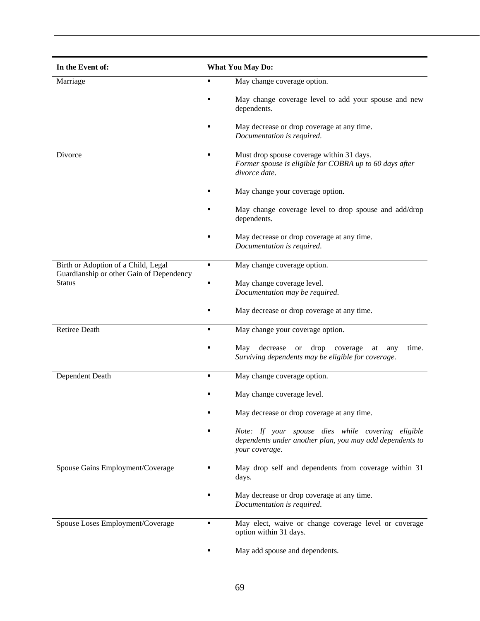| In the Event of:                                                                | <b>What You May Do:</b> |                                                                                                                                 |
|---------------------------------------------------------------------------------|-------------------------|---------------------------------------------------------------------------------------------------------------------------------|
| Marriage                                                                        | п                       | May change coverage option.                                                                                                     |
|                                                                                 |                         | May change coverage level to add your spouse and new<br>dependents.                                                             |
|                                                                                 |                         | May decrease or drop coverage at any time.<br>Documentation is required.                                                        |
| Divorce                                                                         | $\blacksquare$          | Must drop spouse coverage within 31 days.<br>Former spouse is eligible for COBRA up to 60 days after<br>divorce date.           |
|                                                                                 |                         | May change your coverage option.                                                                                                |
|                                                                                 |                         | May change coverage level to drop spouse and add/drop<br>dependents.                                                            |
|                                                                                 |                         | May decrease or drop coverage at any time.<br>Documentation is required.                                                        |
| Birth or Adoption of a Child, Legal<br>Guardianship or other Gain of Dependency | ٠                       | May change coverage option.                                                                                                     |
| <b>Status</b>                                                                   |                         | May change coverage level.                                                                                                      |
|                                                                                 |                         | Documentation may be required.                                                                                                  |
|                                                                                 |                         | May decrease or drop coverage at any time.                                                                                      |
| <b>Retiree Death</b>                                                            | ٠                       | May change your coverage option.                                                                                                |
|                                                                                 |                         | May<br>decrease<br>drop<br>time.<br><b>or</b><br>coverage<br>at<br>any<br>Surviving dependents may be eligible for coverage.    |
| Dependent Death                                                                 | ٠                       | May change coverage option.                                                                                                     |
|                                                                                 |                         | May change coverage level.                                                                                                      |
|                                                                                 |                         | May decrease or drop coverage at any time.                                                                                      |
|                                                                                 |                         | Note: If your spouse dies while covering eligible<br>dependents under another plan, you may add dependents to<br>your coverage. |
| Spouse Gains Employment/Coverage                                                | ٠                       | May drop self and dependents from coverage within 31<br>days.                                                                   |
|                                                                                 |                         | May decrease or drop coverage at any time.<br>Documentation is required.                                                        |
| Spouse Loses Employment/Coverage                                                | ٠                       | May elect, waive or change coverage level or coverage<br>option within 31 days.                                                 |
|                                                                                 |                         | May add spouse and dependents.                                                                                                  |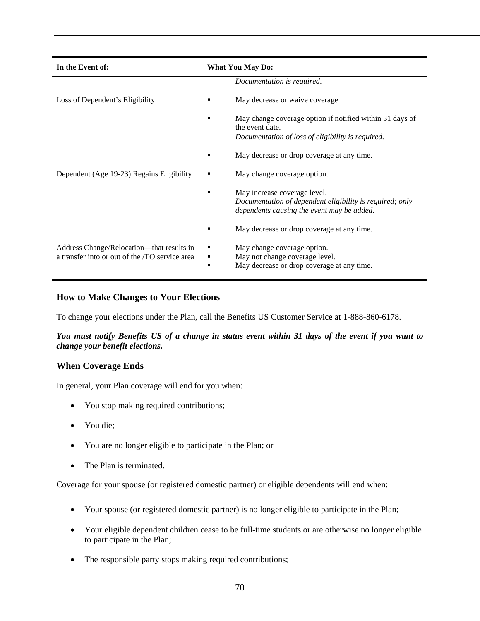| In the Event of:                                                                            | <b>What You May Do:</b>                                                                                                                |  |
|---------------------------------------------------------------------------------------------|----------------------------------------------------------------------------------------------------------------------------------------|--|
|                                                                                             | Documentation is required.                                                                                                             |  |
| Loss of Dependent's Eligibility                                                             | May decrease or waive coverage<br>٠                                                                                                    |  |
|                                                                                             | May change coverage option if notified within 31 days of<br>the event date.<br>Documentation of loss of eligibility is required.       |  |
|                                                                                             | May decrease or drop coverage at any time.                                                                                             |  |
| Dependent (Age 19-23) Regains Eligibility                                                   | May change coverage option.<br>٠                                                                                                       |  |
|                                                                                             | May increase coverage level.<br>Documentation of dependent eligibility is required; only<br>dependents causing the event may be added. |  |
|                                                                                             | May decrease or drop coverage at any time.                                                                                             |  |
| Address Change/Relocation—that results in<br>a transfer into or out of the /TO service area | May change coverage option.<br>п<br>May not change coverage level.<br>May decrease or drop coverage at any time.<br>п                  |  |

## **How to Make Changes to Your Elections**

To change your elections under the Plan, call the Benefits US Customer Service at 1-888-860-6178.

*You must notify Benefits US of a change in status event within 31 days of the event if you want to change your benefit elections.*

## **When Coverage Ends**

In general, your Plan coverage will end for you when:

- You stop making required contributions;
- You die;
- You are no longer eligible to participate in the Plan; or
- The Plan is terminated.

Coverage for your spouse (or registered domestic partner) or eligible dependents will end when:

- Your spouse (or registered domestic partner) is no longer eligible to participate in the Plan;
- Your eligible dependent children cease to be full-time students or are otherwise no longer eligible to participate in the Plan;
- The responsible party stops making required contributions;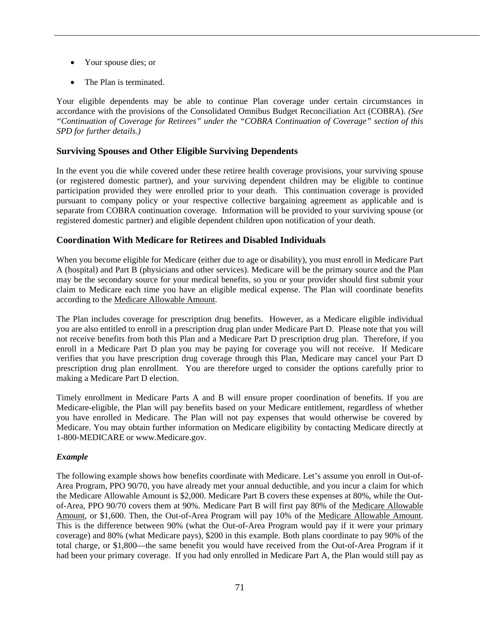- Your spouse dies; or
- The Plan is terminated.

Your eligible dependents may be able to continue Plan coverage under certain circumstances in accordance with the provisions of the Consolidated Omnibus Budget Reconciliation Act (COBRA). *(See "Continuation of Coverage for Retirees" under the "COBRA Continuation of Coverage" section of this SPD for further details.)*

## **Surviving Spouses and Other Eligible Surviving Dependents**

In the event you die while covered under these retiree health coverage provisions, your surviving spouse (or registered domestic partner), and your surviving dependent children may be eligible to continue participation provided they were enrolled prior to your death. This continuation coverage is provided pursuant to company policy or your respective collective bargaining agreement as applicable and is separate from COBRA continuation coverage. Information will be provided to your surviving spouse (or registered domestic partner) and eligible dependent children upon notification of your death.

## **Coordination With Medicare for Retirees and Disabled Individuals**

When you become eligible for Medicare (either due to age or disability), you must enroll in Medicare Part A (hospital) and Part B (physicians and other services). Medicare will be the primary source and the Plan may be the secondary source for your medical benefits, so you or your provider should first submit your claim to Medicare each time you have an eligible medical expense. The Plan will coordinate benefits according to the Medicare Allowable Amount.

The Plan includes coverage for prescription drug benefits. However, as a Medicare eligible individual you are also entitled to enroll in a prescription drug plan under Medicare Part D. Please note that you will not receive benefits from both this Plan and a Medicare Part D prescription drug plan. Therefore, if you enroll in a Medicare Part D plan you may be paying for coverage you will not receive. If Medicare verifies that you have prescription drug coverage through this Plan, Medicare may cancel your Part D prescription drug plan enrollment. You are therefore urged to consider the options carefully prior to making a Medicare Part D election.

Timely enrollment in Medicare Parts A and B will ensure proper coordination of benefits. If you are Medicare-eligible, the Plan will pay benefits based on your Medicare entitlement, regardless of whether you have enrolled in Medicare. The Plan will not pay expenses that would otherwise be covered by Medicare. You may obtain further information on Medicare eligibility by contacting Medicare directly at 1-800-MEDICARE or www.Medicare.gov.

## *Example*

The following example shows how benefits coordinate with Medicare. Let's assume you enroll in Out-of-Area Program, PPO 90/70, you have already met your annual deductible, and you incur a claim for which the Medicare Allowable Amount is \$2,000. Medicare Part B covers these expenses at 80%, while the Outof-Area, PPO 90/70 covers them at 90%. Medicare Part B will first pay 80% of the Medicare Allowable Amount, or \$1,600. Then, the Out-of-Area Program will pay 10% of the Medicare Allowable Amount. This is the difference between 90% (what the Out-of-Area Program would pay if it were your primary coverage) and 80% (what Medicare pays), \$200 in this example. Both plans coordinate to pay 90% of the total charge, or \$1,800—the same benefit you would have received from the Out-of-Area Program if it had been your primary coverage. If you had only enrolled in Medicare Part A, the Plan would still pay as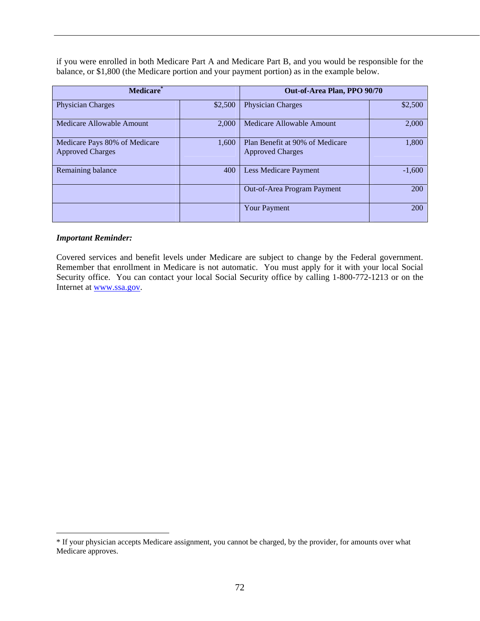if you were enrolled in both Medicare Part A and Medicare Part B, and you would be responsible for the balance, or \$1,800 (the Medicare portion and your payment portion) as in the example below.

| <b>Medicare</b>                                          |         | Out-of-Area Plan, PPO 90/70                                |          |
|----------------------------------------------------------|---------|------------------------------------------------------------|----------|
| <b>Physician Charges</b>                                 | \$2,500 | <b>Physician Charges</b>                                   | \$2,500  |
| Medicare Allowable Amount                                | 2,000   | Medicare Allowable Amount                                  | 2,000    |
| Medicare Pays 80% of Medicare<br><b>Approved Charges</b> | 1.600   | Plan Benefit at 90% of Medicare<br><b>Approved Charges</b> | 1,800    |
| Remaining balance                                        | 400     | Less Medicare Payment                                      | $-1,600$ |
|                                                          |         | Out-of-Area Program Payment                                | 200      |
|                                                          |         | <b>Your Payment</b>                                        | 200      |

#### *Important Reminder:*

1

Covered services and benefit levels under Medicare are subject to change by the Federal government. Remember that enrollment in Medicare is not automatic. You must apply for it with your local Social Security office. You can contact your local Social Security office by calling 1-800-772-1213 or on the Internet at www.ssa.gov.

<sup>\*</sup> If your physician accepts Medicare assignment, you cannot be charged, by the provider, for amounts over what Medicare approves.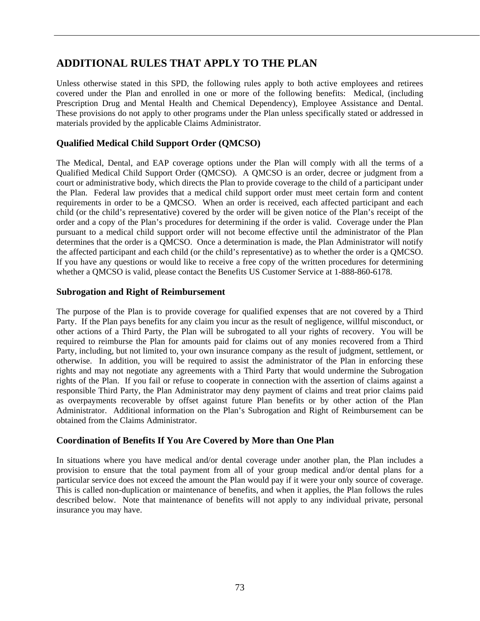# **ADDITIONAL RULES THAT APPLY TO THE PLAN**

Unless otherwise stated in this SPD, the following rules apply to both active employees and retirees covered under the Plan and enrolled in one or more of the following benefits: Medical, (including Prescription Drug and Mental Health and Chemical Dependency), Employee Assistance and Dental. These provisions do not apply to other programs under the Plan unless specifically stated or addressed in materials provided by the applicable Claims Administrator.

## **Qualified Medical Child Support Order (QMCSO)**

The Medical, Dental, and EAP coverage options under the Plan will comply with all the terms of a Qualified Medical Child Support Order (QMCSO). A QMCSO is an order, decree or judgment from a court or administrative body, which directs the Plan to provide coverage to the child of a participant under the Plan. Federal law provides that a medical child support order must meet certain form and content requirements in order to be a QMCSO. When an order is received, each affected participant and each child (or the child's representative) covered by the order will be given notice of the Plan's receipt of the order and a copy of the Plan's procedures for determining if the order is valid. Coverage under the Plan pursuant to a medical child support order will not become effective until the administrator of the Plan determines that the order is a QMCSO. Once a determination is made, the Plan Administrator will notify the affected participant and each child (or the child's representative) as to whether the order is a QMCSO. If you have any questions or would like to receive a free copy of the written procedures for determining whether a QMCSO is valid, please contact the Benefits US Customer Service at 1-888-860-6178.

#### **Subrogation and Right of Reimbursement**

The purpose of the Plan is to provide coverage for qualified expenses that are not covered by a Third Party. If the Plan pays benefits for any claim you incur as the result of negligence, willful misconduct, or other actions of a Third Party, the Plan will be subrogated to all your rights of recovery. You will be required to reimburse the Plan for amounts paid for claims out of any monies recovered from a Third Party, including, but not limited to, your own insurance company as the result of judgment, settlement, or otherwise. In addition, you will be required to assist the administrator of the Plan in enforcing these rights and may not negotiate any agreements with a Third Party that would undermine the Subrogation rights of the Plan. If you fail or refuse to cooperate in connection with the assertion of claims against a responsible Third Party, the Plan Administrator may deny payment of claims and treat prior claims paid as overpayments recoverable by offset against future Plan benefits or by other action of the Plan Administrator. Additional information on the Plan's Subrogation and Right of Reimbursement can be obtained from the Claims Administrator.

## **Coordination of Benefits If You Are Covered by More than One Plan**

In situations where you have medical and/or dental coverage under another plan, the Plan includes a provision to ensure that the total payment from all of your group medical and/or dental plans for a particular service does not exceed the amount the Plan would pay if it were your only source of coverage. This is called non-duplication or maintenance of benefits, and when it applies, the Plan follows the rules described below. Note that maintenance of benefits will not apply to any individual private, personal insurance you may have.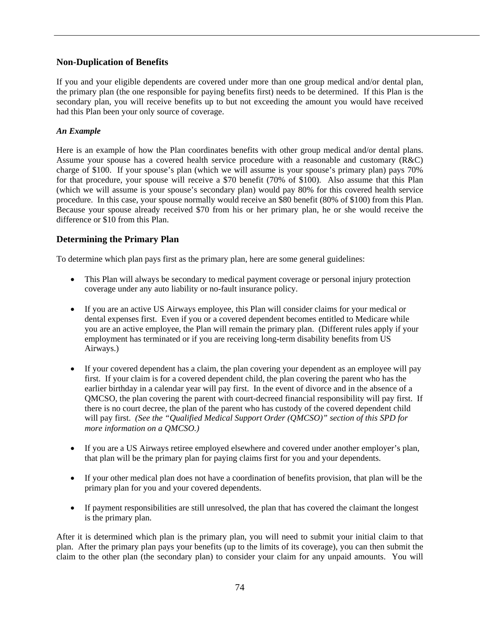## **Non-Duplication of Benefits**

If you and your eligible dependents are covered under more than one group medical and/or dental plan, the primary plan (the one responsible for paying benefits first) needs to be determined. If this Plan is the secondary plan, you will receive benefits up to but not exceeding the amount you would have received had this Plan been your only source of coverage.

### *An Example*

Here is an example of how the Plan coordinates benefits with other group medical and/or dental plans. Assume your spouse has a covered health service procedure with a reasonable and customary (R&C) charge of \$100. If your spouse's plan (which we will assume is your spouse's primary plan) pays 70% for that procedure, your spouse will receive a \$70 benefit (70% of \$100). Also assume that this Plan (which we will assume is your spouse's secondary plan) would pay 80% for this covered health service procedure. In this case, your spouse normally would receive an \$80 benefit (80% of \$100) from this Plan. Because your spouse already received \$70 from his or her primary plan, he or she would receive the difference or \$10 from this Plan.

## **Determining the Primary Plan**

To determine which plan pays first as the primary plan, here are some general guidelines:

- This Plan will always be secondary to medical payment coverage or personal injury protection coverage under any auto liability or no-fault insurance policy.
- If you are an active US Airways employee, this Plan will consider claims for your medical or dental expenses first. Even if you or a covered dependent becomes entitled to Medicare while you are an active employee, the Plan will remain the primary plan. (Different rules apply if your employment has terminated or if you are receiving long-term disability benefits from US Airways.)
- If your covered dependent has a claim, the plan covering your dependent as an employee will pay first. If your claim is for a covered dependent child, the plan covering the parent who has the earlier birthday in a calendar year will pay first. In the event of divorce and in the absence of a QMCSO, the plan covering the parent with court-decreed financial responsibility will pay first. If there is no court decree, the plan of the parent who has custody of the covered dependent child will pay first. *(See the "Qualified Medical Support Order (QMCSO)" section of this SPD for more information on a QMCSO.)*
- If you are a US Airways retiree employed elsewhere and covered under another employer's plan, that plan will be the primary plan for paying claims first for you and your dependents.
- If your other medical plan does not have a coordination of benefits provision, that plan will be the primary plan for you and your covered dependents.
- If payment responsibilities are still unresolved, the plan that has covered the claimant the longest is the primary plan.

After it is determined which plan is the primary plan, you will need to submit your initial claim to that plan. After the primary plan pays your benefits (up to the limits of its coverage), you can then submit the claim to the other plan (the secondary plan) to consider your claim for any unpaid amounts. You will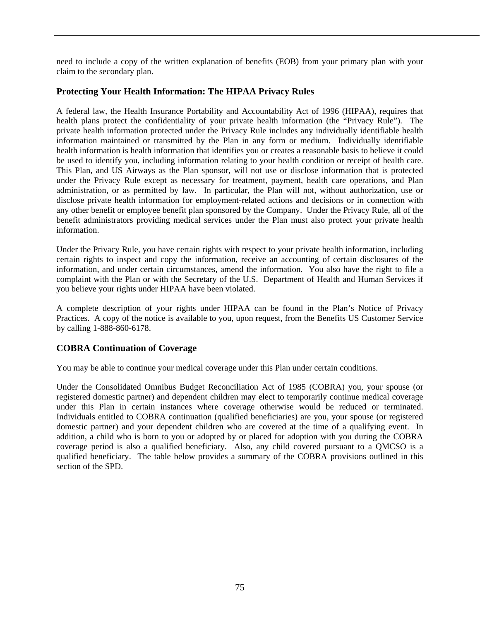need to include a copy of the written explanation of benefits (EOB) from your primary plan with your claim to the secondary plan.

## **Protecting Your Health Information: The HIPAA Privacy Rules**

A federal law, the Health Insurance Portability and Accountability Act of 1996 (HIPAA), requires that health plans protect the confidentiality of your private health information (the "Privacy Rule"). The private health information protected under the Privacy Rule includes any individually identifiable health information maintained or transmitted by the Plan in any form or medium. Individually identifiable health information is health information that identifies you or creates a reasonable basis to believe it could be used to identify you, including information relating to your health condition or receipt of health care. This Plan, and US Airways as the Plan sponsor, will not use or disclose information that is protected under the Privacy Rule except as necessary for treatment, payment, health care operations, and Plan administration, or as permitted by law. In particular, the Plan will not, without authorization, use or disclose private health information for employment-related actions and decisions or in connection with any other benefit or employee benefit plan sponsored by the Company. Under the Privacy Rule, all of the benefit administrators providing medical services under the Plan must also protect your private health information.

Under the Privacy Rule, you have certain rights with respect to your private health information, including certain rights to inspect and copy the information, receive an accounting of certain disclosures of the information, and under certain circumstances, amend the information. You also have the right to file a complaint with the Plan or with the Secretary of the U.S. Department of Health and Human Services if you believe your rights under HIPAA have been violated.

A complete description of your rights under HIPAA can be found in the Plan's Notice of Privacy Practices. A copy of the notice is available to you, upon request, from the Benefits US Customer Service by calling 1-888-860-6178.

## **COBRA Continuation of Coverage**

You may be able to continue your medical coverage under this Plan under certain conditions.

Under the Consolidated Omnibus Budget Reconciliation Act of 1985 (COBRA) you, your spouse (or registered domestic partner) and dependent children may elect to temporarily continue medical coverage under this Plan in certain instances where coverage otherwise would be reduced or terminated. Individuals entitled to COBRA continuation (qualified beneficiaries) are you, your spouse (or registered domestic partner) and your dependent children who are covered at the time of a qualifying event. In addition, a child who is born to you or adopted by or placed for adoption with you during the COBRA coverage period is also a qualified beneficiary. Also, any child covered pursuant to a QMCSO is a qualified beneficiary. The table below provides a summary of the COBRA provisions outlined in this section of the SPD.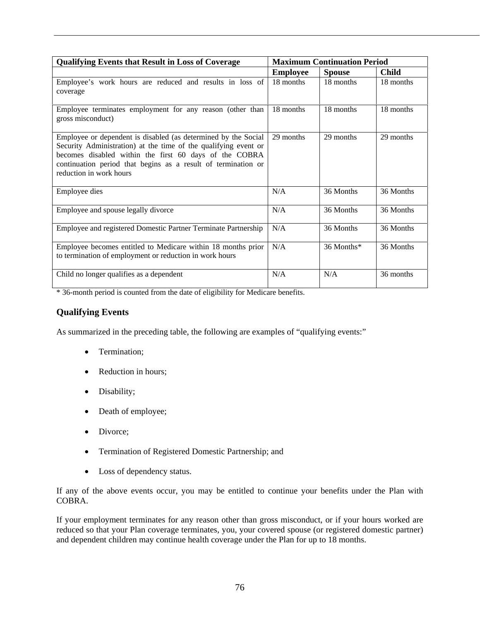| <b>Qualifying Events that Result in Loss of Coverage</b>                                                                                                                                                                                                                                | <b>Maximum Continuation Period</b> |               |              |
|-----------------------------------------------------------------------------------------------------------------------------------------------------------------------------------------------------------------------------------------------------------------------------------------|------------------------------------|---------------|--------------|
|                                                                                                                                                                                                                                                                                         | <b>Employee</b>                    | <b>Spouse</b> | <b>Child</b> |
| Employee's work hours are reduced and results in loss of<br>coverage                                                                                                                                                                                                                    | 18 months                          | 18 months     | 18 months    |
| Employee terminates employment for any reason (other than<br>gross misconduct)                                                                                                                                                                                                          | 18 months                          | 18 months     | 18 months    |
| Employee or dependent is disabled (as determined by the Social<br>Security Administration) at the time of the qualifying event or<br>becomes disabled within the first 60 days of the COBRA<br>continuation period that begins as a result of termination or<br>reduction in work hours | 29 months                          | 29 months     | 29 months    |
| Employee dies                                                                                                                                                                                                                                                                           | N/A                                | 36 Months     | 36 Months    |
| Employee and spouse legally divorce                                                                                                                                                                                                                                                     | N/A                                | 36 Months     | 36 Months    |
| Employee and registered Domestic Partner Terminate Partnership                                                                                                                                                                                                                          | N/A                                | 36 Months     | 36 Months    |
| Employee becomes entitled to Medicare within 18 months prior<br>to termination of employment or reduction in work hours                                                                                                                                                                 | N/A                                | 36 Months*    | 36 Months    |
| Child no longer qualifies as a dependent                                                                                                                                                                                                                                                | N/A                                | N/A           | 36 months    |

\* 36-month period is counted from the date of eligibility for Medicare benefits.

## **Qualifying Events**

As summarized in the preceding table, the following are examples of "qualifying events:"

- Termination;
- Reduction in hours;
- Disability;
- Death of employee;
- Divorce;
- Termination of Registered Domestic Partnership; and
- Loss of dependency status.

If any of the above events occur, you may be entitled to continue your benefits under the Plan with COBRA.

If your employment terminates for any reason other than gross misconduct, or if your hours worked are reduced so that your Plan coverage terminates, you, your covered spouse (or registered domestic partner) and dependent children may continue health coverage under the Plan for up to 18 months.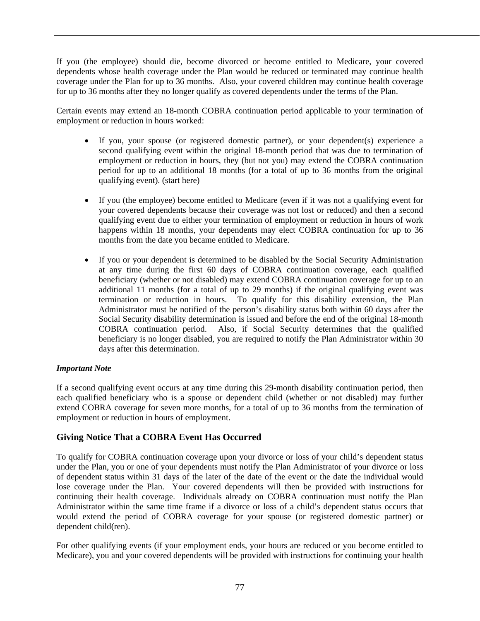If you (the employee) should die, become divorced or become entitled to Medicare, your covered dependents whose health coverage under the Plan would be reduced or terminated may continue health coverage under the Plan for up to 36 months. Also, your covered children may continue health coverage for up to 36 months after they no longer qualify as covered dependents under the terms of the Plan.

Certain events may extend an 18-month COBRA continuation period applicable to your termination of employment or reduction in hours worked:

- If you, your spouse (or registered domestic partner), or your dependent(s) experience a second qualifying event within the original 18-month period that was due to termination of employment or reduction in hours, they (but not you) may extend the COBRA continuation period for up to an additional 18 months (for a total of up to 36 months from the original qualifying event). (start here)
- If you (the employee) become entitled to Medicare (even if it was not a qualifying event for your covered dependents because their coverage was not lost or reduced) and then a second qualifying event due to either your termination of employment or reduction in hours of work happens within 18 months, your dependents may elect COBRA continuation for up to 36 months from the date you became entitled to Medicare.
- If you or your dependent is determined to be disabled by the Social Security Administration at any time during the first 60 days of COBRA continuation coverage, each qualified beneficiary (whether or not disabled) may extend COBRA continuation coverage for up to an additional 11 months (for a total of up to 29 months) if the original qualifying event was termination or reduction in hours. To qualify for this disability extension, the Plan Administrator must be notified of the person's disability status both within 60 days after the Social Security disability determination is issued and before the end of the original 18-month COBRA continuation period. Also, if Social Security determines that the qualified beneficiary is no longer disabled, you are required to notify the Plan Administrator within 30 days after this determination.

## *Important Note*

If a second qualifying event occurs at any time during this 29-month disability continuation period, then each qualified beneficiary who is a spouse or dependent child (whether or not disabled) may further extend COBRA coverage for seven more months, for a total of up to 36 months from the termination of employment or reduction in hours of employment.

## **Giving Notice That a COBRA Event Has Occurred**

To qualify for COBRA continuation coverage upon your divorce or loss of your child's dependent status under the Plan, you or one of your dependents must notify the Plan Administrator of your divorce or loss of dependent status within 31 days of the later of the date of the event or the date the individual would lose coverage under the Plan. Your covered dependents will then be provided with instructions for continuing their health coverage. Individuals already on COBRA continuation must notify the Plan Administrator within the same time frame if a divorce or loss of a child's dependent status occurs that would extend the period of COBRA coverage for your spouse (or registered domestic partner) or dependent child(ren).

For other qualifying events (if your employment ends, your hours are reduced or you become entitled to Medicare), you and your covered dependents will be provided with instructions for continuing your health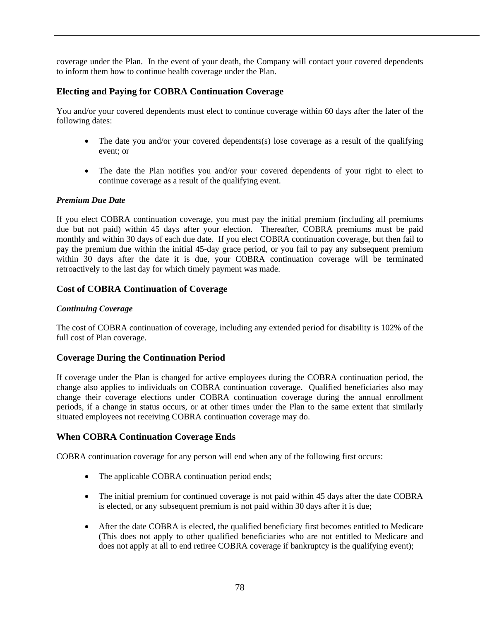coverage under the Plan. In the event of your death, the Company will contact your covered dependents to inform them how to continue health coverage under the Plan.

## **Electing and Paying for COBRA Continuation Coverage**

You and/or your covered dependents must elect to continue coverage within 60 days after the later of the following dates:

- The date you and/or your covered dependents(s) lose coverage as a result of the qualifying event; or
- The date the Plan notifies you and/or your covered dependents of your right to elect to continue coverage as a result of the qualifying event.

#### *Premium Due Date*

If you elect COBRA continuation coverage, you must pay the initial premium (including all premiums due but not paid) within 45 days after your election. Thereafter, COBRA premiums must be paid monthly and within 30 days of each due date. If you elect COBRA continuation coverage, but then fail to pay the premium due within the initial 45-day grace period, or you fail to pay any subsequent premium within 30 days after the date it is due, your COBRA continuation coverage will be terminated retroactively to the last day for which timely payment was made.

## **Cost of COBRA Continuation of Coverage**

#### *Continuing Coverage*

The cost of COBRA continuation of coverage, including any extended period for disability is 102% of the full cost of Plan coverage.

#### **Coverage During the Continuation Period**

If coverage under the Plan is changed for active employees during the COBRA continuation period, the change also applies to individuals on COBRA continuation coverage. Qualified beneficiaries also may change their coverage elections under COBRA continuation coverage during the annual enrollment periods, if a change in status occurs, or at other times under the Plan to the same extent that similarly situated employees not receiving COBRA continuation coverage may do.

#### **When COBRA Continuation Coverage Ends**

COBRA continuation coverage for any person will end when any of the following first occurs:

- The applicable COBRA continuation period ends;
- The initial premium for continued coverage is not paid within 45 days after the date COBRA is elected, or any subsequent premium is not paid within 30 days after it is due;
- After the date COBRA is elected, the qualified beneficiary first becomes entitled to Medicare (This does not apply to other qualified beneficiaries who are not entitled to Medicare and does not apply at all to end retiree COBRA coverage if bankruptcy is the qualifying event);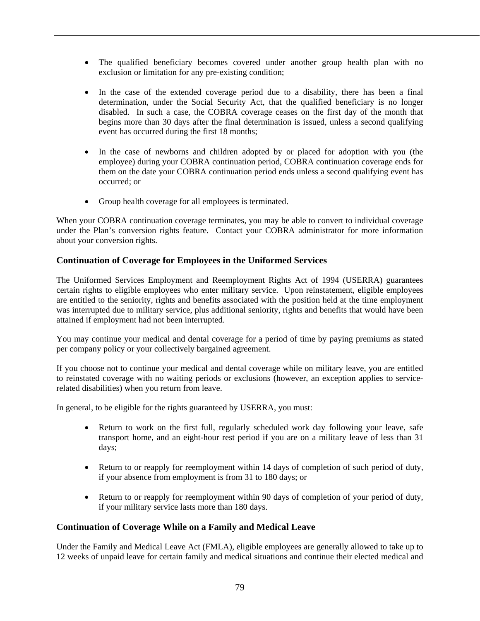- The qualified beneficiary becomes covered under another group health plan with no exclusion or limitation for any pre-existing condition;
- In the case of the extended coverage period due to a disability, there has been a final determination, under the Social Security Act, that the qualified beneficiary is no longer disabled. In such a case, the COBRA coverage ceases on the first day of the month that begins more than 30 days after the final determination is issued, unless a second qualifying event has occurred during the first 18 months;
- In the case of newborns and children adopted by or placed for adoption with you (the employee) during your COBRA continuation period, COBRA continuation coverage ends for them on the date your COBRA continuation period ends unless a second qualifying event has occurred; or
- Group health coverage for all employees is terminated.

When your COBRA continuation coverage terminates, you may be able to convert to individual coverage under the Plan's conversion rights feature. Contact your COBRA administrator for more information about your conversion rights.

## **Continuation of Coverage for Employees in the Uniformed Services**

The Uniformed Services Employment and Reemployment Rights Act of 1994 (USERRA) guarantees certain rights to eligible employees who enter military service. Upon reinstatement, eligible employees are entitled to the seniority, rights and benefits associated with the position held at the time employment was interrupted due to military service, plus additional seniority, rights and benefits that would have been attained if employment had not been interrupted.

You may continue your medical and dental coverage for a period of time by paying premiums as stated per company policy or your collectively bargained agreement.

If you choose not to continue your medical and dental coverage while on military leave, you are entitled to reinstated coverage with no waiting periods or exclusions (however, an exception applies to servicerelated disabilities) when you return from leave.

In general, to be eligible for the rights guaranteed by USERRA, you must:

- Return to work on the first full, regularly scheduled work day following your leave, safe transport home, and an eight-hour rest period if you are on a military leave of less than 31 days;
- Return to or reapply for reemployment within 14 days of completion of such period of duty, if your absence from employment is from 31 to 180 days; or
- Return to or reapply for reemployment within 90 days of completion of your period of duty, if your military service lasts more than 180 days.

## **Continuation of Coverage While on a Family and Medical Leave**

Under the Family and Medical Leave Act (FMLA), eligible employees are generally allowed to take up to 12 weeks of unpaid leave for certain family and medical situations and continue their elected medical and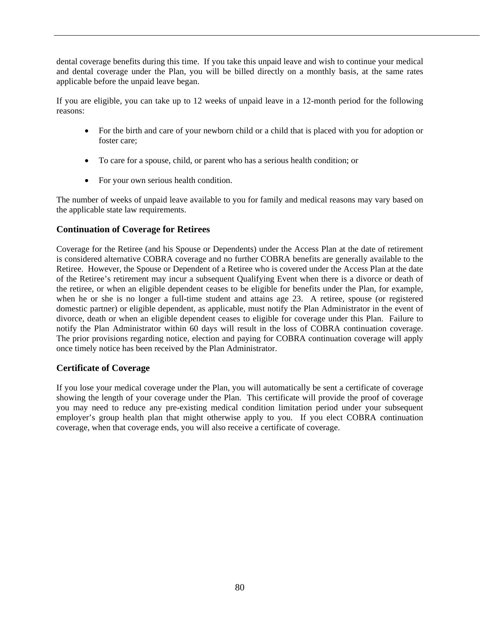dental coverage benefits during this time. If you take this unpaid leave and wish to continue your medical and dental coverage under the Plan, you will be billed directly on a monthly basis, at the same rates applicable before the unpaid leave began.

If you are eligible, you can take up to 12 weeks of unpaid leave in a 12-month period for the following reasons:

- For the birth and care of your newborn child or a child that is placed with you for adoption or foster care;
- To care for a spouse, child, or parent who has a serious health condition; or
- For your own serious health condition.

The number of weeks of unpaid leave available to you for family and medical reasons may vary based on the applicable state law requirements.

## **Continuation of Coverage for Retirees**

Coverage for the Retiree (and his Spouse or Dependents) under the Access Plan at the date of retirement is considered alternative COBRA coverage and no further COBRA benefits are generally available to the Retiree. However, the Spouse or Dependent of a Retiree who is covered under the Access Plan at the date of the Retiree's retirement may incur a subsequent Qualifying Event when there is a divorce or death of the retiree, or when an eligible dependent ceases to be eligible for benefits under the Plan, for example, when he or she is no longer a full-time student and attains age 23. A retiree, spouse (or registered domestic partner) or eligible dependent, as applicable, must notify the Plan Administrator in the event of divorce, death or when an eligible dependent ceases to eligible for coverage under this Plan. Failure to notify the Plan Administrator within 60 days will result in the loss of COBRA continuation coverage. The prior provisions regarding notice, election and paying for COBRA continuation coverage will apply once timely notice has been received by the Plan Administrator.

## **Certificate of Coverage**

If you lose your medical coverage under the Plan, you will automatically be sent a certificate of coverage showing the length of your coverage under the Plan. This certificate will provide the proof of coverage you may need to reduce any pre-existing medical condition limitation period under your subsequent employer's group health plan that might otherwise apply to you. If you elect COBRA continuation coverage, when that coverage ends, you will also receive a certificate of coverage.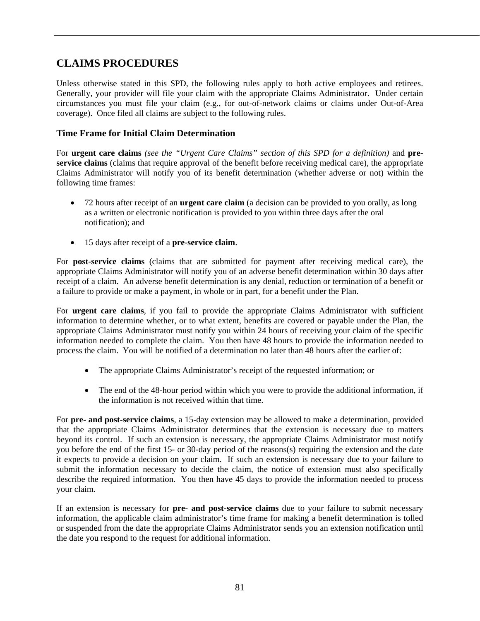# **CLAIMS PROCEDURES**

Unless otherwise stated in this SPD, the following rules apply to both active employees and retirees. Generally, your provider will file your claim with the appropriate Claims Administrator. Under certain circumstances you must file your claim (e.g., for out-of-network claims or claims under Out-of-Area coverage). Once filed all claims are subject to the following rules.

## **Time Frame for Initial Claim Determination**

For **urgent care claims** *(see the "Urgent Care Claims" section of this SPD for a definition)* and **preservice claims** (claims that require approval of the benefit before receiving medical care), the appropriate Claims Administrator will notify you of its benefit determination (whether adverse or not) within the following time frames:

- 72 hours after receipt of an **urgent care claim** (a decision can be provided to you orally, as long as a written or electronic notification is provided to you within three days after the oral notification); and
- 15 days after receipt of a **pre-service claim**.

For **post-service claims** (claims that are submitted for payment after receiving medical care), the appropriate Claims Administrator will notify you of an adverse benefit determination within 30 days after receipt of a claim. An adverse benefit determination is any denial, reduction or termination of a benefit or a failure to provide or make a payment, in whole or in part, for a benefit under the Plan.

For **urgent care claims**, if you fail to provide the appropriate Claims Administrator with sufficient information to determine whether, or to what extent, benefits are covered or payable under the Plan, the appropriate Claims Administrator must notify you within 24 hours of receiving your claim of the specific information needed to complete the claim. You then have 48 hours to provide the information needed to process the claim. You will be notified of a determination no later than 48 hours after the earlier of:

- The appropriate Claims Administrator's receipt of the requested information; or
- The end of the 48-hour period within which you were to provide the additional information, if the information is not received within that time.

For **pre- and post-service claims**, a 15-day extension may be allowed to make a determination, provided that the appropriate Claims Administrator determines that the extension is necessary due to matters beyond its control. If such an extension is necessary, the appropriate Claims Administrator must notify you before the end of the first 15- or 30-day period of the reasons(s) requiring the extension and the date it expects to provide a decision on your claim. If such an extension is necessary due to your failure to submit the information necessary to decide the claim, the notice of extension must also specifically describe the required information. You then have 45 days to provide the information needed to process your claim.

If an extension is necessary for **pre- and post-service claims** due to your failure to submit necessary information, the applicable claim administrator's time frame for making a benefit determination is tolled or suspended from the date the appropriate Claims Administrator sends you an extension notification until the date you respond to the request for additional information.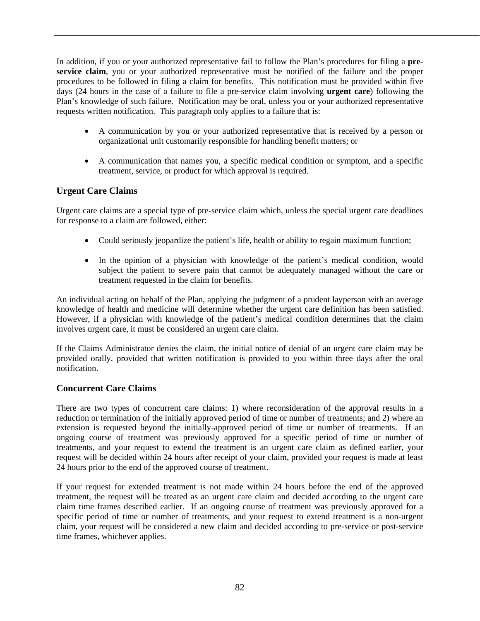In addition, if you or your authorized representative fail to follow the Plan's procedures for filing a **preservice claim**, you or your authorized representative must be notified of the failure and the proper procedures to be followed in filing a claim for benefits. This notification must be provided within five days (24 hours in the case of a failure to file a pre-service claim involving **urgent care**) following the Plan's knowledge of such failure. Notification may be oral, unless you or your authorized representative requests written notification. This paragraph only applies to a failure that is:

- A communication by you or your authorized representative that is received by a person or organizational unit customarily responsible for handling benefit matters; or
- A communication that names you, a specific medical condition or symptom, and a specific treatment, service, or product for which approval is required.

## **Urgent Care Claims**

Urgent care claims are a special type of pre-service claim which, unless the special urgent care deadlines for response to a claim are followed, either:

- Could seriously jeopardize the patient's life, health or ability to regain maximum function;
- In the opinion of a physician with knowledge of the patient's medical condition, would subject the patient to severe pain that cannot be adequately managed without the care or treatment requested in the claim for benefits.

An individual acting on behalf of the Plan, applying the judgment of a prudent layperson with an average knowledge of health and medicine will determine whether the urgent care definition has been satisfied. However, if a physician with knowledge of the patient's medical condition determines that the claim involves urgent care, it must be considered an urgent care claim.

If the Claims Administrator denies the claim, the initial notice of denial of an urgent care claim may be provided orally, provided that written notification is provided to you within three days after the oral notification.

## **Concurrent Care Claims**

There are two types of concurrent care claims: 1) where reconsideration of the approval results in a reduction or termination of the initially approved period of time or number of treatments; and 2) where an extension is requested beyond the initially-approved period of time or number of treatments. If an ongoing course of treatment was previously approved for a specific period of time or number of treatments, and your request to extend the treatment is an urgent care claim as defined earlier, your request will be decided within 24 hours after receipt of your claim, provided your request is made at least 24 hours prior to the end of the approved course of treatment.

If your request for extended treatment is not made within 24 hours before the end of the approved treatment, the request will be treated as an urgent care claim and decided according to the urgent care claim time frames described earlier. If an ongoing course of treatment was previously approved for a specific period of time or number of treatments, and your request to extend treatment is a non-urgent claim, your request will be considered a new claim and decided according to pre-service or post-service time frames, whichever applies.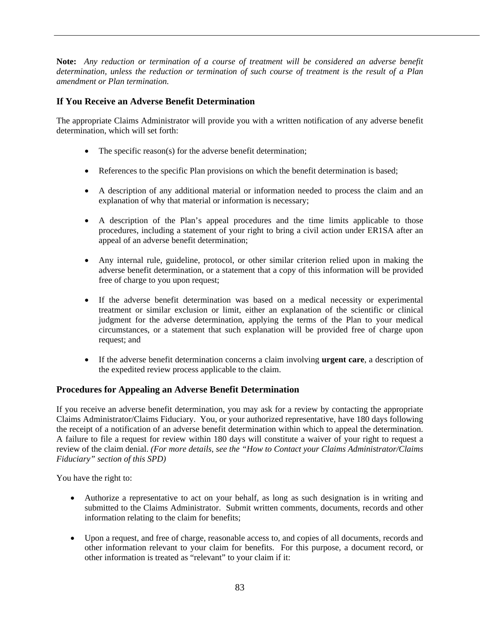**Note:** *Any reduction or termination of a course of treatment will be considered an adverse benefit determination, unless the reduction or termination of such course of treatment is the result of a Plan amendment or Plan termination.*

## **If You Receive an Adverse Benefit Determination**

The appropriate Claims Administrator will provide you with a written notification of any adverse benefit determination, which will set forth:

- The specific reason(s) for the adverse benefit determination;
- References to the specific Plan provisions on which the benefit determination is based;
- A description of any additional material or information needed to process the claim and an explanation of why that material or information is necessary;
- A description of the Plan's appeal procedures and the time limits applicable to those procedures, including a statement of your right to bring a civil action under ER1SA after an appeal of an adverse benefit determination;
- Any internal rule, guideline, protocol, or other similar criterion relied upon in making the adverse benefit determination, or a statement that a copy of this information will be provided free of charge to you upon request;
- If the adverse benefit determination was based on a medical necessity or experimental treatment or similar exclusion or limit, either an explanation of the scientific or clinical judgment for the adverse determination, applying the terms of the Plan to your medical circumstances, or a statement that such explanation will be provided free of charge upon request; and
- If the adverse benefit determination concerns a claim involving **urgent care**, a description of the expedited review process applicable to the claim.

## **Procedures for Appealing an Adverse Benefit Determination**

If you receive an adverse benefit determination, you may ask for a review by contacting the appropriate Claims Administrator/Claims Fiduciary. You, or your authorized representative, have 180 days following the receipt of a notification of an adverse benefit determination within which to appeal the determination. A failure to file a request for review within 180 days will constitute a waiver of your right to request a review of the claim denial. *(For more details, see the "How to Contact your Claims Administrator/Claims Fiduciary" section of this SPD)*

You have the right to:

- Authorize a representative to act on your behalf, as long as such designation is in writing and submitted to the Claims Administrator. Submit written comments, documents, records and other information relating to the claim for benefits;
- Upon a request, and free of charge, reasonable access to, and copies of all documents, records and other information relevant to your claim for benefits. For this purpose, a document record, or other information is treated as "relevant" to your claim if it: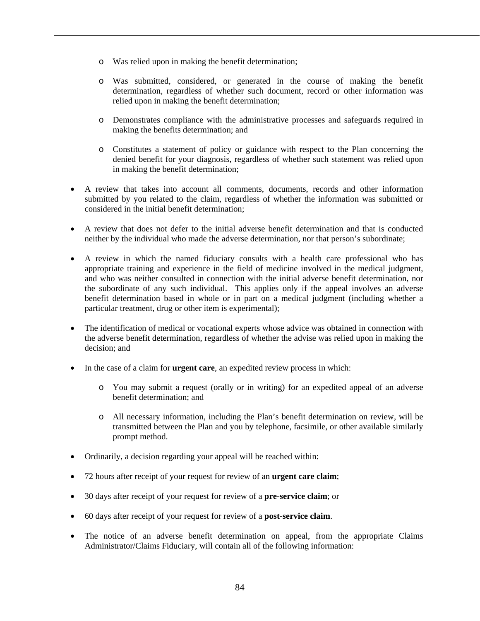- o Was relied upon in making the benefit determination;
- o Was submitted, considered, or generated in the course of making the benefit determination, regardless of whether such document, record or other information was relied upon in making the benefit determination;
- o Demonstrates compliance with the administrative processes and safeguards required in making the benefits determination; and
- o Constitutes a statement of policy or guidance with respect to the Plan concerning the denied benefit for your diagnosis, regardless of whether such statement was relied upon in making the benefit determination;
- A review that takes into account all comments, documents, records and other information submitted by you related to the claim, regardless of whether the information was submitted or considered in the initial benefit determination;
- A review that does not defer to the initial adverse benefit determination and that is conducted neither by the individual who made the adverse determination, nor that person's subordinate;
- A review in which the named fiduciary consults with a health care professional who has appropriate training and experience in the field of medicine involved in the medical judgment, and who was neither consulted in connection with the initial adverse benefit determination, nor the subordinate of any such individual. This applies only if the appeal involves an adverse benefit determination based in whole or in part on a medical judgment (including whether a particular treatment, drug or other item is experimental);
- The identification of medical or vocational experts whose advice was obtained in connection with the adverse benefit determination, regardless of whether the advise was relied upon in making the decision; and
- In the case of a claim for **urgent care**, an expedited review process in which:
	- o You may submit a request (orally or in writing) for an expedited appeal of an adverse benefit determination; and
	- o All necessary information, including the Plan's benefit determination on review, will be transmitted between the Plan and you by telephone, facsimile, or other available similarly prompt method.
- Ordinarily, a decision regarding your appeal will be reached within:
- 72 hours after receipt of your request for review of an **urgent care claim**;
- 30 days after receipt of your request for review of a **pre-service claim**; or
- 60 days after receipt of your request for review of a **post-service claim**.
- The notice of an adverse benefit determination on appeal, from the appropriate Claims Administrator/Claims Fiduciary, will contain all of the following information: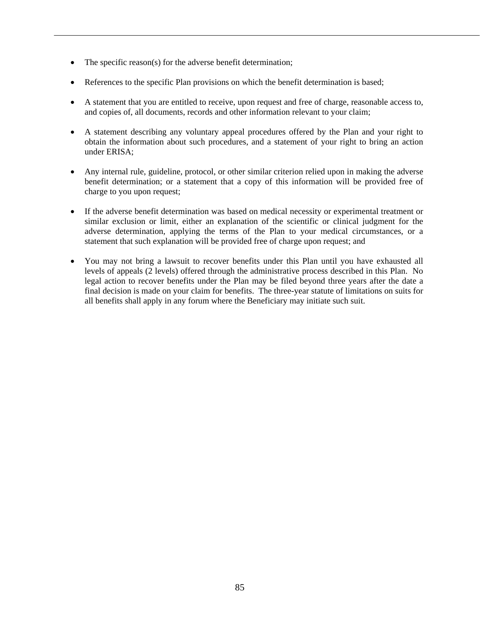- The specific reason(s) for the adverse benefit determination;
- References to the specific Plan provisions on which the benefit determination is based;
- A statement that you are entitled to receive, upon request and free of charge, reasonable access to, and copies of, all documents, records and other information relevant to your claim;
- A statement describing any voluntary appeal procedures offered by the Plan and your right to obtain the information about such procedures, and a statement of your right to bring an action under ERISA;
- Any internal rule, guideline, protocol, or other similar criterion relied upon in making the adverse benefit determination; or a statement that a copy of this information will be provided free of charge to you upon request;
- If the adverse benefit determination was based on medical necessity or experimental treatment or similar exclusion or limit, either an explanation of the scientific or clinical judgment for the adverse determination, applying the terms of the Plan to your medical circumstances, or a statement that such explanation will be provided free of charge upon request; and
- You may not bring a lawsuit to recover benefits under this Plan until you have exhausted all levels of appeals (2 levels) offered through the administrative process described in this Plan. No legal action to recover benefits under the Plan may be filed beyond three years after the date a final decision is made on your claim for benefits. The three-year statute of limitations on suits for all benefits shall apply in any forum where the Beneficiary may initiate such suit.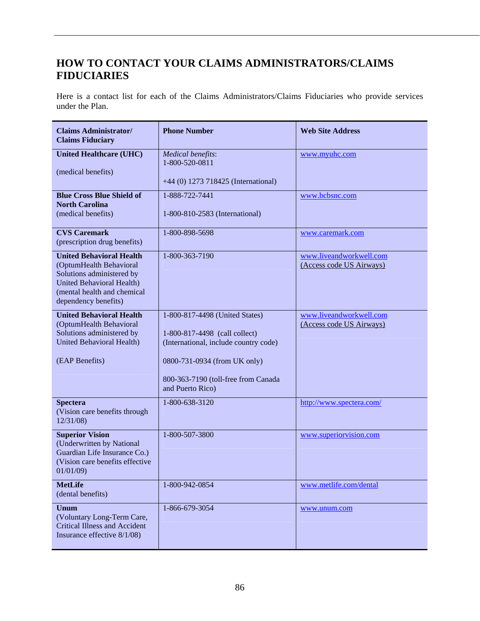# **HOW TO CONTACT YOUR CLAIMS ADMINISTRATORS/CLAIMS FIDUCIARIES**

Here is a contact list for each of the Claims Administrators/Claims Fiduciaries who provide services under the Plan.

| <b>Claims Administrator/</b><br><b>Claims Fiduciary</b>                                                                                                                            | <b>Phone Number</b>                                                                                                                      | <b>Web Site Address</b>                             |
|------------------------------------------------------------------------------------------------------------------------------------------------------------------------------------|------------------------------------------------------------------------------------------------------------------------------------------|-----------------------------------------------------|
| <b>United Healthcare (UHC)</b><br>(medical benefits)                                                                                                                               | <b>Medical benefits:</b><br>1-800-520-0811<br>+44 (0) 1273 718425 (International)                                                        | www.myuhc.com                                       |
| <b>Blue Cross Blue Shield of</b><br><b>North Carolina</b><br>(medical benefits)                                                                                                    | 1-888-722-7441<br>1-800-810-2583 (International)                                                                                         | www.bcbsnc.com                                      |
| <b>CVS Caremark</b><br>(prescription drug benefits)                                                                                                                                | 1-800-898-5698                                                                                                                           | www.caremark.com                                    |
| <b>United Behavioral Health</b><br>(OptumHealth Behavioral<br>Solutions administered by<br><b>United Behavioral Health)</b><br>(mental health and chemical<br>dependency benefits) | 1-800-363-7190                                                                                                                           | www.liveandworkwell.com<br>(Access code US Airways) |
| <b>United Behavioral Health</b><br>(OptumHealth Behavioral<br>Solutions administered by<br>United Behavioral Health)<br>(EAP Benefits)                                             | 1-800-817-4498 (United States)<br>1-800-817-4498 (call collect)<br>(International, include country code)<br>0800-731-0934 (from UK only) | www.liveandworkwell.com<br>(Access code US Airways) |
|                                                                                                                                                                                    | 800-363-7190 (toll-free from Canada<br>and Puerto Rico)                                                                                  |                                                     |
| <b>Spectera</b><br>(Vision care benefits through<br>12/31/08                                                                                                                       | 1-800-638-3120                                                                                                                           | http://www.spectera.com/                            |
| <b>Superior Vision</b><br>(Underwritten by National<br>Guardian Life Insurance Co.)<br>(Vision care benefits effective<br>01/01/09                                                 | 1-800-507-3800                                                                                                                           | www.superiorvision.com                              |
| <b>MetLife</b><br>(dental benefits)                                                                                                                                                | 1-800-942-0854                                                                                                                           | www.metlife.com/dental                              |
| <b>Unum</b><br>(Voluntary Long-Term Care,<br><b>Critical Illness and Accident</b><br>Insurance effective 8/1/08)                                                                   | 1-866-679-3054                                                                                                                           | www.unum.com                                        |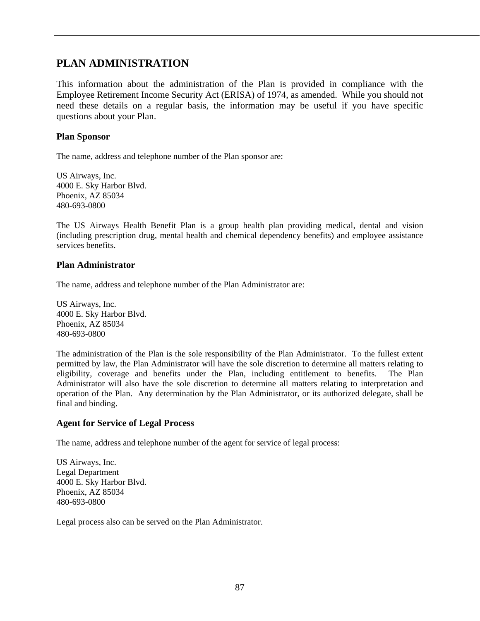## **PLAN ADMINISTRATION**

This information about the administration of the Plan is provided in compliance with the Employee Retirement Income Security Act (ERISA) of 1974, as amended. While you should not need these details on a regular basis, the information may be useful if you have specific questions about your Plan.

### **Plan Sponsor**

The name, address and telephone number of the Plan sponsor are:

US Airways, Inc. 4000 E. Sky Harbor Blvd. Phoenix, AZ 85034 480-693-0800

The US Airways Health Benefit Plan is a group health plan providing medical, dental and vision (including prescription drug, mental health and chemical dependency benefits) and employee assistance services benefits.

#### **Plan Administrator**

The name, address and telephone number of the Plan Administrator are:

US Airways, Inc. 4000 E. Sky Harbor Blvd. Phoenix, AZ 85034 480-693-0800

The administration of the Plan is the sole responsibility of the Plan Administrator. To the fullest extent permitted by law, the Plan Administrator will have the sole discretion to determine all matters relating to eligibility, coverage and benefits under the Plan, including entitlement to benefits. The Plan Administrator will also have the sole discretion to determine all matters relating to interpretation and operation of the Plan. Any determination by the Plan Administrator, or its authorized delegate, shall be final and binding.

#### **Agent for Service of Legal Process**

The name, address and telephone number of the agent for service of legal process:

US Airways, Inc. Legal Department 4000 E. Sky Harbor Blvd. Phoenix, AZ 85034 480-693-0800

Legal process also can be served on the Plan Administrator.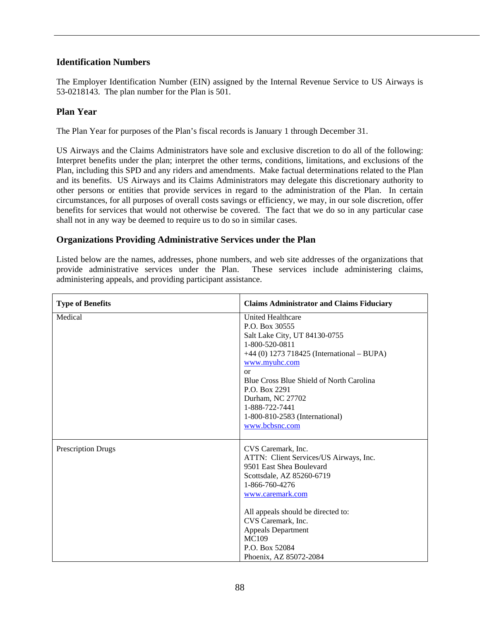## **Identification Numbers**

The Employer Identification Number (EIN) assigned by the Internal Revenue Service to US Airways is 53-0218143. The plan number for the Plan is 501.

## **Plan Year**

The Plan Year for purposes of the Plan's fiscal records is January 1 through December 31.

US Airways and the Claims Administrators have sole and exclusive discretion to do all of the following: Interpret benefits under the plan; interpret the other terms, conditions, limitations, and exclusions of the Plan, including this SPD and any riders and amendments. Make factual determinations related to the Plan and its benefits. US Airways and its Claims Administrators may delegate this discretionary authority to other persons or entities that provide services in regard to the administration of the Plan. In certain circumstances, for all purposes of overall costs savings or efficiency, we may, in our sole discretion, offer benefits for services that would not otherwise be covered. The fact that we do so in any particular case shall not in any way be deemed to require us to do so in similar cases.

## **Organizations Providing Administrative Services under the Plan**

Listed below are the names, addresses, phone numbers, and web site addresses of the organizations that provide administrative services under the Plan. These services include administering claims, administering appeals, and providing participant assistance.

| <b>Type of Benefits</b>   | <b>Claims Administrator and Claims Fiduciary</b>                                                                                                                                                                                                                                                                          |
|---------------------------|---------------------------------------------------------------------------------------------------------------------------------------------------------------------------------------------------------------------------------------------------------------------------------------------------------------------------|
| Medical                   | <b>United Healthcare</b><br>P.O. Box 30555<br>Salt Lake City, UT 84130-0755<br>1-800-520-0811<br>+44 (0) 1273 718425 (International – BUPA)<br>www.myuhc.com<br>or<br>Blue Cross Blue Shield of North Carolina<br>P.O. Box 2291<br>Durham, NC 27702<br>1-888-722-7441<br>1-800-810-2583 (International)<br>www.bcbsnc.com |
| <b>Prescription Drugs</b> | CVS Caremark, Inc.<br>ATTN: Client Services/US Airways, Inc.<br>9501 East Shea Boulevard<br>Scottsdale, AZ 85260-6719<br>1-866-760-4276<br>www.caremark.com<br>All appeals should be directed to:<br>CVS Caremark, Inc.<br>Appeals Department<br>MC109<br>P.O. Box 52084<br>Phoenix, AZ 85072-2084                        |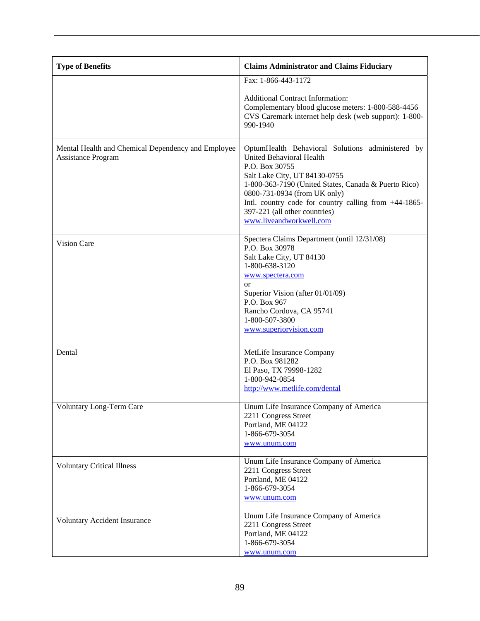| <b>Type of Benefits</b>                                                  | <b>Claims Administrator and Claims Fiduciary</b>                                                                                                                                                                                                                                                                                             |
|--------------------------------------------------------------------------|----------------------------------------------------------------------------------------------------------------------------------------------------------------------------------------------------------------------------------------------------------------------------------------------------------------------------------------------|
|                                                                          | Fax: 1-866-443-1172                                                                                                                                                                                                                                                                                                                          |
|                                                                          | <b>Additional Contract Information:</b><br>Complementary blood glucose meters: 1-800-588-4456<br>CVS Caremark internet help desk (web support): 1-800-<br>990-1940                                                                                                                                                                           |
| Mental Health and Chemical Dependency and Employee<br>Assistance Program | OptumHealth Behavioral Solutions administered by<br>United Behavioral Health<br>P.O. Box 30755<br>Salt Lake City, UT 84130-0755<br>1-800-363-7190 (United States, Canada & Puerto Rico)<br>0800-731-0934 (from UK only)<br>Intl. country code for country calling from +44-1865-<br>397-221 (all other countries)<br>www.liveandworkwell.com |
| Vision Care                                                              | Spectera Claims Department (until 12/31/08)<br>P.O. Box 30978<br>Salt Lake City, UT 84130<br>1-800-638-3120<br>www.spectera.com<br><sub>or</sub><br>Superior Vision (after 01/01/09)<br>P.O. Box 967<br>Rancho Cordova, CA 95741<br>1-800-507-3800<br>www.superiorvision.com                                                                 |
| Dental                                                                   | MetLife Insurance Company<br>P.O. Box 981282<br>El Paso, TX 79998-1282<br>1-800-942-0854<br>http://www.metlife.com/dental                                                                                                                                                                                                                    |
| Voluntary Long-Term Care                                                 | Unum Life Insurance Company of America<br>2211 Congress Street<br>Portland, ME 04122<br>1-866-679-3054<br>www.unum.com                                                                                                                                                                                                                       |
| <b>Voluntary Critical Illness</b>                                        | Unum Life Insurance Company of America<br>2211 Congress Street<br>Portland, ME 04122<br>1-866-679-3054<br>www.unum.com                                                                                                                                                                                                                       |
| Voluntary Accident Insurance                                             | Unum Life Insurance Company of America<br>2211 Congress Street<br>Portland, ME 04122<br>1-866-679-3054<br>www.unum.com                                                                                                                                                                                                                       |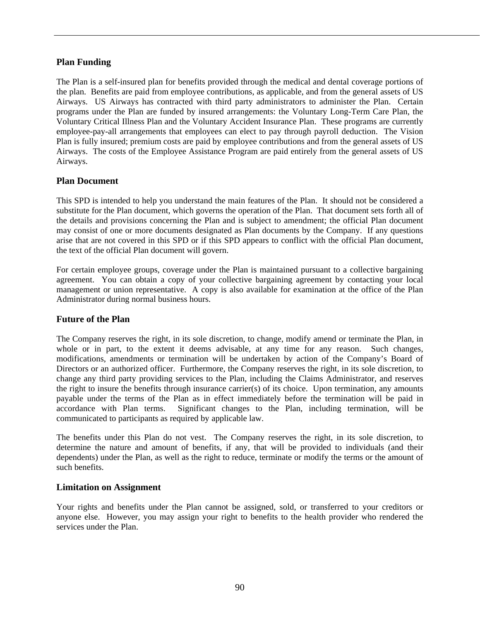## **Plan Funding**

The Plan is a self-insured plan for benefits provided through the medical and dental coverage portions of the plan. Benefits are paid from employee contributions, as applicable, and from the general assets of US Airways. US Airways has contracted with third party administrators to administer the Plan. Certain programs under the Plan are funded by insured arrangements: the Voluntary Long-Term Care Plan, the Voluntary Critical Illness Plan and the Voluntary Accident Insurance Plan. These programs are currently employee-pay-all arrangements that employees can elect to pay through payroll deduction. The Vision Plan is fully insured; premium costs are paid by employee contributions and from the general assets of US Airways. The costs of the Employee Assistance Program are paid entirely from the general assets of US Airways.

## **Plan Document**

This SPD is intended to help you understand the main features of the Plan. It should not be considered a substitute for the Plan document, which governs the operation of the Plan. That document sets forth all of the details and provisions concerning the Plan and is subject to amendment; the official Plan document may consist of one or more documents designated as Plan documents by the Company. If any questions arise that are not covered in this SPD or if this SPD appears to conflict with the official Plan document, the text of the official Plan document will govern.

For certain employee groups, coverage under the Plan is maintained pursuant to a collective bargaining agreement. You can obtain a copy of your collective bargaining agreement by contacting your local management or union representative. A copy is also available for examination at the office of the Plan Administrator during normal business hours.

## **Future of the Plan**

The Company reserves the right, in its sole discretion, to change, modify amend or terminate the Plan, in whole or in part, to the extent it deems advisable, at any time for any reason. Such changes, modifications, amendments or termination will be undertaken by action of the Company's Board of Directors or an authorized officer. Furthermore, the Company reserves the right, in its sole discretion, to change any third party providing services to the Plan, including the Claims Administrator, and reserves the right to insure the benefits through insurance carrier(s) of its choice. Upon termination, any amounts payable under the terms of the Plan as in effect immediately before the termination will be paid in accordance with Plan terms. Significant changes to the Plan, including termination, will be communicated to participants as required by applicable law.

The benefits under this Plan do not vest. The Company reserves the right, in its sole discretion, to determine the nature and amount of benefits, if any, that will be provided to individuals (and their dependents) under the Plan, as well as the right to reduce, terminate or modify the terms or the amount of such benefits.

## **Limitation on Assignment**

Your rights and benefits under the Plan cannot be assigned, sold, or transferred to your creditors or anyone else. However, you may assign your right to benefits to the health provider who rendered the services under the Plan.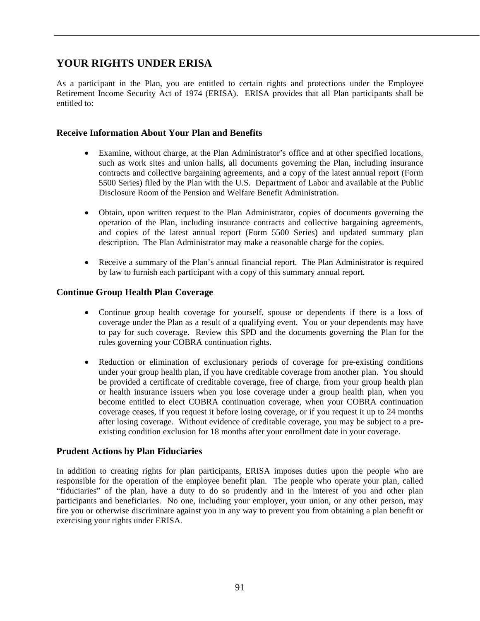# **YOUR RIGHTS UNDER ERISA**

As a participant in the Plan, you are entitled to certain rights and protections under the Employee Retirement Income Security Act of 1974 (ERISA). ERISA provides that all Plan participants shall be entitled to:

## **Receive Information About Your Plan and Benefits**

- Examine, without charge, at the Plan Administrator's office and at other specified locations, such as work sites and union halls, all documents governing the Plan, including insurance contracts and collective bargaining agreements, and a copy of the latest annual report (Form 5500 Series) filed by the Plan with the U.S. Department of Labor and available at the Public Disclosure Room of the Pension and Welfare Benefit Administration.
- Obtain, upon written request to the Plan Administrator, copies of documents governing the operation of the Plan, including insurance contracts and collective bargaining agreements, and copies of the latest annual report (Form 5500 Series) and updated summary plan description. The Plan Administrator may make a reasonable charge for the copies.
- Receive a summary of the Plan's annual financial report. The Plan Administrator is required by law to furnish each participant with a copy of this summary annual report.

#### **Continue Group Health Plan Coverage**

- Continue group health coverage for yourself, spouse or dependents if there is a loss of coverage under the Plan as a result of a qualifying event. You or your dependents may have to pay for such coverage. Review this SPD and the documents governing the Plan for the rules governing your COBRA continuation rights.
- Reduction or elimination of exclusionary periods of coverage for pre-existing conditions under your group health plan, if you have creditable coverage from another plan. You should be provided a certificate of creditable coverage, free of charge, from your group health plan or health insurance issuers when you lose coverage under a group health plan, when you become entitled to elect COBRA continuation coverage, when your COBRA continuation coverage ceases, if you request it before losing coverage, or if you request it up to 24 months after losing coverage. Without evidence of creditable coverage, you may be subject to a preexisting condition exclusion for 18 months after your enrollment date in your coverage.

## **Prudent Actions by Plan Fiduciaries**

In addition to creating rights for plan participants, ERISA imposes duties upon the people who are responsible for the operation of the employee benefit plan. The people who operate your plan, called "fiduciaries" of the plan, have a duty to do so prudently and in the interest of you and other plan participants and beneficiaries. No one, including your employer, your union, or any other person, may fire you or otherwise discriminate against you in any way to prevent you from obtaining a plan benefit or exercising your rights under ERISA.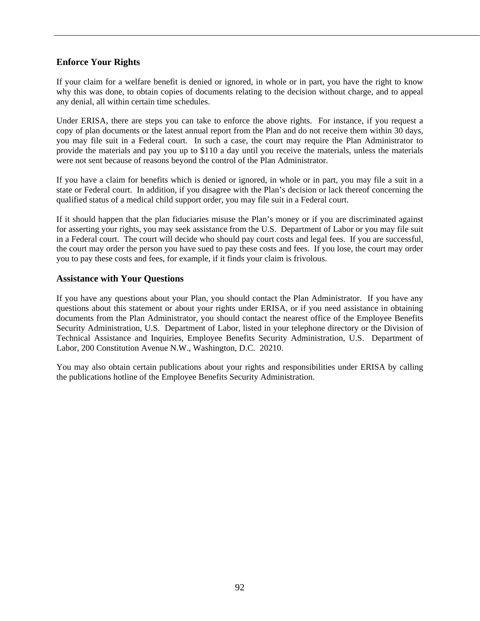## **Enforce Your Rights**

If your claim for a welfare benefit is denied or ignored, in whole or in part, you have the right to know why this was done, to obtain copies of documents relating to the decision without charge, and to appeal any denial, all within certain time schedules.

Under ERISA, there are steps you can take to enforce the above rights. For instance, if you request a copy of plan documents or the latest annual report from the Plan and do not receive them within 30 days, you may file suit in a Federal court. In such a case, the court may require the Plan Administrator to provide the materials and pay you up to \$110 a day until you receive the materials, unless the materials were not sent because of reasons beyond the control of the Plan Administrator.

If you have a claim for benefits which is denied or ignored, in whole or in part, you may file a suit in a state or Federal court. In addition, if you disagree with the Plan's decision or lack thereof concerning the qualified status of a medical child support order, you may file suit in a Federal court.

If it should happen that the plan fiduciaries misuse the Plan's money or if you are discriminated against for asserting your rights, you may seek assistance from the U.S. Department of Labor or you may file suit in a Federal court. The court will decide who should pay court costs and legal fees. If you are successful, the court may order the person you have sued to pay these costs and fees. If you lose, the court may order you to pay these costs and fees, for example, if it finds your claim is frivolous.

## **Assistance with Your Questions**

If you have any questions about your Plan, you should contact the Plan Administrator. If you have any questions about this statement or about your rights under ERISA, or if you need assistance in obtaining documents from the Plan Administrator, you should contact the nearest office of the Employee Benefits Security Administration, U.S. Department of Labor, listed in your telephone directory or the Division of Technical Assistance and Inquiries, Employee Benefits Security Administration, U.S. Department of Labor, 200 Constitution Avenue N.W., Washington, D.C. 20210.

You may also obtain certain publications about your rights and responsibilities under ERISA by calling the publications hotline of the Employee Benefits Security Administration.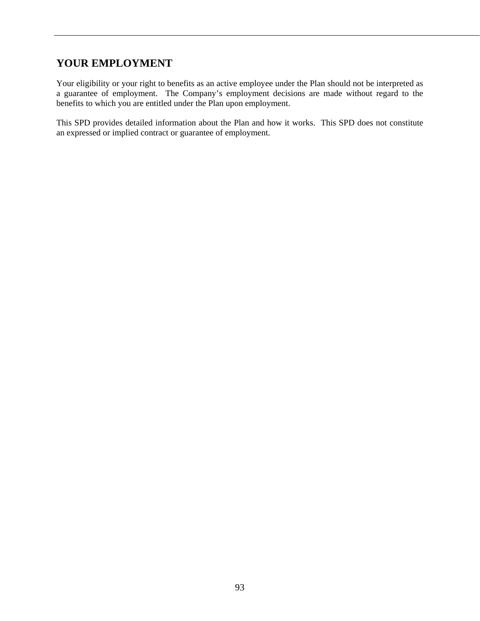# **YOUR EMPLOYMENT**

Your eligibility or your right to benefits as an active employee under the Plan should not be interpreted as a guarantee of employment. The Company's employment decisions are made without regard to the benefits to which you are entitled under the Plan upon employment.

This SPD provides detailed information about the Plan and how it works. This SPD does not constitute an expressed or implied contract or guarantee of employment.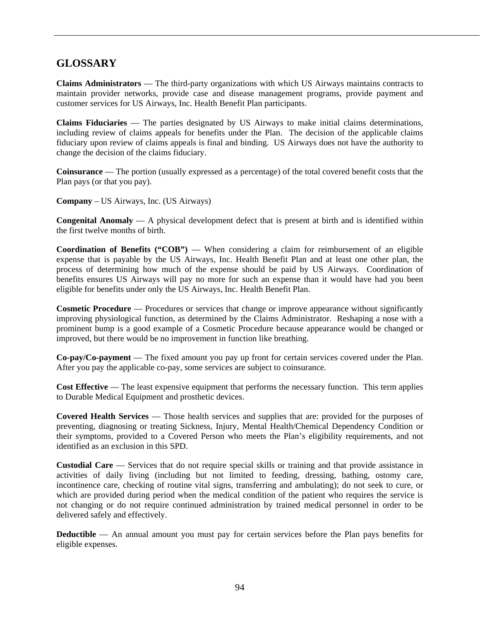# **GLOSSARY**

**Claims Administrators** — The third-party organizations with which US Airways maintains contracts to maintain provider networks, provide case and disease management programs, provide payment and customer services for US Airways, Inc. Health Benefit Plan participants.

**Claims Fiduciaries** — The parties designated by US Airways to make initial claims determinations, including review of claims appeals for benefits under the Plan. The decision of the applicable claims fiduciary upon review of claims appeals is final and binding. US Airways does not have the authority to change the decision of the claims fiduciary.

**Coinsurance** — The portion (usually expressed as a percentage) of the total covered benefit costs that the Plan pays (or that you pay).

**Company** – US Airways, Inc. (US Airways)

**Congenital Anomaly** — A physical development defect that is present at birth and is identified within the first twelve months of birth.

**Coordination of Benefits ("COB")** — When considering a claim for reimbursement of an eligible expense that is payable by the US Airways, Inc. Health Benefit Plan and at least one other plan, the process of determining how much of the expense should be paid by US Airways. Coordination of benefits ensures US Airways will pay no more for such an expense than it would have had you been eligible for benefits under only the US Airways, Inc. Health Benefit Plan.

**Cosmetic Procedure** — Procedures or services that change or improve appearance without significantly improving physiological function, as determined by the Claims Administrator. Reshaping a nose with a prominent bump is a good example of a Cosmetic Procedure because appearance would be changed or improved, but there would be no improvement in function like breathing.

**Co-pay/Co-payment** — The fixed amount you pay up front for certain services covered under the Plan. After you pay the applicable co-pay, some services are subject to coinsurance.

**Cost Effective** — The least expensive equipment that performs the necessary function. This term applies to Durable Medical Equipment and prosthetic devices.

**Covered Health Services** — Those health services and supplies that are: provided for the purposes of preventing, diagnosing or treating Sickness, Injury, Mental Health/Chemical Dependency Condition or their symptoms, provided to a Covered Person who meets the Plan's eligibility requirements, and not identified as an exclusion in this SPD.

**Custodial Care** — Services that do not require special skills or training and that provide assistance in activities of daily living (including but not limited to feeding, dressing, bathing, ostomy care, incontinence care, checking of routine vital signs, transferring and ambulating); do not seek to cure, or which are provided during period when the medical condition of the patient who requires the service is not changing or do not require continued administration by trained medical personnel in order to be delivered safely and effectively.

**Deductible** — An annual amount you must pay for certain services before the Plan pays benefits for eligible expenses.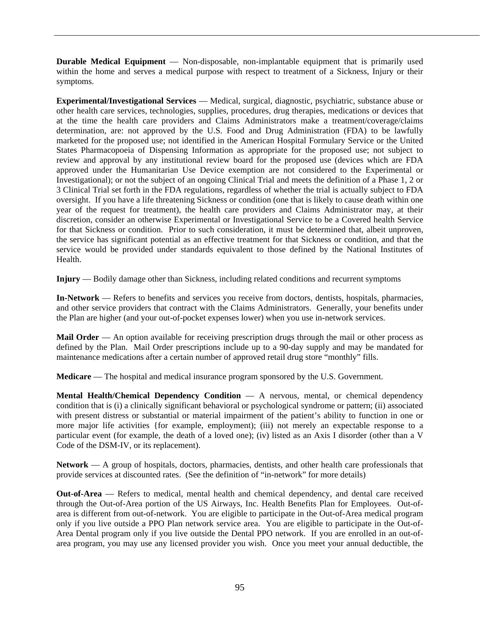**Durable Medical Equipment** — Non-disposable, non-implantable equipment that is primarily used within the home and serves a medical purpose with respect to treatment of a Sickness, Injury or their symptoms.

**Experimental/Investigational Services** — Medical, surgical, diagnostic, psychiatric, substance abuse or other health care services, technologies, supplies, procedures, drug therapies, medications or devices that at the time the health care providers and Claims Administrators make a treatment/coverage/claims determination, are: not approved by the U.S. Food and Drug Administration (FDA) to be lawfully marketed for the proposed use; not identified in the American Hospital Formulary Service or the United States Pharmacopoeia of Dispensing Information as appropriate for the proposed use; not subject to review and approval by any institutional review board for the proposed use (devices which are FDA approved under the Humanitarian Use Device exemption are not considered to the Experimental or Investigational); or not the subject of an ongoing Clinical Trial and meets the definition of a Phase 1, 2 or 3 Clinical Trial set forth in the FDA regulations, regardless of whether the trial is actually subject to FDA oversight. If you have a life threatening Sickness or condition (one that is likely to cause death within one year of the request for treatment), the health care providers and Claims Administrator may, at their discretion, consider an otherwise Experimental or Investigational Service to be a Covered health Service for that Sickness or condition. Prior to such consideration, it must be determined that, albeit unproven, the service has significant potential as an effective treatment for that Sickness or condition, and that the service would be provided under standards equivalent to those defined by the National Institutes of Health.

**Injury** — Bodily damage other than Sickness, including related conditions and recurrent symptoms

**In-Network** — Refers to benefits and services you receive from doctors, dentists, hospitals, pharmacies, and other service providers that contract with the Claims Administrators. Generally, your benefits under the Plan are higher (and your out-of-pocket expenses lower) when you use in-network services.

**Mail Order** — An option available for receiving prescription drugs through the mail or other process as defined by the Plan. Mail Order prescriptions include up to a 90-day supply and may be mandated for maintenance medications after a certain number of approved retail drug store "monthly" fills.

**Medicare** — The hospital and medical insurance program sponsored by the U.S. Government.

**Mental Health/Chemical Dependency Condition** — A nervous, mental, or chemical dependency condition that is (i) a clinically significant behavioral or psychological syndrome or pattern; (ii) associated with present distress or substantial or material impairment of the patient's ability to function in one or more major life activities {for example, employment); (iii) not merely an expectable response to a particular event (for example, the death of a loved one); (iv) listed as an Axis I disorder (other than a V Code of the DSM-IV, or its replacement).

Network — A group of hospitals, doctors, pharmacies, dentists, and other health care professionals that provide services at discounted rates. (See the definition of "in-network" for more details)

**Out-of-Area** — Refers to medical, mental health and chemical dependency, and dental care received through the Out-of-Area portion of the US Airways, Inc. Health Benefits Plan for Employees. Out-ofarea is different from out-of-network. You are eligible to participate in the Out-of-Area medical program only if you live outside a PPO Plan network service area. You are eligible to participate in the Out-of-Area Dental program only if you live outside the Dental PPO network. If you are enrolled in an out-ofarea program, you may use any licensed provider you wish. Once you meet your annual deductible, the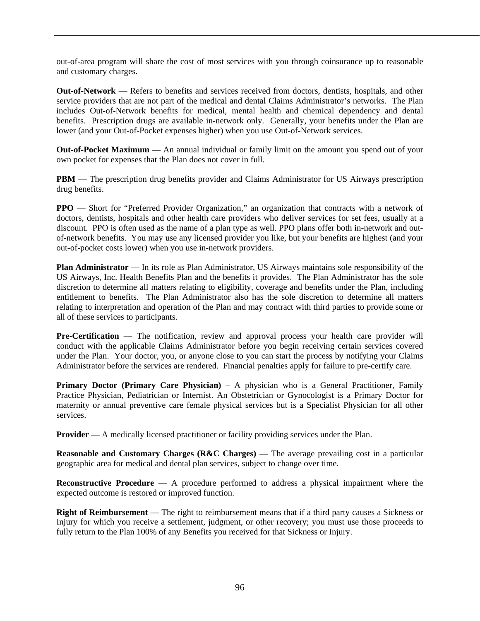out-of-area program will share the cost of most services with you through coinsurance up to reasonable and customary charges.

**Out-of-Network** — Refers to benefits and services received from doctors, dentists, hospitals, and other service providers that are not part of the medical and dental Claims Administrator's networks. The Plan includes Out-of-Network benefits for medical, mental health and chemical dependency and dental benefits. Prescription drugs are available in-network only. Generally, your benefits under the Plan are lower (and your Out-of-Pocket expenses higher) when you use Out-of-Network services.

**Out-of-Pocket Maximum** — An annual individual or family limit on the amount you spend out of your own pocket for expenses that the Plan does not cover in full.

**PBM** — The prescription drug benefits provider and Claims Administrator for US Airways prescription drug benefits.

**PPO** — Short for "Preferred Provider Organization," an organization that contracts with a network of doctors, dentists, hospitals and other health care providers who deliver services for set fees, usually at a discount. PPO is often used as the name of a plan type as well. PPO plans offer both in-network and outof-network benefits. You may use any licensed provider you like, but your benefits are highest (and your out-of-pocket costs lower) when you use in-network providers.

**Plan Administrator** — In its role as Plan Administrator, US Airways maintains sole responsibility of the US Airways, Inc. Health Benefits Plan and the benefits it provides. The Plan Administrator has the sole discretion to determine all matters relating to eligibility, coverage and benefits under the Plan, including entitlement to benefits. The Plan Administrator also has the sole discretion to determine all matters relating to interpretation and operation of the Plan and may contract with third parties to provide some or all of these services to participants.

Pre-Certification — The notification, review and approval process your health care provider will conduct with the applicable Claims Administrator before you begin receiving certain services covered under the Plan. Your doctor, you, or anyone close to you can start the process by notifying your Claims Administrator before the services are rendered. Financial penalties apply for failure to pre-certify care.

Primary Doctor (Primary Care Physician) - A physician who is a General Practitioner, Family Practice Physician, Pediatrician or Internist. An Obstetrician or Gynocologist is a Primary Doctor for maternity or annual preventive care female physical services but is a Specialist Physician for all other services.

**Provider** — A medically licensed practitioner or facility providing services under the Plan.

**Reasonable and Customary Charges (R&C Charges) — The average prevailing cost in a particular** geographic area for medical and dental plan services, subject to change over time.

**Reconstructive Procedure** — A procedure performed to address a physical impairment where the expected outcome is restored or improved function.

**Right of Reimbursement** — The right to reimbursement means that if a third party causes a Sickness or Injury for which you receive a settlement, judgment, or other recovery; you must use those proceeds to fully return to the Plan 100% of any Benefits you received for that Sickness or Injury.